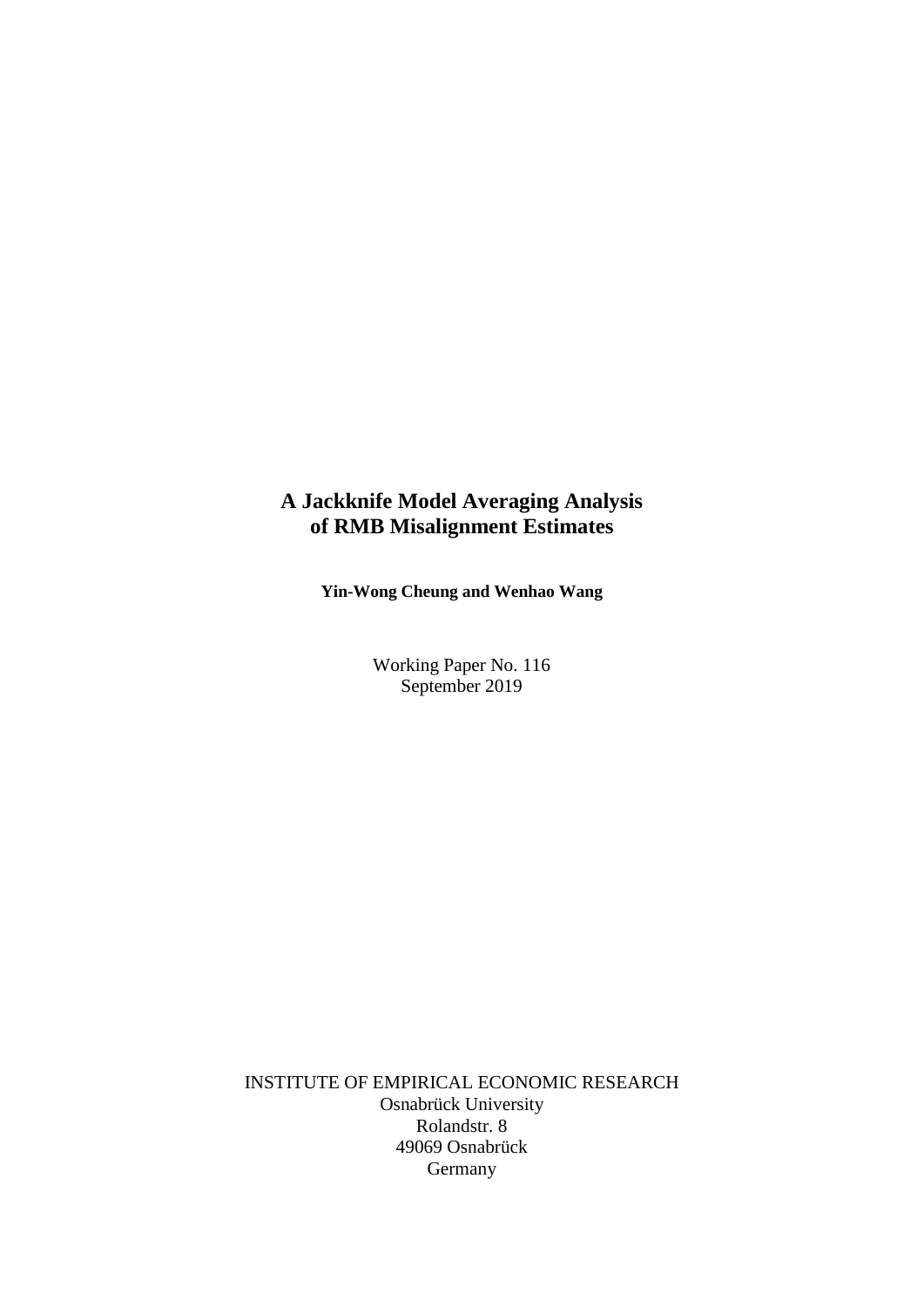## **A Jackknife Model Averaging Analysis of RMB Misalignment Estimates**

**Yin-Wong Cheung and Wenhao Wang**

Working Paper No. 116 September 2019

INSTITUTE OF EMPIRICAL ECONOMIC RESEARCH Osnabrück University Rolandstr. 8 49069 Osnabrück Germany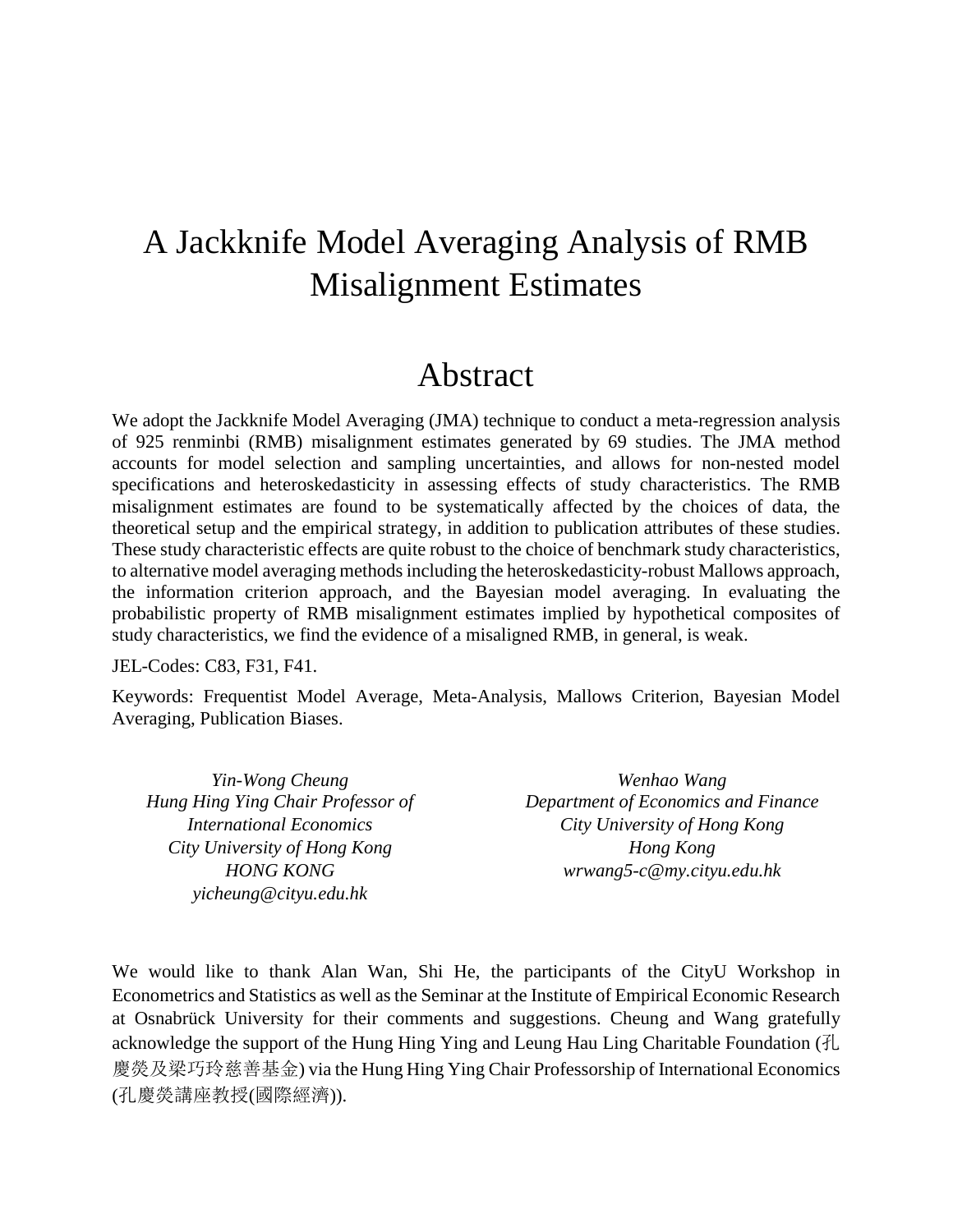# A Jackknife Model Averaging Analysis of RMB Misalignment Estimates

## Abstract

We adopt the Jackknife Model Averaging (JMA) technique to conduct a meta-regression analysis of 925 renminbi (RMB) misalignment estimates generated by 69 studies. The JMA method accounts for model selection and sampling uncertainties, and allows for non-nested model specifications and heteroskedasticity in assessing effects of study characteristics. The RMB misalignment estimates are found to be systematically affected by the choices of data, the theoretical setup and the empirical strategy, in addition to publication attributes of these studies. These study characteristic effects are quite robust to the choice of benchmark study characteristics, to alternative model averaging methods including the heteroskedasticity-robust Mallows approach, the information criterion approach, and the Bayesian model averaging. In evaluating the probabilistic property of RMB misalignment estimates implied by hypothetical composites of study characteristics, we find the evidence of a misaligned RMB, in general, is weak.

JEL-Codes: C83, F31, F41.

Keywords: Frequentist Model Average, Meta-Analysis, Mallows Criterion, Bayesian Model Averaging, Publication Biases.

*Yin-Wong Cheung Hung Hing Ying Chair Professor of International Economics City University of Hong Kong HONG KONG yicheung@cityu.edu.hk*

*Wenhao Wang Department of Economics and Finance City University of Hong Kong Hong Kong wrwang5-c@my.cityu.edu.hk*

We would like to thank Alan Wan, Shi He, the participants of the CityU Workshop in Econometrics and Statistics as well as the Seminar at the Institute of Empirical Economic Research at Osnabrück University for their comments and suggestions. Cheung and Wang gratefully acknowledge the support of the Hung Hing Ying and Leung Hau Ling Charitable Foundation (孔 慶熒及梁巧玲慈善基金) via the Hung Hing Ying Chair Professorship of International Economics (孔慶熒講座教授(國際經濟)).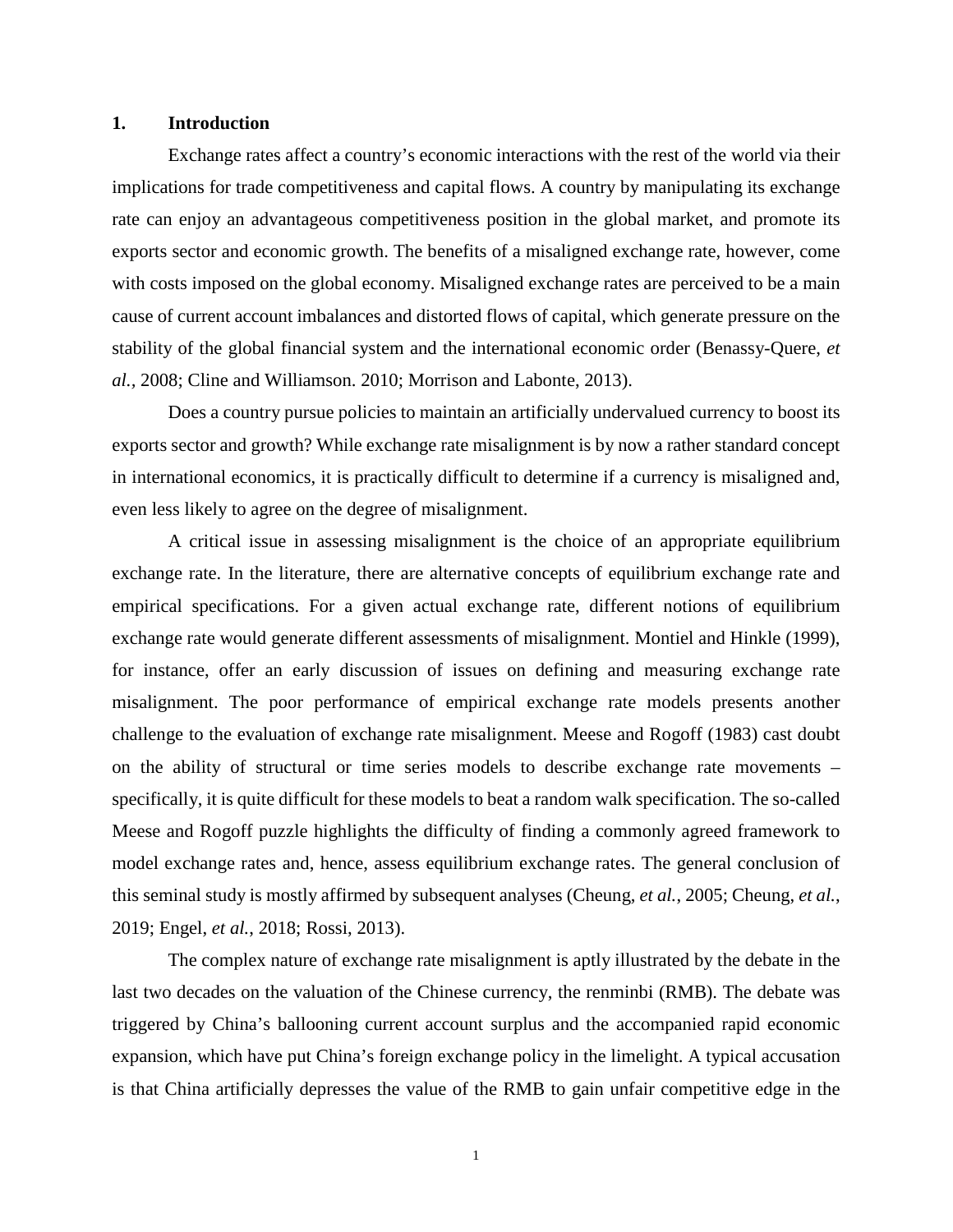### **1. Introduction**

Exchange rates affect a country's economic interactions with the rest of the world via their implications for trade competitiveness and capital flows. A country by manipulating its exchange rate can enjoy an advantageous competitiveness position in the global market, and promote its exports sector and economic growth. The benefits of a misaligned exchange rate, however, come with costs imposed on the global economy. Misaligned exchange rates are perceived to be a main cause of current account imbalances and distorted flows of capital, which generate pressure on the stability of the global financial system and the international economic order (Benassy-Quere, *et al.,* 2008; Cline and Williamson. 2010; Morrison and Labonte, 2013).

Does a country pursue policies to maintain an artificially undervalued currency to boost its exports sector and growth? While exchange rate misalignment is by now a rather standard concept in international economics, it is practically difficult to determine if a currency is misaligned and, even less likely to agree on the degree of misalignment.

A critical issue in assessing misalignment is the choice of an appropriate equilibrium exchange rate. In the literature, there are alternative concepts of equilibrium exchange rate and empirical specifications. For a given actual exchange rate, different notions of equilibrium exchange rate would generate different assessments of misalignment. Montiel and Hinkle (1999), for instance, offer an early discussion of issues on defining and measuring exchange rate misalignment. The poor performance of empirical exchange rate models presents another challenge to the evaluation of exchange rate misalignment. Meese and Rogoff (1983) cast doubt on the ability of structural or time series models to describe exchange rate movements – specifically, it is quite difficult for these models to beat a random walk specification. The so-called Meese and Rogoff puzzle highlights the difficulty of finding a commonly agreed framework to model exchange rates and, hence, assess equilibrium exchange rates. The general conclusion of this seminal study is mostly affirmed by subsequent analyses (Cheung, *et al.*, 2005; Cheung, *et al.*, 2019; Engel, *et al.*, 2018; Rossi, 2013).

The complex nature of exchange rate misalignment is aptly illustrated by the debate in the last two decades on the valuation of the Chinese currency, the renminbi (RMB). The debate was triggered by China's ballooning current account surplus and the accompanied rapid economic expansion, which have put China's foreign exchange policy in the limelight. A typical accusation is that China artificially depresses the value of the RMB to gain unfair competitive edge in the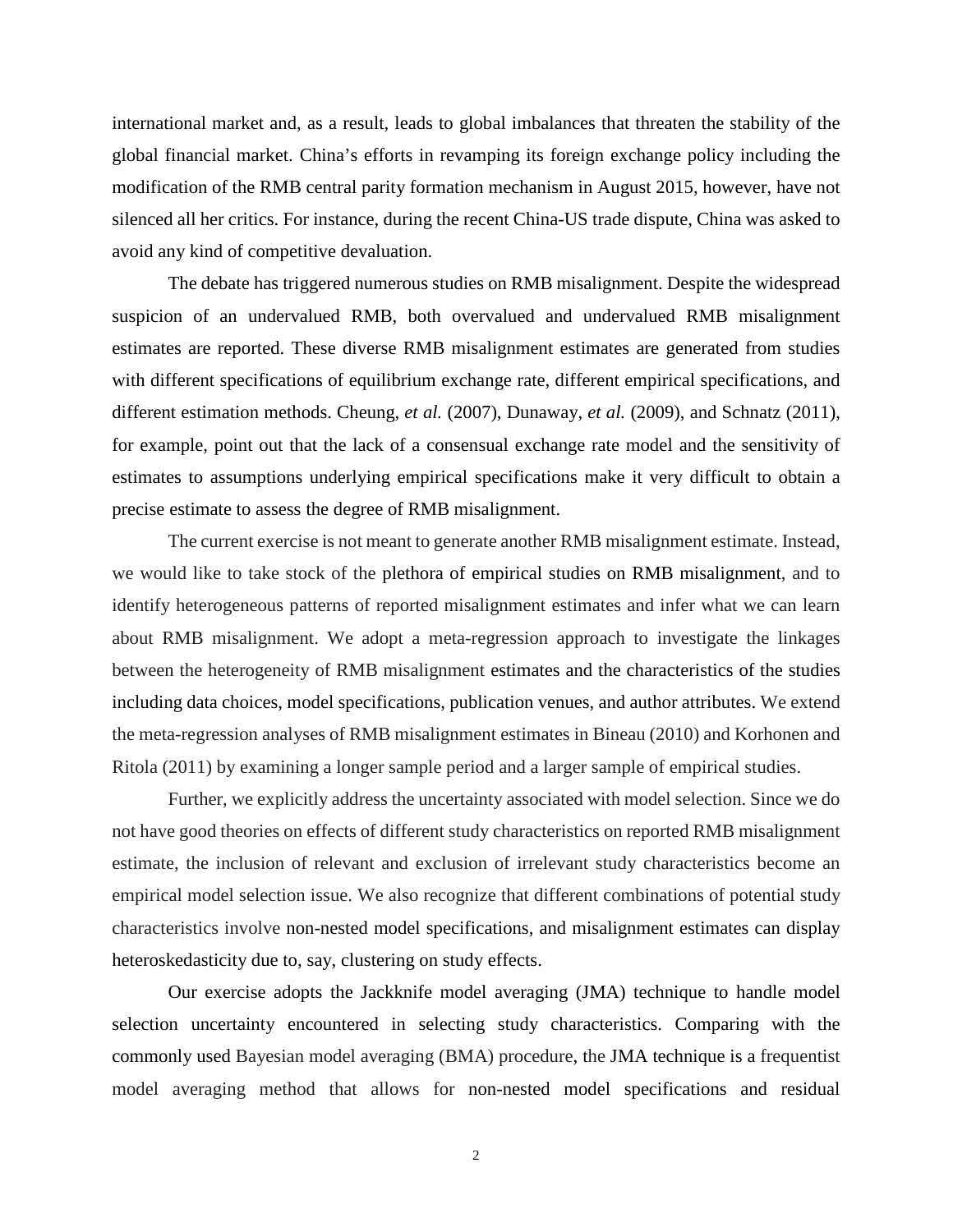international market and, as a result, leads to global imbalances that threaten the stability of the global financial market. China's efforts in revamping its foreign exchange policy including the modification of the RMB central parity formation mechanism in August 2015, however, have not silenced all her critics. For instance, during the recent China-US trade dispute, China was asked to avoid any kind of competitive devaluation.

The debate has triggered numerous studies on RMB misalignment. Despite the widespread suspicion of an undervalued RMB, both overvalued and undervalued RMB misalignment estimates are reported. These diverse RMB misalignment estimates are generated from studies with different specifications of equilibrium exchange rate, different empirical specifications, and different estimation methods. Cheung, *et al.* (2007), Dunaway, *et al.* (2009), and Schnatz (2011), for example, point out that the lack of a consensual exchange rate model and the sensitivity of estimates to assumptions underlying empirical specifications make it very difficult to obtain a precise estimate to assess the degree of RMB misalignment.

The current exercise is not meant to generate another RMB misalignment estimate. Instead, we would like to take stock of the plethora of empirical studies on RMB misalignment, and to identify heterogeneous patterns of reported misalignment estimates and infer what we can learn about RMB misalignment. We adopt a meta-regression approach to investigate the linkages between the heterogeneity of RMB misalignment estimates and the characteristics of the studies including data choices, model specifications, publication venues, and author attributes. We extend the meta-regression analyses of RMB misalignment estimates in Bineau (2010) and Korhonen and Ritola (2011) by examining a longer sample period and a larger sample of empirical studies.

Further, we explicitly address the uncertainty associated with model selection. Since we do not have good theories on effects of different study characteristics on reported RMB misalignment estimate, the inclusion of relevant and exclusion of irrelevant study characteristics become an empirical model selection issue. We also recognize that different combinations of potential study characteristics involve non-nested model specifications, and misalignment estimates can display heteroskedasticity due to, say, clustering on study effects.

Our exercise adopts the Jackknife model averaging (JMA) technique to handle model selection uncertainty encountered in selecting study characteristics. Comparing with the commonly used Bayesian model averaging (BMA) procedure, the JMA technique is a frequentist model averaging method that allows for non-nested model specifications and residual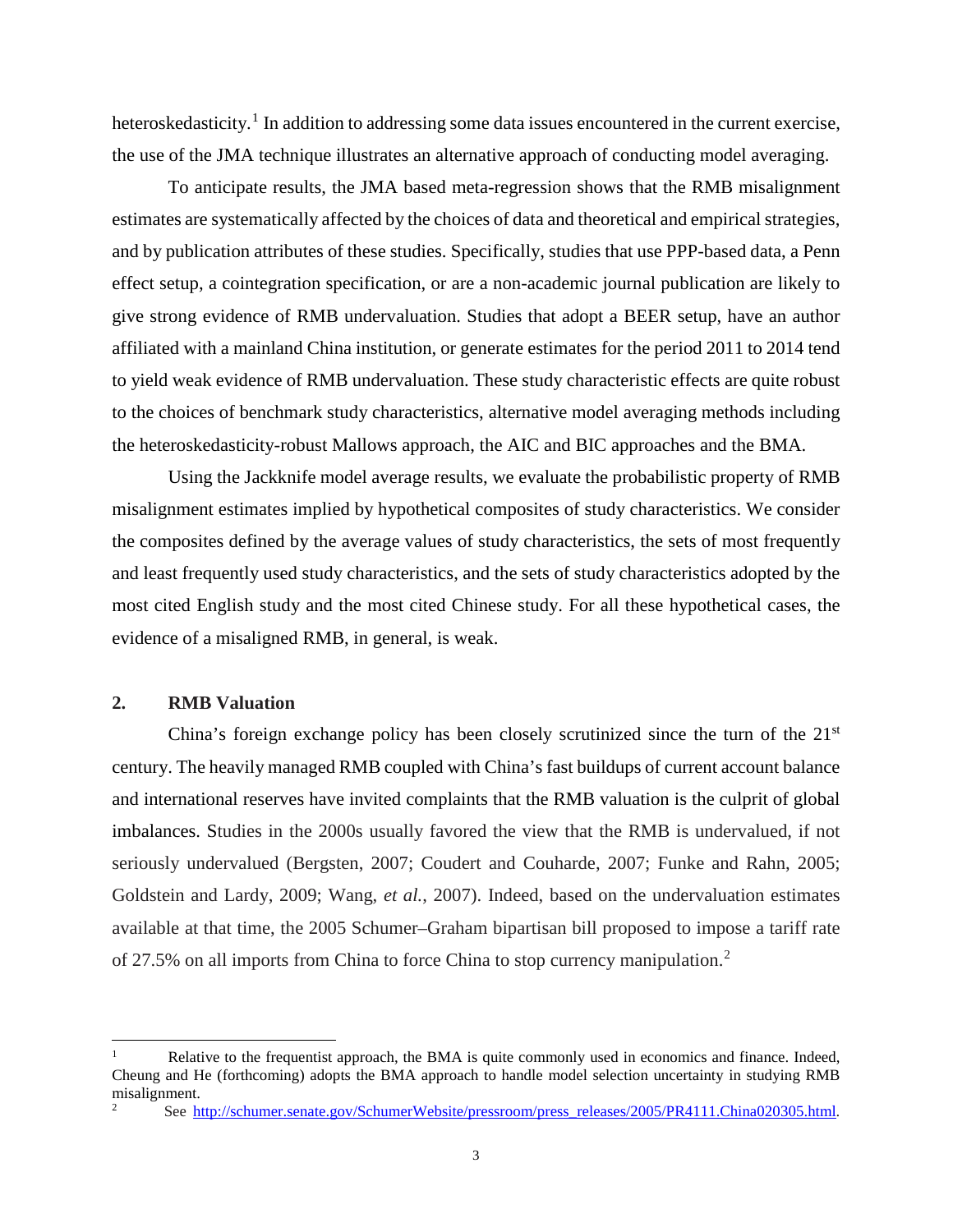heteroskedasticity.<sup>[1](#page-4-0)</sup> In addition to addressing some data issues encountered in the current exercise, the use of the JMA technique illustrates an alternative approach of conducting model averaging.

To anticipate results, the JMA based meta-regression shows that the RMB misalignment estimates are systematically affected by the choices of data and theoretical and empirical strategies, and by publication attributes of these studies. Specifically, studies that use PPP-based data, a Penn effect setup, a cointegration specification, or are a non-academic journal publication are likely to give strong evidence of RMB undervaluation. Studies that adopt a BEER setup, have an author affiliated with a mainland China institution, or generate estimates for the period 2011 to 2014 tend to yield weak evidence of RMB undervaluation. These study characteristic effects are quite robust to the choices of benchmark study characteristics, alternative model averaging methods including the heteroskedasticity-robust Mallows approach, the AIC and BIC approaches and the BMA.

Using the Jackknife model average results, we evaluate the probabilistic property of RMB misalignment estimates implied by hypothetical composites of study characteristics. We consider the composites defined by the average values of study characteristics, the sets of most frequently and least frequently used study characteristics, and the sets of study characteristics adopted by the most cited English study and the most cited Chinese study. For all these hypothetical cases, the evidence of a misaligned RMB, in general, is weak.

## **2. RMB Valuation**

 $\overline{\phantom{a}}$ 

China's foreign exchange policy has been closely scrutinized since the turn of the  $21<sup>st</sup>$ century. The heavily managed RMB coupled with China's fast buildups of current account balance and international reserves have invited complaints that the RMB valuation is the culprit of global imbalances. Studies in the 2000s usually favored the view that the RMB is undervalued, if not seriously undervalued (Bergsten, 2007; Coudert and Couharde, 2007; Funke and Rahn, 2005; Goldstein and Lardy, 2009; Wang, *et al.*, 2007). Indeed, based on the undervaluation estimates available at that time, the 2005 Schumer–Graham bipartisan bill proposed to impose a tariff rate of 27.5% on all imports from China to force China to stop currency manipulation.[2](#page-4-1)

<span id="page-4-0"></span>Relative to the frequentist approach, the BMA is quite commonly used in economics and finance. Indeed, Cheung and He (forthcoming) adopts the BMA approach to handle model selection uncertainty in studying RMB misalignment.

<span id="page-4-1"></span>See [http://schumer.senate.gov/SchumerWebsite/pressroom/press\\_releases/2005/PR4111.China020305.html.](http://schumer.senate.gov/SchumerWebsite/pressroom/press_releases/2005/PR4111.China020305.html)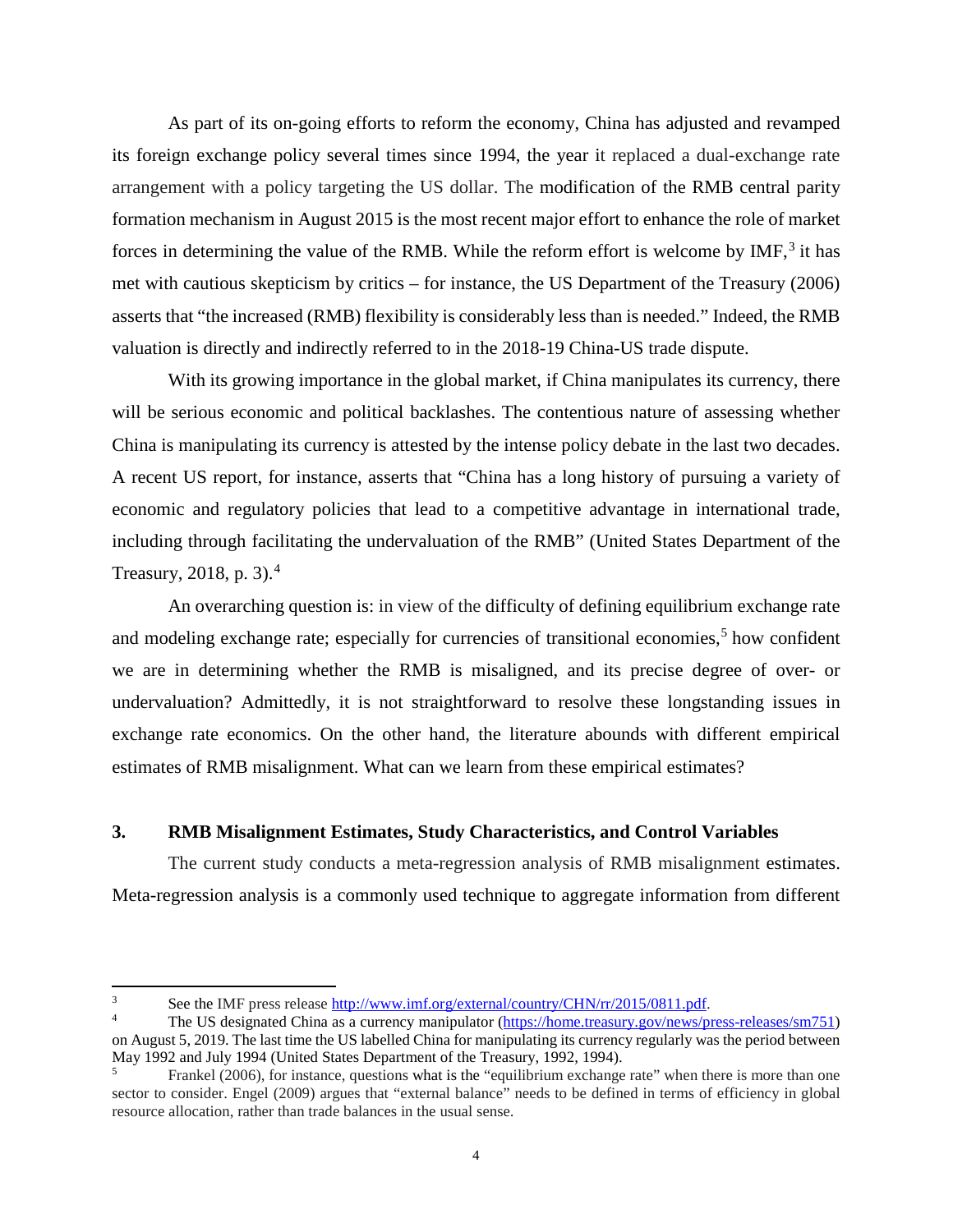As part of its on-going efforts to reform the economy, China has adjusted and revamped its foreign exchange policy several times since 1994, the year it replaced a dual-exchange rate arrangement with a policy targeting the US dollar. The modification of the RMB central parity formation mechanism in August 2015 is the most recent major effort to enhance the role of market forces in determining the value of the RMB. While the reform effort is welcome by IMF,<sup>[3](#page-5-0)</sup> it has met with cautious skepticism by critics – for instance, the US Department of the Treasury (2006) asserts that "the increased (RMB) flexibility is considerably less than is needed." Indeed, the RMB valuation is directly and indirectly referred to in the 2018-19 China-US trade dispute.

With its growing importance in the global market, if China manipulates its currency, there will be serious economic and political backlashes. The contentious nature of assessing whether China is manipulating its currency is attested by the intense policy debate in the last two decades. A recent US report, for instance, asserts that "China has a long history of pursuing a variety of economic and regulatory policies that lead to a competitive advantage in international trade, including through facilitating the undervaluation of the RMB" (United States Department of the Treasury, 2018, p. 3).[4](#page-5-1)

An overarching question is: in view of the difficulty of defining equilibrium exchange rate and modeling exchange rate; especially for currencies of transitional economies, $5$  how confident we are in determining whether the RMB is misaligned, and its precise degree of over- or undervaluation? Admittedly, it is not straightforward to resolve these longstanding issues in exchange rate economics. On the other hand, the literature abounds with different empirical estimates of RMB misalignment. What can we learn from these empirical estimates?

## **3. RMB Misalignment Estimates, Study Characteristics, and Control Variables**

The current study conducts a meta-regression analysis of RMB misalignment estimates. Meta-regression analysis is a commonly used technique to aggregate information from different

<span id="page-5-0"></span> $\mathbf{3}$ See the IMF press release [http://www.imf.org/external/country/CHN/rr/2015/0811.pdf.](http://www.imf.org/external/country/CHN/rr/2015/0811.pdf)

<span id="page-5-1"></span><sup>4</sup> The US designated China as a currency manipulator [\(https://home.treasury.gov/news/press-releases/sm751\)](https://home.treasury.gov/news/press-releases/sm751) on August 5, 2019. The last time the US labelled China for manipulating its currency regularly was the period between May 1992 and July 1994 (United States Department of the Treasury, 1992, 1994).

<span id="page-5-2"></span>Frankel (2006), for instance, questions what is the "equilibrium exchange rate" when there is more than one sector to consider. Engel (2009) argues that "external balance" needs to be defined in terms of efficiency in global resource allocation, rather than trade balances in the usual sense.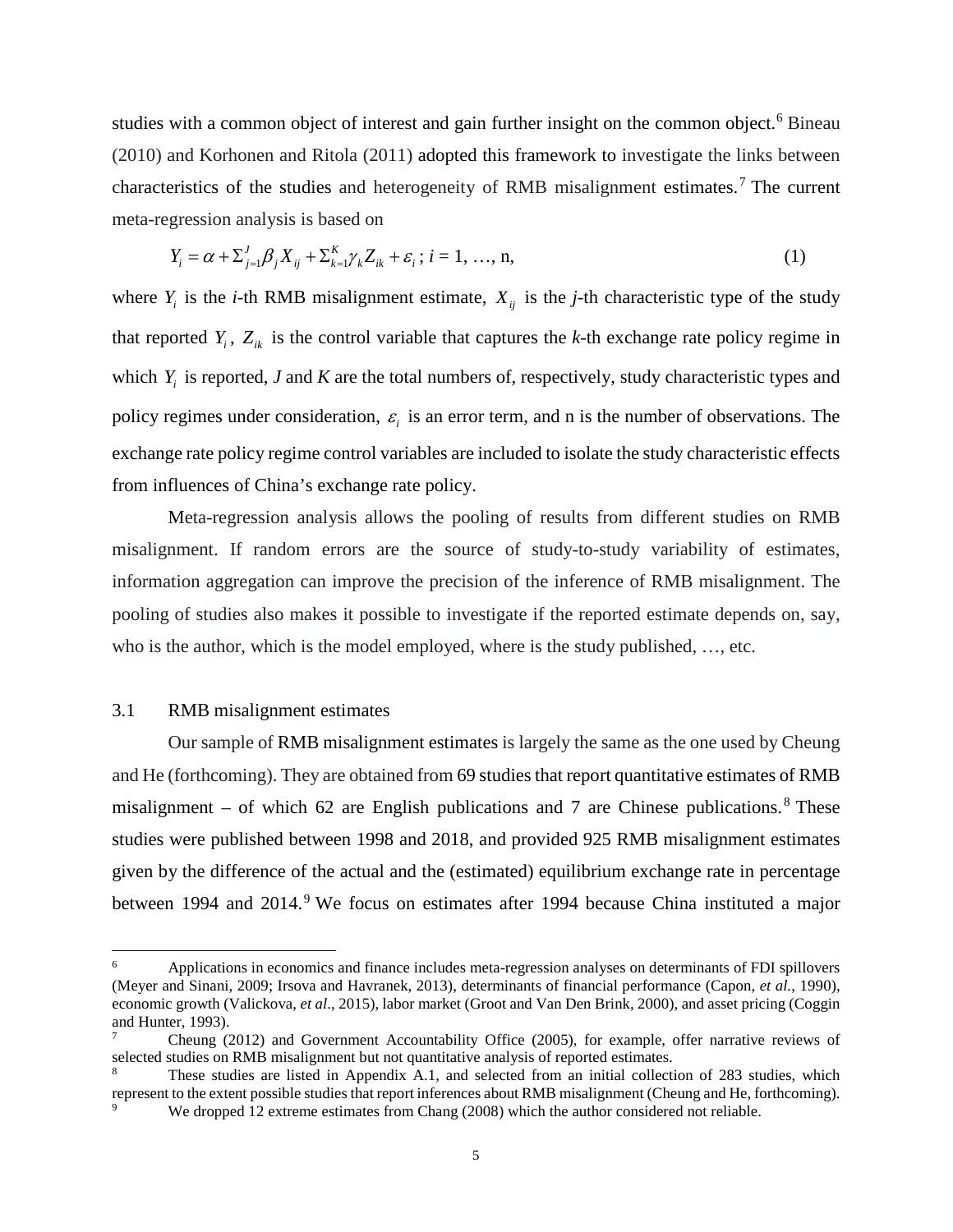studies with a common object of interest and gain further insight on the common object.<sup>[6](#page-6-0)</sup> Bineau (2010) and Korhonen and Ritola (2011) adopted this framework to investigate the links between characteristics of the studies and heterogeneity of RMB misalignment estimates.<sup>[7](#page-6-1)</sup> The current meta-regression analysis is based on

$$
Y_i = \alpha + \sum_{j=1}^{J} \beta_j X_{ij} + \sum_{k=1}^{K} \gamma_k Z_{ik} + \varepsilon_i \; ; \; i = 1, \; \dots, \; n,
$$
\n(1)

where  $Y_i$  is the *i*-th RMB misalignment estimate,  $X_{ij}$  is the *j*-th characteristic type of the study that reported  $Y_i$ ,  $Z_{ik}$  is the control variable that captures the *k*-th exchange rate policy regime in which *Y<sub>i</sub>* is reported, *J* and *K* are the total numbers of, respectively, study characteristic types and policy regimes under consideration,  $\varepsilon$ , is an error term, and n is the number of observations. The exchange rate policy regime control variables are included to isolate the study characteristic effects from influences of China's exchange rate policy.

Meta-regression analysis allows the pooling of results from different studies on RMB misalignment. If random errors are the source of study-to-study variability of estimates, information aggregation can improve the precision of the inference of RMB misalignment. The pooling of studies also makes it possible to investigate if the reported estimate depends on, say, who is the author, which is the model employed, where is the study published, …, etc.

## 3.1 RMB misalignment estimates

Our sample of RMB misalignment estimates is largely the same as the one used by Cheung and He (forthcoming). They are obtained from 69 studies that report quantitative estimates of RMB misalignment – of which 62 are English publications and 7 are Chinese publications.<sup>[8](#page-6-2)</sup> These studies were published between 1998 and 2018, and provided 925 RMB misalignment estimates given by the difference of the actual and the (estimated) equilibrium exchange rate in percentage between 1[9](#page-6-3)94 and 2014.<sup>9</sup> We focus on estimates after 1994 because China instituted a major

<span id="page-6-0"></span><sup>6</sup> <sup>6</sup> Applications in economics and finance includes meta-regression analyses on determinants of FDI spillovers (Meyer and Sinani, 2009; Irsova and Havranek, 2013), determinants of financial performance (Capon, *et al.*, 1990), economic growth (Valickova, *et al*., 2015), labor market (Groot and Van Den Brink, 2000), and asset pricing (Coggin and Hunter, 1993).

<span id="page-6-1"></span><sup>7</sup> Cheung (2012) and Government Accountability Office (2005), for example, offer narrative reviews of selected studies on RMB misalignment but not quantitative analysis of reported estimates.

<span id="page-6-3"></span><span id="page-6-2"></span>These studies are listed in Appendix A.1, and selected from an initial collection of 283 studies, which represent to the extent possible studies that report inferences about RMB misalignment (Cheung and He, forthcoming). We dropped 12 extreme estimates from Chang (2008) which the author considered not reliable.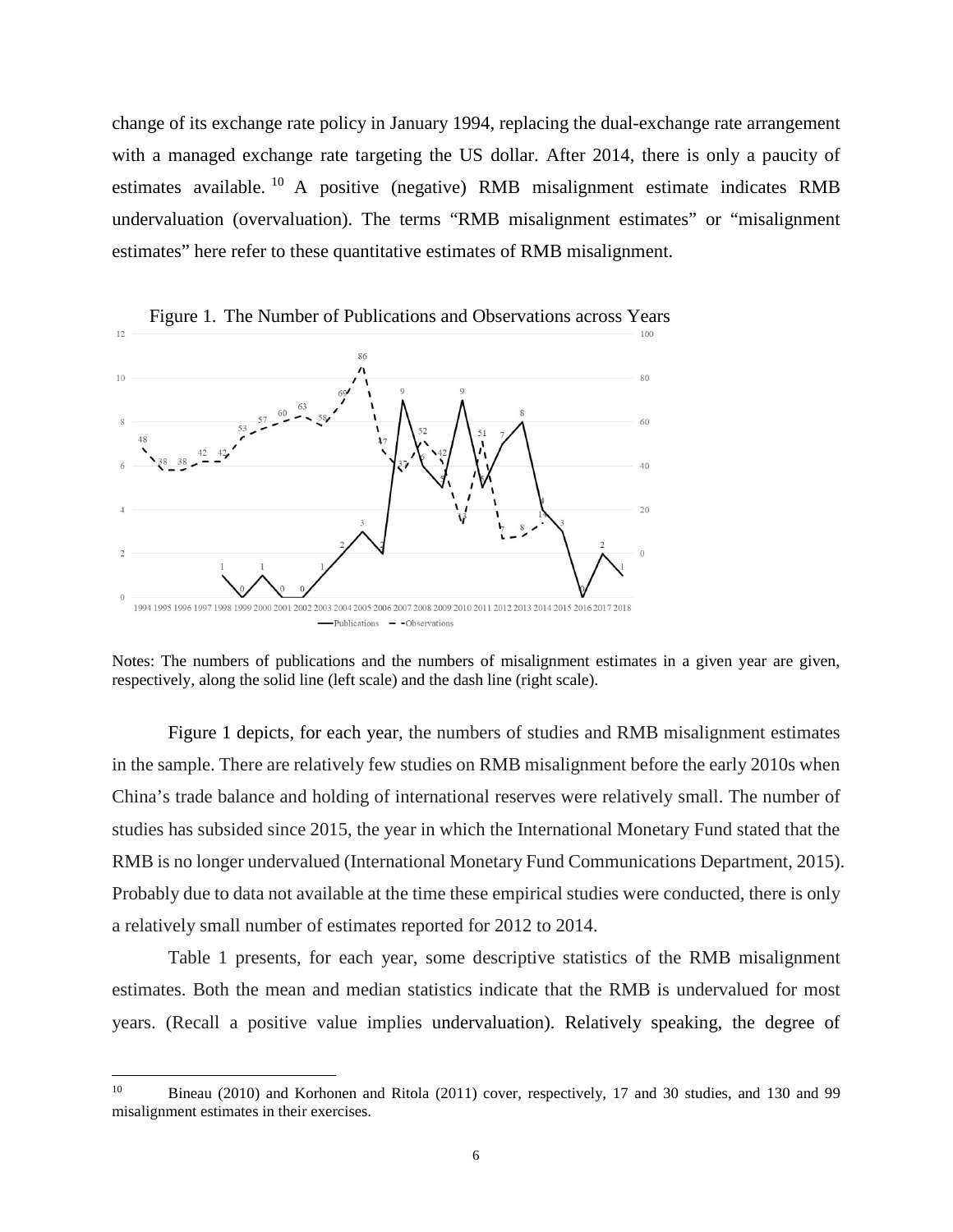change of its exchange rate policy in January 1994, replacing the dual-exchange rate arrangement with a managed exchange rate targeting the US dollar. After 2014, there is only a paucity of estimates available. [10](#page-7-0) A positive (negative) RMB misalignment estimate indicates RMB undervaluation (overvaluation). The terms "RMB misalignment estimates" or "misalignment estimates" here refer to these quantitative estimates of RMB misalignment.



Notes: The numbers of publications and the numbers of misalignment estimates in a given year are given, respectively, along the solid line (left scale) and the dash line (right scale).

Figure 1 depicts, for each year, the numbers of studies and RMB misalignment estimates in the sample. There are relatively few studies on RMB misalignment before the early 2010s when China's trade balance and holding of international reserves were relatively small. The number of studies has subsided since 2015, the year in which the International Monetary Fund stated that the RMB is no longer undervalued (International Monetary Fund Communications Department, 2015). Probably due to data not available at the time these empirical studies were conducted, there is only a relatively small number of estimates reported for 2012 to 2014.

Table 1 presents, for each year, some descriptive statistics of the RMB misalignment estimates. Both the mean and median statistics indicate that the RMB is undervalued for most years. (Recall a positive value implies undervaluation). Relatively speaking, the degree of

<span id="page-7-0"></span> $10\,$ <sup>10</sup> Bineau (2010) and Korhonen and Ritola (2011) cover, respectively, 17 and 30 studies, and 130 and 99 misalignment estimates in their exercises.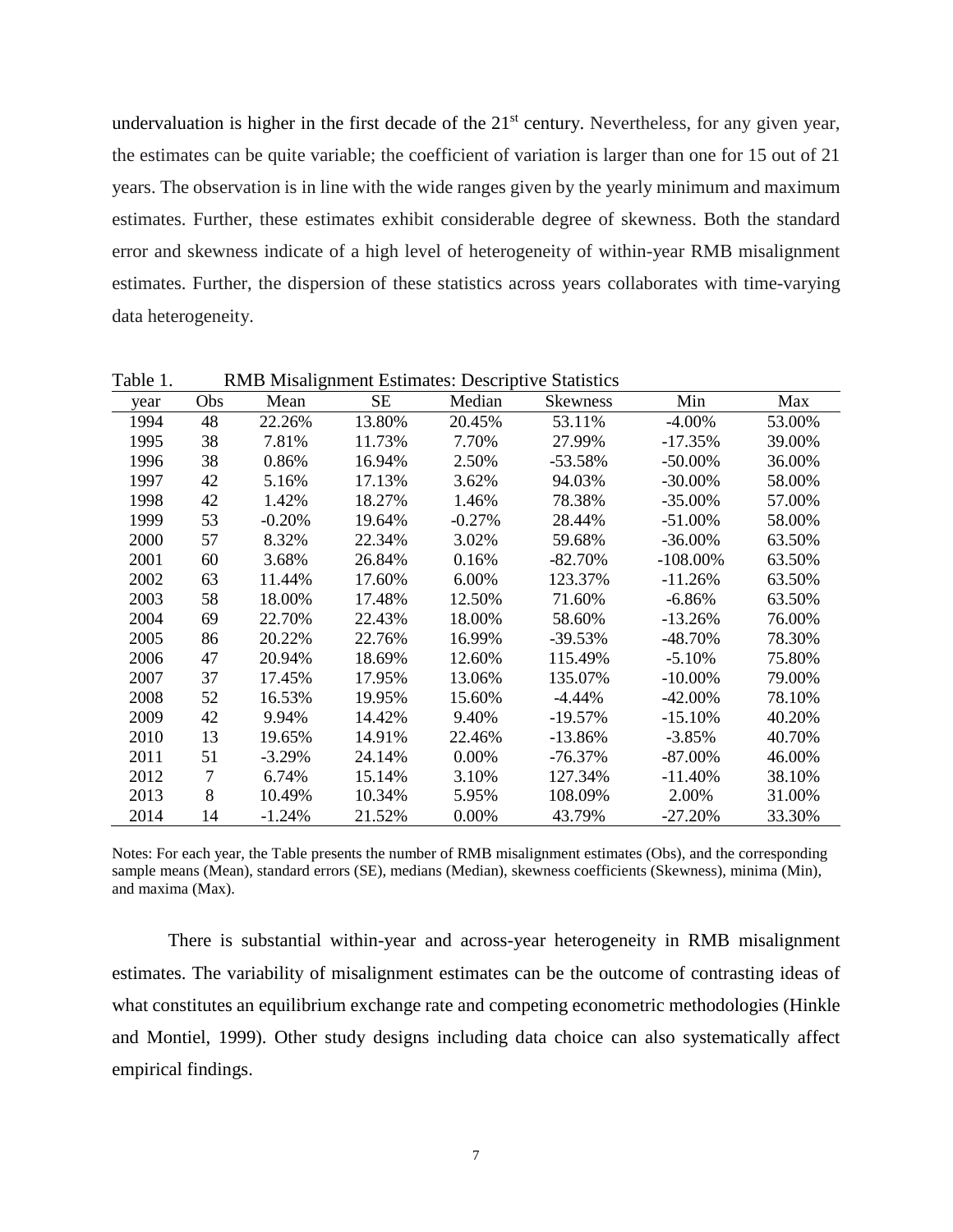undervaluation is higher in the first decade of the 21<sup>st</sup> century. Nevertheless, for any given year, the estimates can be quite variable; the coefficient of variation is larger than one for 15 out of 21 years. The observation is in line with the wide ranges given by the yearly minimum and maximum estimates. Further, these estimates exhibit considerable degree of skewness. Both the standard error and skewness indicate of a high level of heterogeneity of within-year RMB misalignment estimates. Further, the dispersion of these statistics across years collaborates with time-varying data heterogeneity.

|      |        |          |           |           | <u>READ MISHIGHTCHE LIGHTHEOIS.</u> DeScriptive Bullistres |             |        |
|------|--------|----------|-----------|-----------|------------------------------------------------------------|-------------|--------|
| year | Obs    | Mean     | <b>SE</b> | Median    | <b>Skewness</b>                                            | Min         | Max    |
| 1994 | 48     | 22.26%   | 13.80%    | 20.45%    | 53.11%                                                     | $-4.00\%$   | 53.00% |
| 1995 | 38     | 7.81%    | 11.73%    | 7.70%     | 27.99%                                                     | $-17.35%$   | 39.00% |
| 1996 | 38     | 0.86%    | 16.94%    | 2.50%     | $-53.58%$                                                  | $-50.00\%$  | 36.00% |
| 1997 | 42     | 5.16%    | 17.13%    | 3.62%     | 94.03%                                                     | $-30.00\%$  | 58.00% |
| 1998 | 42     | 1.42%    | 18.27%    | 1.46%     | 78.38%                                                     | $-35.00\%$  | 57.00% |
| 1999 | 53     | $-0.20%$ | 19.64%    | $-0.27\%$ | 28.44%                                                     | $-51.00\%$  | 58.00% |
| 2000 | 57     | 8.32%    | 22.34%    | 3.02%     | 59.68%                                                     | $-36.00\%$  | 63.50% |
| 2001 | 60     | 3.68%    | 26.84%    | 0.16%     | $-82.70\%$                                                 | $-108.00\%$ | 63.50% |
| 2002 | 63     | 11.44%   | 17.60%    | 6.00%     | 123.37%                                                    | $-11.26%$   | 63.50% |
| 2003 | 58     | 18.00%   | 17.48%    | 12.50%    | 71.60%                                                     | $-6.86%$    | 63.50% |
| 2004 | 69     | 22.70%   | 22.43%    | 18.00%    | 58.60%                                                     | $-13.26%$   | 76.00% |
| 2005 | 86     | 20.22%   | 22.76%    | 16.99%    | $-39.53\%$                                                 | -48.70%     | 78.30% |
| 2006 | 47     | 20.94%   | 18.69%    | 12.60%    | 115.49%                                                    | $-5.10%$    | 75.80% |
| 2007 | 37     | 17.45%   | 17.95%    | 13.06%    | 135.07%                                                    | $-10.00\%$  | 79.00% |
| 2008 | 52     | 16.53%   | 19.95%    | 15.60%    | $-4.44\%$                                                  | $-42.00\%$  | 78.10% |
| 2009 | 42     | 9.94%    | 14.42%    | 9.40%     | $-19.57\%$                                                 | $-15.10\%$  | 40.20% |
| 2010 | 13     | 19.65%   | 14.91%    | 22.46%    | $-13.86\%$                                                 | $-3.85%$    | 40.70% |
| 2011 | 51     | $-3.29%$ | 24.14%    | $0.00\%$  | -76.37%                                                    | $-87.00\%$  | 46.00% |
| 2012 | $\tau$ | 6.74%    | 15.14%    | 3.10%     | 127.34%                                                    | $-11.40%$   | 38.10% |
| 2013 | 8      | 10.49%   | 10.34%    | 5.95%     | 108.09%                                                    | 2.00%       | 31.00% |
| 2014 | 14     | $-1.24%$ | 21.52%    | 0.00%     | 43.79%                                                     | $-27.20%$   | 33.30% |

Table 1. RMB Misalignment Estimates: Descriptive Statistics

Notes: For each year, the Table presents the number of RMB misalignment estimates (Obs), and the corresponding sample means (Mean), standard errors (SE), medians (Median), skewness coefficients (Skewness), minima (Min), and maxima (Max).

There is substantial within-year and across-year heterogeneity in RMB misalignment estimates. The variability of misalignment estimates can be the outcome of contrasting ideas of what constitutes an equilibrium exchange rate and competing econometric methodologies (Hinkle and Montiel, 1999). Other study designs including data choice can also systematically affect empirical findings.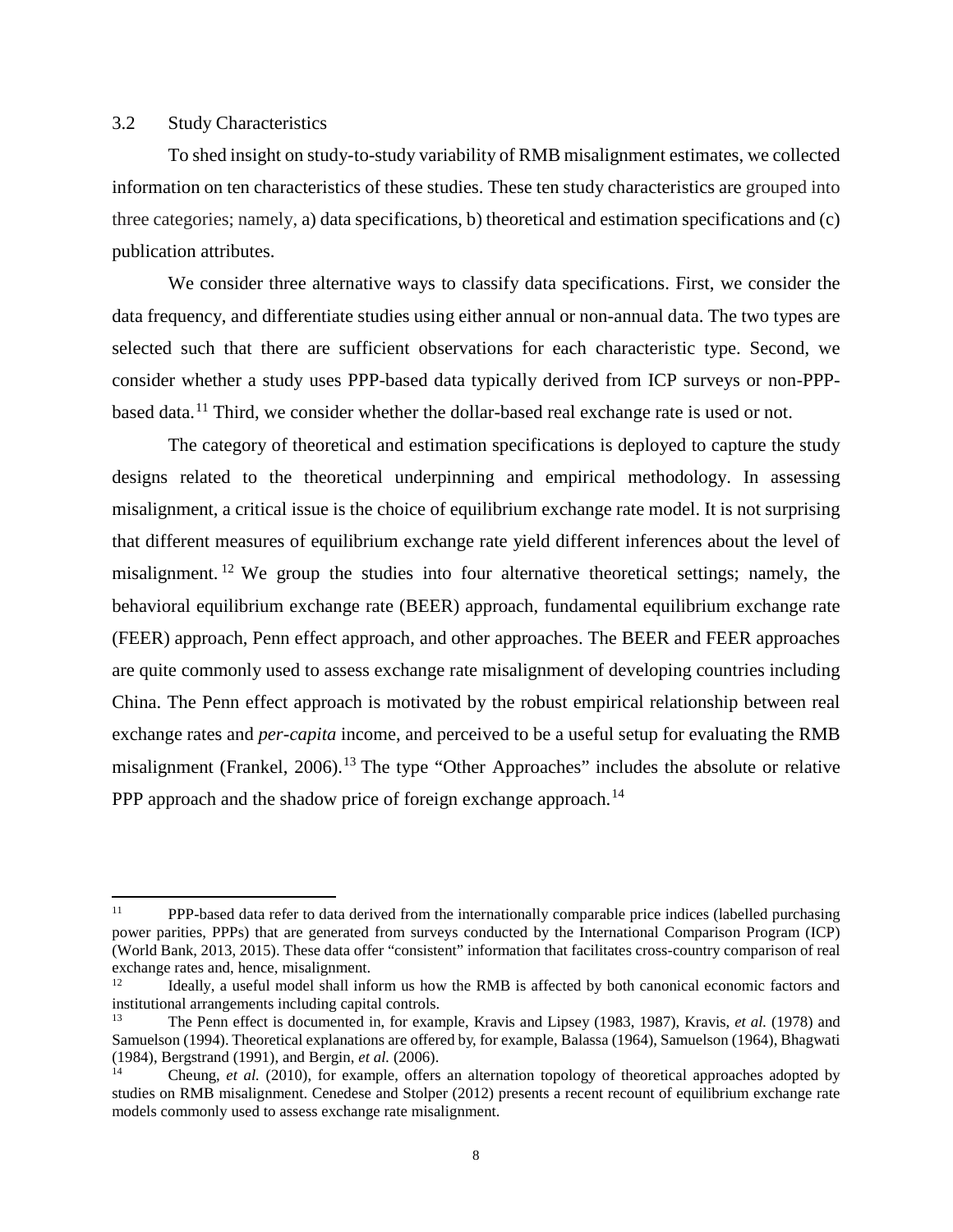## 3.2 Study Characteristics

l

To shed insight on study-to-study variability of RMB misalignment estimates, we collected information on ten characteristics of these studies. These ten study characteristics are grouped into three categories; namely, a) data specifications, b) theoretical and estimation specifications and (c) publication attributes.

We consider three alternative ways to classify data specifications. First, we consider the data frequency, and differentiate studies using either annual or non-annual data. The two types are selected such that there are sufficient observations for each characteristic type. Second, we consider whether a study uses PPP-based data typically derived from ICP surveys or non-PPP-based data.<sup>[11](#page-9-0)</sup> Third, we consider whether the dollar-based real exchange rate is used or not.

The category of theoretical and estimation specifications is deployed to capture the study designs related to the theoretical underpinning and empirical methodology. In assessing misalignment, a critical issue is the choice of equilibrium exchange rate model. It is not surprising that different measures of equilibrium exchange rate yield different inferences about the level of misalignment. [12](#page-9-1) We group the studies into four alternative theoretical settings; namely, the behavioral equilibrium exchange rate (BEER) approach, fundamental equilibrium exchange rate (FEER) approach, Penn effect approach, and other approaches. The BEER and FEER approaches are quite commonly used to assess exchange rate misalignment of developing countries including China. The Penn effect approach is motivated by the robust empirical relationship between real exchange rates and *per-capita* income, and perceived to be a useful setup for evaluating the RMB misalignment (Frankel, 2006).[13](#page-9-2) The type "Other Approaches" includes the absolute or relative PPP approach and the shadow price of foreign exchange approach.<sup>[14](#page-9-3)</sup>

<span id="page-9-0"></span><sup>&</sup>lt;sup>11</sup> PPP-based data refer to data derived from the internationally comparable price indices (labelled purchasing power parities, PPPs) that are generated from surveys conducted by the International Comparison Program (ICP) (World Bank, 2013, 2015). These data offer "consistent" information that facilitates cross-country comparison of real exchange rates and, hence, misalignment.

<span id="page-9-1"></span>Ideally, a useful model shall inform us how the RMB is affected by both canonical economic factors and institutional arrangements including capital controls.

<span id="page-9-2"></span><sup>13</sup> The Penn effect is documented in, for example, Kravis and Lipsey (1983, 1987), Kravis, *et al.* (1978) and Samuelson (1994). Theoretical explanations are offered by, for example, Balassa (1964), Samuelson (1964), Bhagwati (1984), Bergstrand (1991), and Bergin, *et al.* (2006).

<span id="page-9-3"></span><sup>14</sup> Cheung, *et al.* (2010), for example, offers an alternation topology of theoretical approaches adopted by studies on RMB misalignment. Cenedese and Stolper (2012) presents a recent recount of equilibrium exchange rate models commonly used to assess exchange rate misalignment.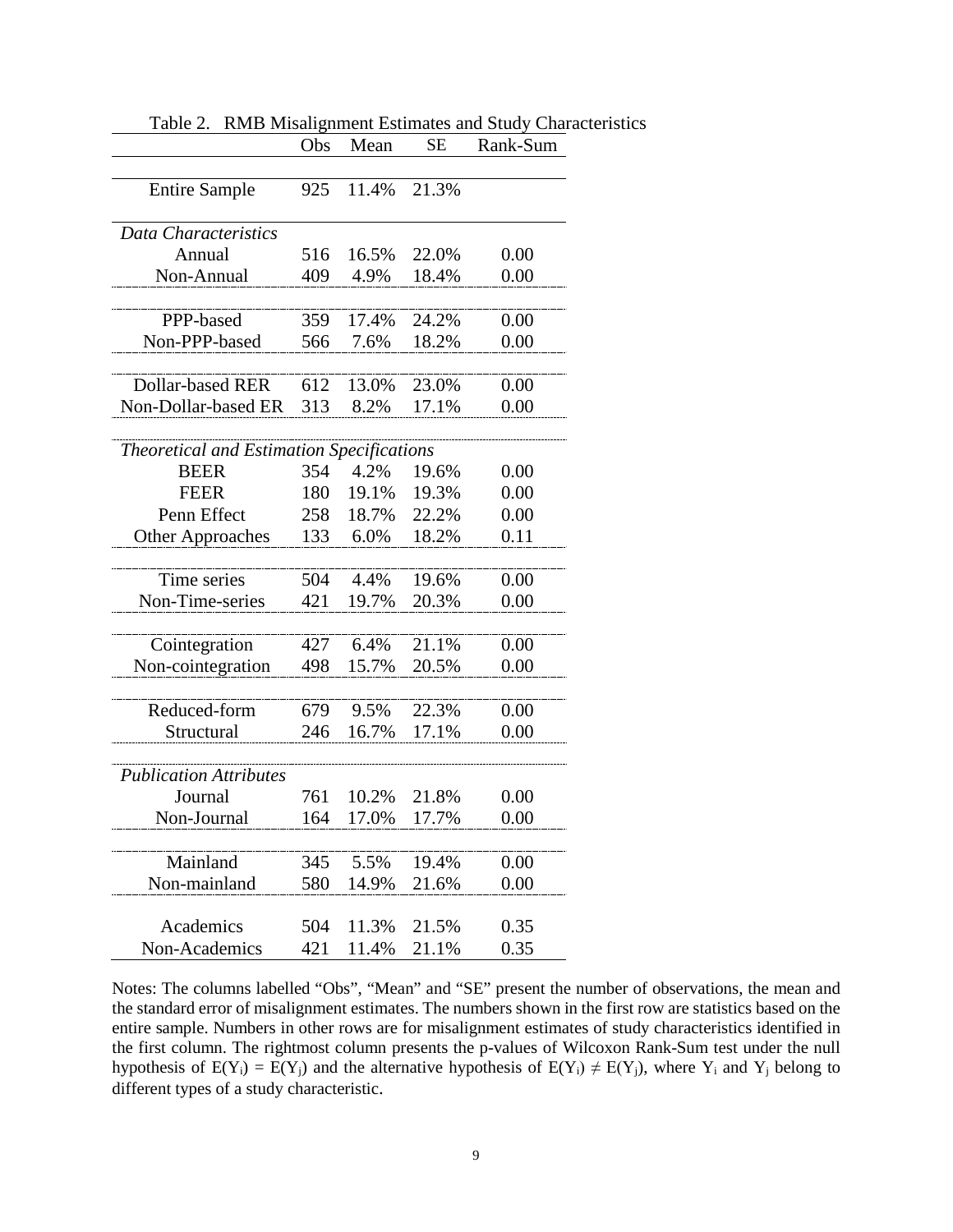|                                           | Obs | Mean  | <b>SE</b> | Rank-Sum |
|-------------------------------------------|-----|-------|-----------|----------|
|                                           |     |       |           |          |
| <b>Entire Sample</b>                      | 925 | 11.4% | 21.3%     |          |
|                                           |     |       |           |          |
| Data Characteristics                      |     |       |           |          |
| Annual                                    | 516 | 16.5% | 22.0%     | 0.00     |
| Non-Annual                                | 409 | 4.9%  | 18.4%     | 0.00     |
|                                           |     |       |           |          |
| PPP-based                                 | 359 | 17.4% | 24.2%     | 0.00     |
| Non-PPP-based                             | 566 | 7.6%  | 18.2%     | 0.00     |
| Dollar-based RER                          | 612 | 13.0% | 23.0%     | 0.00     |
|                                           |     |       |           |          |
| Non-Dollar-based ER                       | 313 | 8.2%  | 17.1%     | 0.00     |
| Theoretical and Estimation Specifications |     |       |           |          |
| <b>BEER</b>                               | 354 | 4.2%  | 19.6%     | 0.00     |
| <b>FEER</b>                               | 180 | 19.1% | 19.3%     | 0.00     |
| Penn Effect                               | 258 | 18.7% | 22.2%     | 0.00     |
| <b>Other Approaches</b>                   | 133 | 6.0%  | 18.2%     | 0.11     |
|                                           |     |       |           |          |
| Time series                               | 504 | 4.4%  | 19.6%     | 0.00     |
| Non-Time-series                           | 421 | 19.7% | 20.3%     | 0.00     |
|                                           |     |       |           |          |
| Cointegration                             | 427 | 6.4%  | 21.1%     | 0.00     |
| Non-cointegration                         | 498 | 15.7% | 20.5%     | 0.00     |
|                                           |     |       |           |          |
| Reduced-form                              | 679 | 9.5%  | 22.3%     | 0.00     |
| Structural                                | 246 | 16.7% | 17.1%     | 0.00     |
|                                           |     |       |           |          |
| <b>Publication Attributes</b>             |     |       |           |          |
| Journal                                   | 761 | 10.2% | 21.8%     | 0.00     |
| Non-Journal                               | 164 | 17.0% | 17.7%     | 0.00     |
|                                           |     |       |           |          |
| Mainland                                  | 345 | 5.5%  | 19.4%     | 0.00     |
| Non-mainland                              | 580 | 14.9% | 21.6%     | 0.00     |
|                                           |     |       |           |          |
| Academics                                 | 504 | 11.3% | 21.5%     | 0.35     |
| Non-Academics                             | 421 | 11.4% | 21.1%     | 0.35     |

Table 2. RMB Misalignment Estimates and Study Characteristics

Notes: The columns labelled "Obs", "Mean" and "SE" present the number of observations, the mean and the standard error of misalignment estimates. The numbers shown in the first row are statistics based on the entire sample. Numbers in other rows are for misalignment estimates of study characteristics identified in the first column. The rightmost column presents the p-values of Wilcoxon Rank-Sum test under the null hypothesis of  $E(Y_i) = E(Y_j)$  and the alternative hypothesis of  $E(Y_i) \neq E(Y_j)$ , where  $Y_i$  and  $Y_j$  belong to different types of a study characteristic.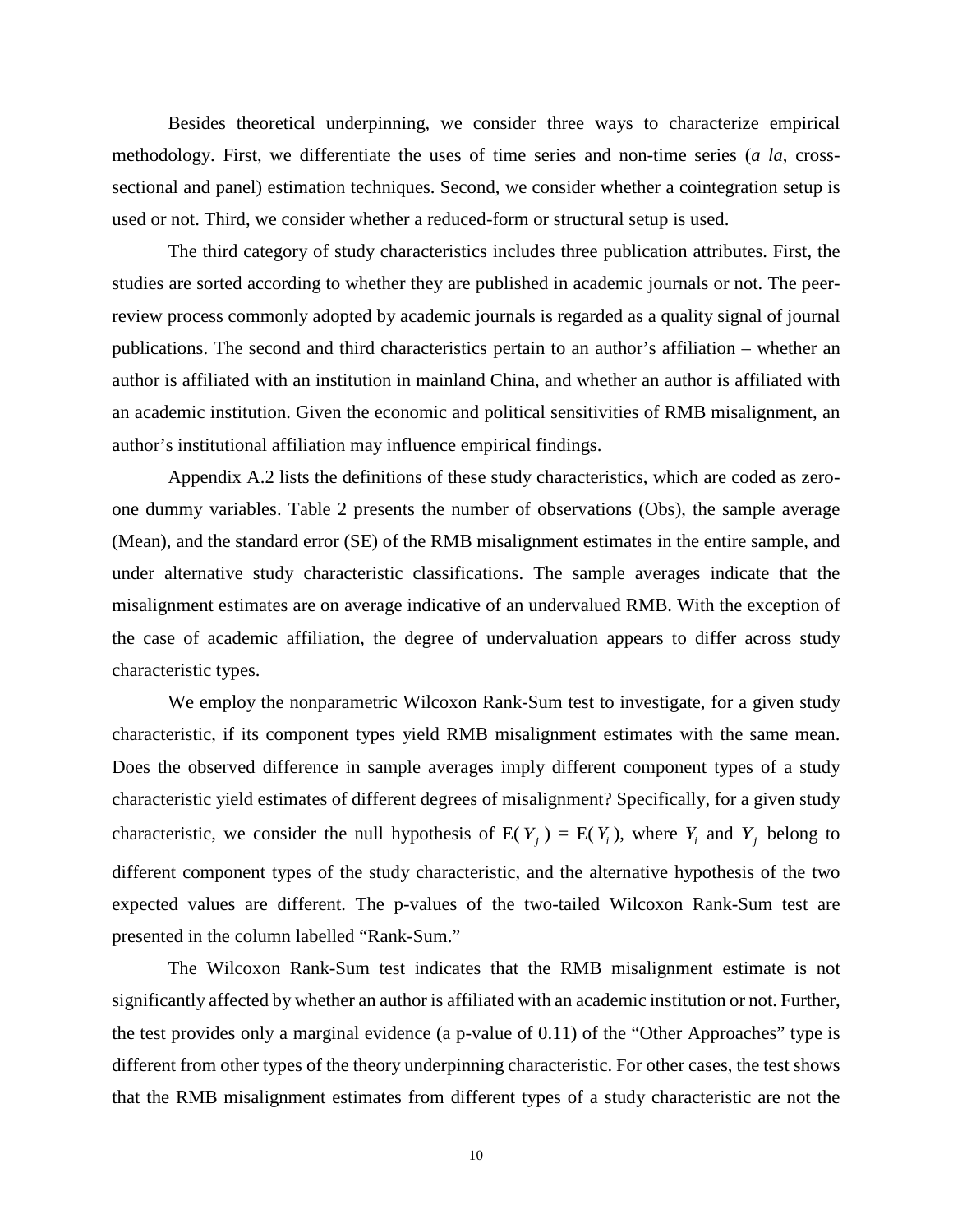Besides theoretical underpinning, we consider three ways to characterize empirical methodology. First, we differentiate the uses of time series and non-time series (*a la*, crosssectional and panel) estimation techniques. Second, we consider whether a cointegration setup is used or not. Third, we consider whether a reduced-form or structural setup is used.

The third category of study characteristics includes three publication attributes. First, the studies are sorted according to whether they are published in academic journals or not. The peerreview process commonly adopted by academic journals is regarded as a quality signal of journal publications. The second and third characteristics pertain to an author's affiliation – whether an author is affiliated with an institution in mainland China, and whether an author is affiliated with an academic institution. Given the economic and political sensitivities of RMB misalignment, an author's institutional affiliation may influence empirical findings.

Appendix A.2 lists the definitions of these study characteristics, which are coded as zeroone dummy variables. Table 2 presents the number of observations (Obs), the sample average (Mean), and the standard error (SE) of the RMB misalignment estimates in the entire sample, and under alternative study characteristic classifications. The sample averages indicate that the misalignment estimates are on average indicative of an undervalued RMB. With the exception of the case of academic affiliation, the degree of undervaluation appears to differ across study characteristic types.

We employ the nonparametric Wilcoxon Rank-Sum test to investigate, for a given study characteristic, if its component types yield RMB misalignment estimates with the same mean. Does the observed difference in sample averages imply different component types of a study characteristic yield estimates of different degrees of misalignment? Specifically, for a given study characteristic, we consider the null hypothesis of  $E(Y_i) = E(Y_i)$ , where  $Y_i$  and  $Y_j$  belong to different component types of the study characteristic, and the alternative hypothesis of the two expected values are different. The p-values of the two-tailed Wilcoxon Rank-Sum test are presented in the column labelled "Rank-Sum."

The Wilcoxon Rank-Sum test indicates that the RMB misalignment estimate is not significantly affected by whether an author is affiliated with an academic institution or not. Further, the test provides only a marginal evidence (a p-value of 0.11) of the "Other Approaches" type is different from other types of the theory underpinning characteristic. For other cases, the test shows that the RMB misalignment estimates from different types of a study characteristic are not the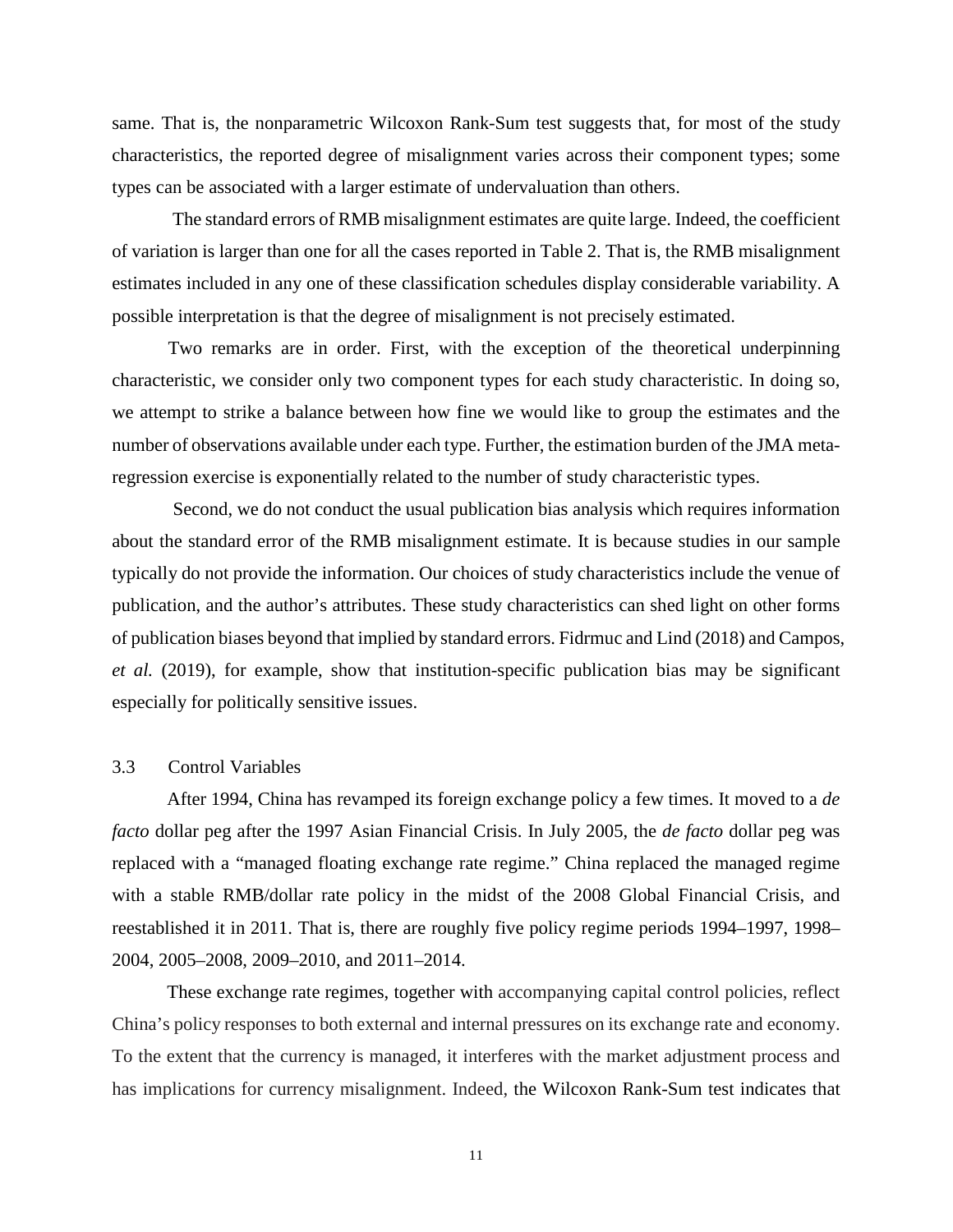same. That is, the nonparametric Wilcoxon Rank-Sum test suggests that, for most of the study characteristics, the reported degree of misalignment varies across their component types; some types can be associated with a larger estimate of undervaluation than others.

The standard errors of RMB misalignment estimates are quite large. Indeed, the coefficient of variation is larger than one for all the cases reported in Table 2. That is, the RMB misalignment estimates included in any one of these classification schedules display considerable variability. A possible interpretation is that the degree of misalignment is not precisely estimated.

Two remarks are in order. First, with the exception of the theoretical underpinning characteristic, we consider only two component types for each study characteristic. In doing so, we attempt to strike a balance between how fine we would like to group the estimates and the number of observations available under each type. Further, the estimation burden of the JMA metaregression exercise is exponentially related to the number of study characteristic types.

Second, we do not conduct the usual publication bias analysis which requires information about the standard error of the RMB misalignment estimate. It is because studies in our sample typically do not provide the information. Our choices of study characteristics include the venue of publication, and the author's attributes. These study characteristics can shed light on other forms of publication biases beyond that implied by standard errors. Fidrmuc and Lind (2018) and Campos, *et al.* (2019), for example, show that institution-specific publication bias may be significant especially for politically sensitive issues.

#### 3.3 Control Variables

After 1994, China has revamped its foreign exchange policy a few times. It moved to a *de facto* dollar peg after the 1997 Asian Financial Crisis. In July 2005, the *de facto* dollar peg was replaced with a "managed floating exchange rate regime." China replaced the managed regime with a stable RMB/dollar rate policy in the midst of the 2008 Global Financial Crisis, and reestablished it in 2011. That is, there are roughly five policy regime periods 1994–1997, 1998– 2004, 2005–2008, 2009–2010, and 2011–2014.

These exchange rate regimes, together with accompanying capital control policies, reflect China's policy responses to both external and internal pressures on its exchange rate and economy. To the extent that the currency is managed, it interferes with the market adjustment process and has implications for currency misalignment. Indeed, the Wilcoxon Rank-Sum test indicates that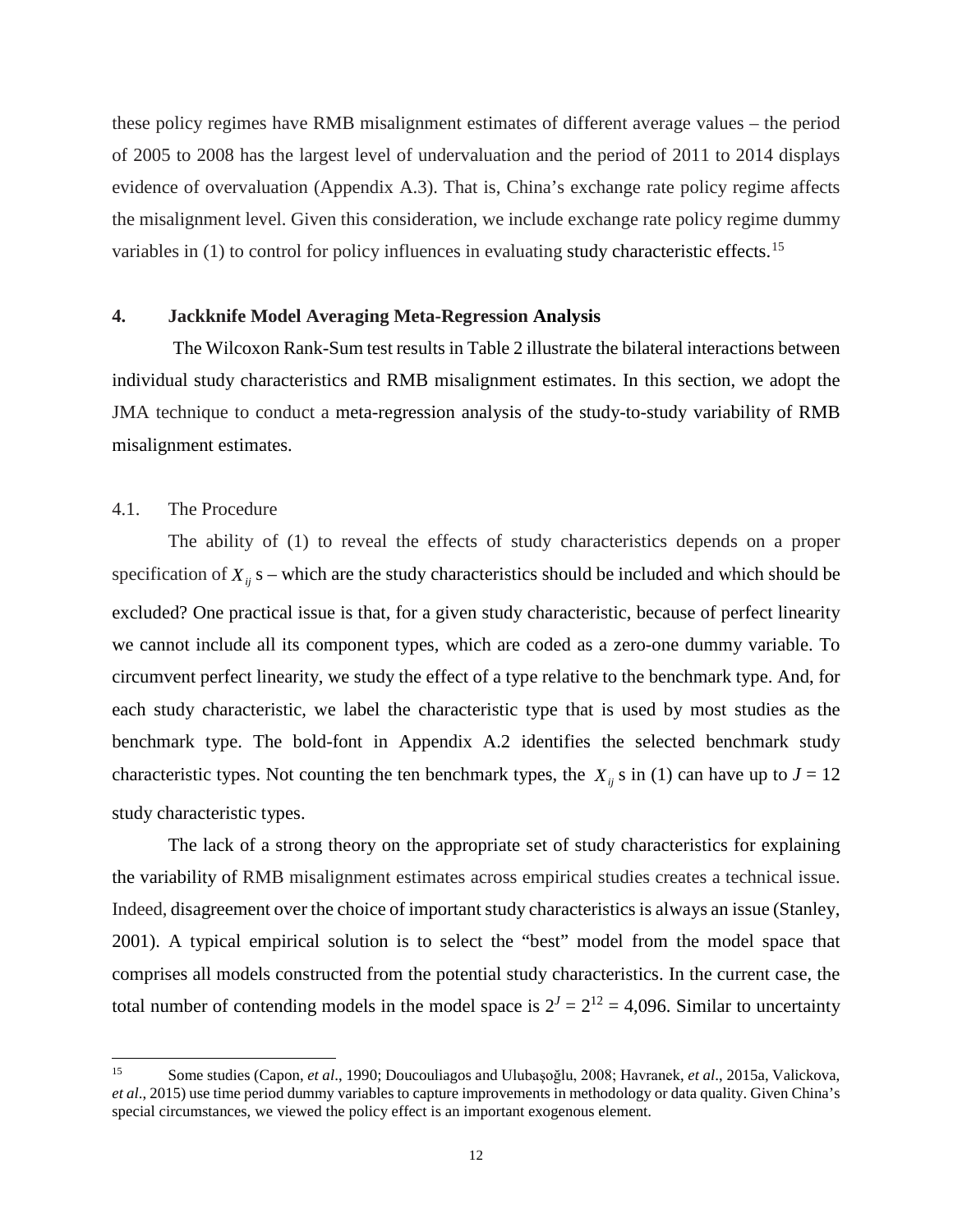these policy regimes have RMB misalignment estimates of different average values – the period of 2005 to 2008 has the largest level of undervaluation and the period of 2011 to 2014 displays evidence of overvaluation (Appendix A.3). That is, China's exchange rate policy regime affects the misalignment level. Given this consideration, we include exchange rate policy regime dummy variables in (1) to control for policy influences in evaluating study characteristic effects.<sup>[15](#page-13-0)</sup>

## **4. Jackknife Model Averaging Meta-Regression Analysis**

The Wilcoxon Rank-Sum test results in Table 2 illustrate the bilateral interactions between individual study characteristics and RMB misalignment estimates. In this section, we adopt the JMA technique to conduct a meta-regression analysis of the study-to-study variability of RMB misalignment estimates.

## 4.1. The Procedure

The ability of (1) to reveal the effects of study characteristics depends on a proper specification of  $X_{ii}$  s – which are the study characteristics should be included and which should be excluded? One practical issue is that, for a given study characteristic, because of perfect linearity we cannot include all its component types, which are coded as a zero-one dummy variable. To circumvent perfect linearity, we study the effect of a type relative to the benchmark type. And, for each study characteristic, we label the characteristic type that is used by most studies as the benchmark type. The bold-font in Appendix A.2 identifies the selected benchmark study characteristic types. Not counting the ten benchmark types, the  $X_{ii}$  s in (1) can have up to  $J = 12$ study characteristic types.

The lack of a strong theory on the appropriate set of study characteristics for explaining the variability of RMB misalignment estimates across empirical studies creates a technical issue. Indeed, disagreement over the choice of important study characteristics is always an issue (Stanley, 2001). A typical empirical solution is to select the "best" model from the model space that comprises all models constructed from the potential study characteristics. In the current case, the total number of contending models in the model space is  $2<sup>J</sup> = 2<sup>12</sup> = 4,096$ . Similar to uncertainty

<span id="page-13-0"></span> $15\,$ <sup>15</sup> Some studies (Capon, *et al*., 1990; Doucouliagos and Ulubaşoğlu, 2008; Havranek, *et al*., 2015a, Valickova, *et al*., 2015) use time period dummy variables to capture improvements in methodology or data quality. Given China's special circumstances, we viewed the policy effect is an important exogenous element.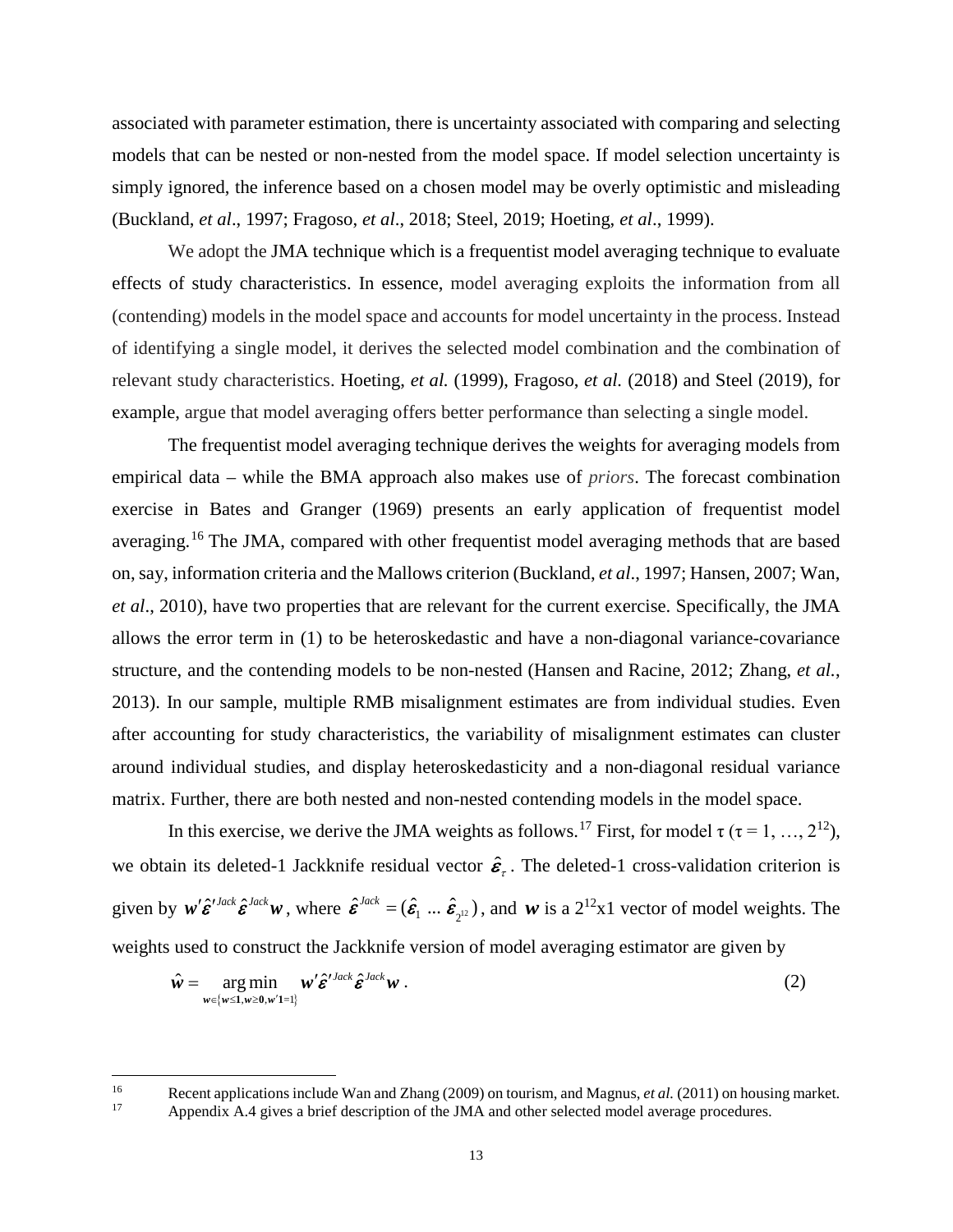associated with parameter estimation, there is uncertainty associated with comparing and selecting models that can be nested or non-nested from the model space. If model selection uncertainty is simply ignored, the inference based on a chosen model may be overly optimistic and misleading (Buckland, *et al*., 1997; Fragoso, *et al*., 2018; Steel, 2019; Hoeting, *et al*., 1999).

We adopt the JMA technique which is a frequentist model averaging technique to evaluate effects of study characteristics. In essence, model averaging exploits the information from all (contending) models in the model space and accounts for model uncertainty in the process. Instead of identifying a single model, it derives the selected model combination and the combination of relevant study characteristics. Hoeting, *et al.* (1999), Fragoso, *et al.* (2018) and Steel (2019), for example, argue that model averaging offers better performance than selecting a single model.

The frequentist model averaging technique derives the weights for averaging models from empirical data – while the BMA approach also makes use of *priors*. The forecast combination exercise in Bates and Granger (1969) presents an early application of frequentist model averaging.<sup>[16](#page-14-0)</sup> The JMA, compared with other frequentist model averaging methods that are based on, say, information criteria and the Mallows criterion (Buckland, *et al*., 1997; Hansen, 2007; Wan, *et al*., 2010), have two properties that are relevant for the current exercise. Specifically, the JMA allows the error term in (1) to be heteroskedastic and have a non-diagonal variance-covariance structure, and the contending models to be non-nested (Hansen and Racine, 2012; Zhang, *et al.*, 2013). In our sample, multiple RMB misalignment estimates are from individual studies. Even after accounting for study characteristics, the variability of misalignment estimates can cluster around individual studies, and display heteroskedasticity and a non-diagonal residual variance matrix. Further, there are both nested and non-nested contending models in the model space.

In this exercise, we derive the JMA weights as follows.<sup>[17](#page-14-1)</sup> First, for model  $\tau$  ( $\tau$  = 1, …, 2<sup>12</sup>), we obtain its deleted-1 Jackknife residual vector  $\hat{\epsilon}_t$ . The deleted-1 cross-validation criterion is given by  $w' \hat{\varepsilon}^{Jack} \hat{\varepsilon}^{Jack} w$ , where  $\hat{\varepsilon}^{Jack} = (\hat{\varepsilon}_1 \dots \hat{\varepsilon}_{2^{12}})$ , and w is a  $2^{12}x1$  vector of model weights. The weights used to construct the Jackknife version of model averaging estimator are given by

$$
\hat{\mathbf{w}} = \underset{\mathbf{w} \in \{\mathbf{w} \leq 1, \mathbf{w} \geq 0, \mathbf{w}' \mathbf{1} = 1\}}{\arg \min} \mathbf{w}' \hat{\mathbf{\varepsilon}}'^{Jack} \hat{\mathbf{\varepsilon}}^{Jack} \mathbf{w} . \tag{2}
$$

<span id="page-14-1"></span><span id="page-14-0"></span>16 Recent applications include Wan and Zhang (2009) on tourism, and Magnus, *et al.* (2011) on housing market.<br>17 Appendix A 4 gives a brief description of the IMA and other selected model average procedures.

 $\overline{\phantom{a}}$ 

Appendix A.4 gives a brief description of the JMA and other selected model average procedures.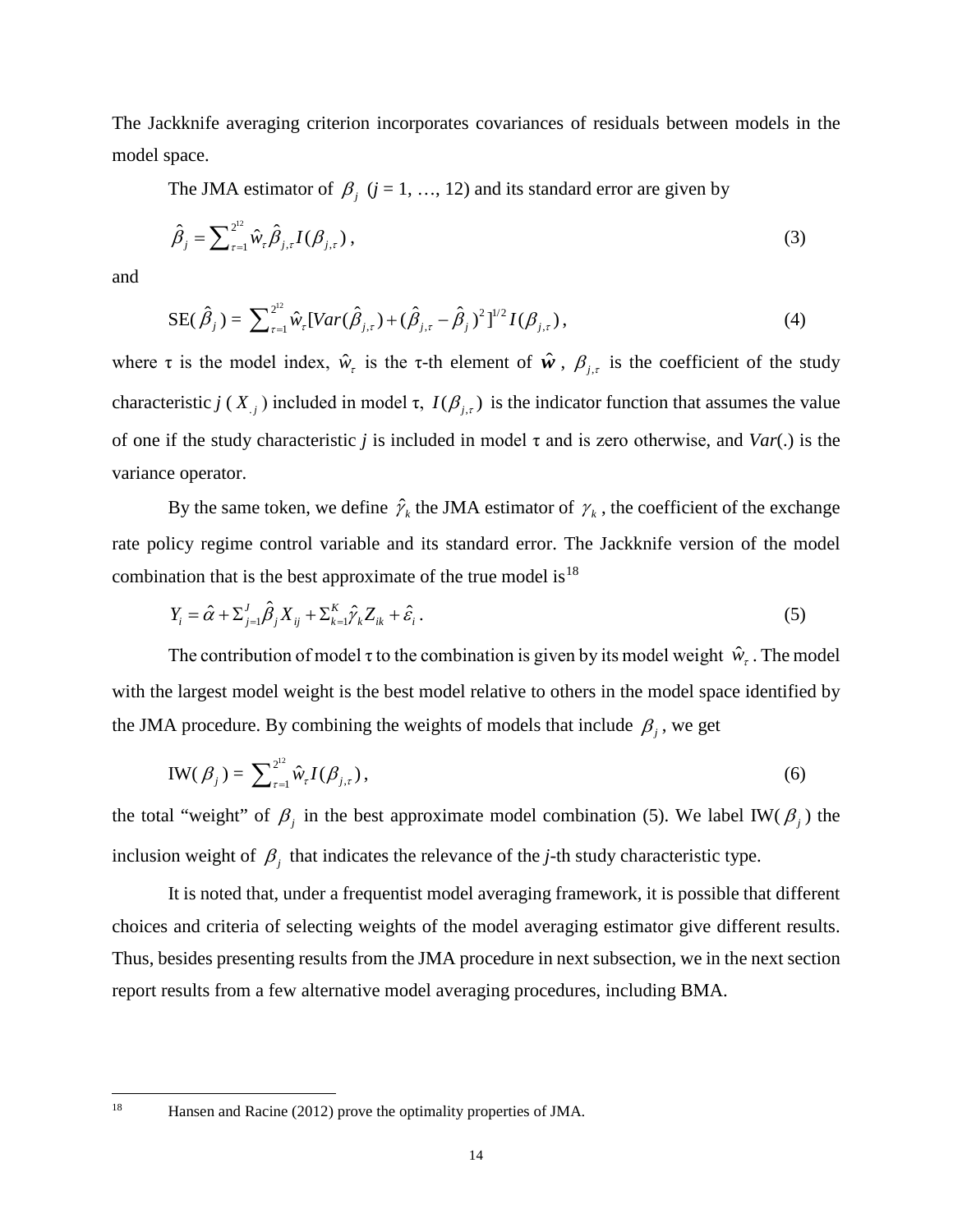The Jackknife averaging criterion incorporates covariances of residuals between models in the model space.

The JMA estimator of  $\beta_j$  ( $j = 1, ..., 12$ ) and its standard error are given by

$$
\hat{\beta}_j = \sum_{\tau=1}^{2^{12}} \hat{w}_{\tau} \hat{\beta}_{j,\tau} I(\beta_{j,\tau}),
$$
\n(3)

and

SE(
$$
\hat{\beta}_j
$$
) =  $\sum_{\tau=1}^{2^{12}} \hat{w}_{\tau} [Var(\hat{\beta}_{j,\tau}) + (\hat{\beta}_{j,\tau} - \hat{\beta}_j)^2]^{1/2} I(\beta_{j,\tau}),$  (4)

where  $\tau$  is the model index,  $\hat{w}_\tau$  is the  $\tau$ -th element of  $\hat{w}$ ,  $\beta_{i,\tau}$  is the coefficient of the study characteristic *j* ( $X_{i,j}$ ) included in model  $\tau$ ,  $I(\beta_{i,\tau})$  is the indicator function that assumes the value of one if the study characteristic *j* is included in model τ and is zero otherwise, and *Var*(.) is the variance operator.

By the same token, we define  $\hat{\gamma}_k$  the JMA estimator of  $\gamma_k$ , the coefficient of the exchange rate policy regime control variable and its standard error. The Jackknife version of the model combination that is the best approximate of the true model is<sup>[18](#page-15-0)</sup>

$$
Y_{i} = \hat{\alpha} + \sum_{j=1}^{J} \hat{\beta}_{j} X_{ij} + \sum_{k=1}^{K} \hat{\gamma}_{k} Z_{ik} + \hat{\varepsilon}_{i}.
$$
\n(5)

The contribution of model  $\tau$  to the combination is given by its model weight  $\hat{w}_{\tau}$ . The model with the largest model weight is the best model relative to others in the model space identified by the JMA procedure. By combining the weights of models that include  $\beta_j$ , we get

$$
IW(\beta_j) = \sum_{\tau=1}^{2^{12}} \hat{w}_{\tau} I(\beta_{j,\tau}),
$$
\n(6)

the total "weight" of  $\beta_j$  in the best approximate model combination (5). We label IW( $\beta_j$ ) the inclusion weight of  $\beta$ <sub>*i*</sub> that indicates the relevance of the *j*-th study characteristic type.

It is noted that, under a frequentist model averaging framework, it is possible that different choices and criteria of selecting weights of the model averaging estimator give different results. Thus, besides presenting results from the JMA procedure in next subsection, we in the next section report results from a few alternative model averaging procedures, including BMA.

<span id="page-15-0"></span>18

Hansen and Racine (2012) prove the optimality properties of JMA.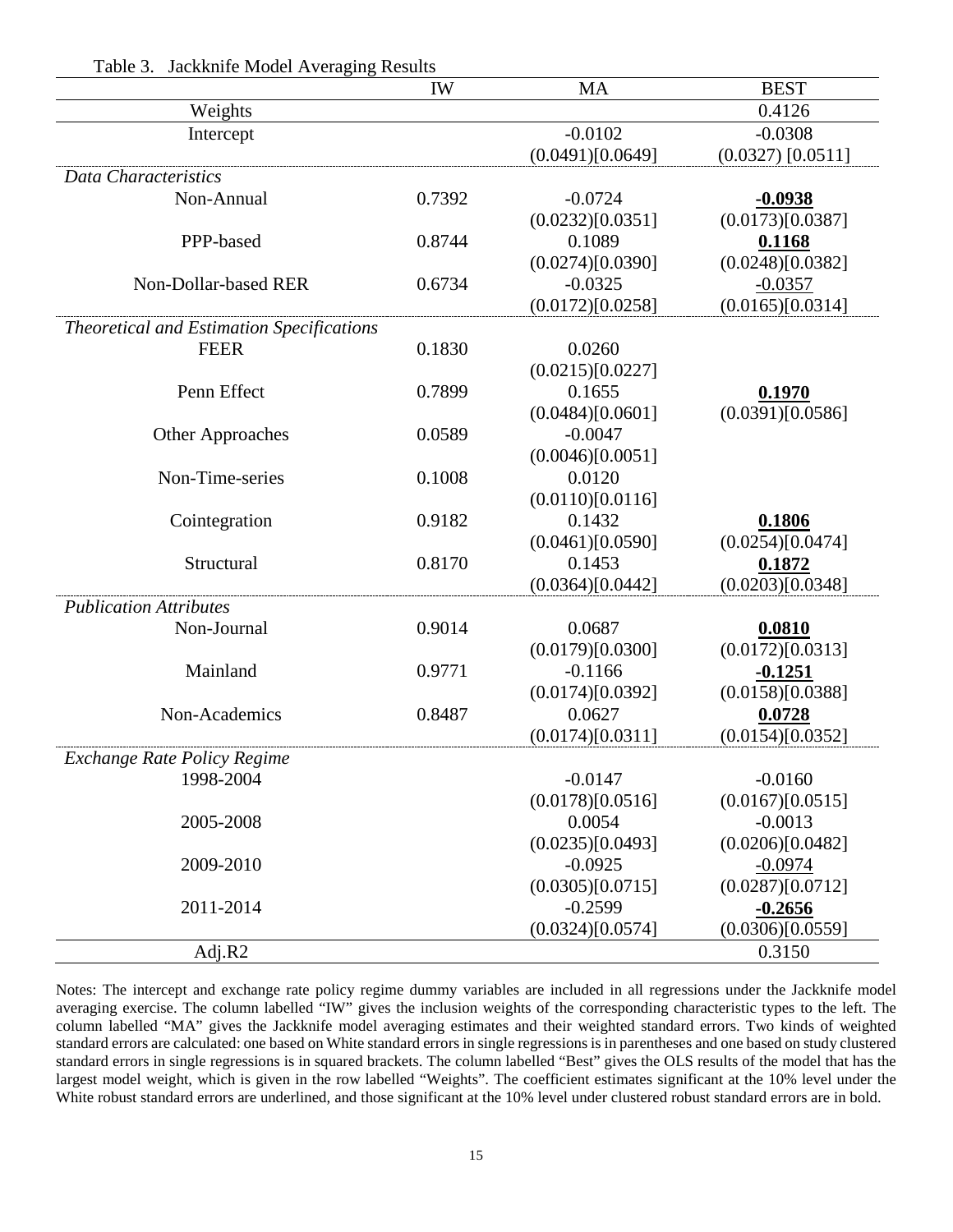|                                                  | <b>IW</b> | <b>MA</b>        | <b>BEST</b>         |
|--------------------------------------------------|-----------|------------------|---------------------|
| Weights                                          |           |                  | 0.4126              |
| Intercept                                        |           | $-0.0102$        | $-0.0308$           |
|                                                  |           | (0.0491)[0.0649] | $(0.0327)$ [0.0511] |
| Data Characteristics                             |           |                  |                     |
| Non-Annual                                       | 0.7392    | $-0.0724$        | $-0.0938$           |
|                                                  |           | (0.0232)[0.0351] | (0.0173)[0.0387]    |
| PPP-based                                        | 0.8744    | 0.1089           | 0.1168              |
|                                                  |           | (0.0274)[0.0390] | (0.0248)[0.0382]    |
| Non-Dollar-based RER                             | 0.6734    | $-0.0325$        | $-0.0357$           |
|                                                  |           | (0.0172)[0.0258] | (0.0165)[0.0314]    |
| <b>Theoretical and Estimation Specifications</b> |           |                  |                     |
| <b>FEER</b>                                      | 0.1830    | 0.0260           |                     |
|                                                  |           | (0.0215)[0.0227] |                     |
| Penn Effect                                      | 0.7899    | 0.1655           | 0.1970              |
|                                                  |           | (0.0484)[0.0601] | (0.0391)[0.0586]    |
| <b>Other Approaches</b>                          | 0.0589    | $-0.0047$        |                     |
|                                                  |           | (0.0046)[0.0051] |                     |
| Non-Time-series                                  | 0.1008    | 0.0120           |                     |
|                                                  |           | (0.0110)[0.0116] |                     |
| Cointegration                                    | 0.9182    | 0.1432           | 0.1806              |
|                                                  |           | (0.0461)[0.0590] | (0.0254)[0.0474]    |
| Structural                                       | 0.8170    | 0.1453           | 0.1872              |
|                                                  |           | (0.0364)[0.0442] | (0.0203)[0.0348]    |
| <b>Publication Attributes</b>                    |           |                  |                     |
| Non-Journal                                      | 0.9014    | 0.0687           | 0.0810              |
|                                                  |           | (0.0179)[0.0300] | (0.0172)[0.0313]    |
| Mainland                                         | 0.9771    | $-0.1166$        | $-0.1251$           |
|                                                  |           | (0.0174)[0.0392] | (0.0158)[0.0388]    |
| Non-Academics                                    | 0.8487    | 0.0627           | 0.0728              |
|                                                  |           | (0.0174)[0.0311] | (0.0154)[0.0352]    |
| <b>Exchange Rate Policy Regime</b>               |           |                  |                     |
| 1998-2004                                        |           | $-0.0147$        | $-0.0160$           |
|                                                  |           | (0.0178)[0.0516] | (0.0167)[0.0515]    |
| 2005-2008                                        |           | 0.0054           | $-0.0013$           |
|                                                  |           | (0.0235)[0.0493] | (0.0206)[0.0482]    |
| 2009-2010                                        |           | $-0.0925$        | $-0.0974$           |
|                                                  |           | (0.0305)[0.0715] | (0.0287)[0.0712]    |
| 2011-2014                                        |           | $-0.2599$        | $-0.2656$           |
|                                                  |           | (0.0324)[0.0574] | (0.0306)[0.0559]    |
| Adj. $R2$                                        |           |                  | 0.3150              |

Table 3. Jackknife Model Averaging Results

Notes: The intercept and exchange rate policy regime dummy variables are included in all regressions under the Jackknife model averaging exercise. The column labelled "IW" gives the inclusion weights of the corresponding characteristic types to the left. The column labelled "MA" gives the Jackknife model averaging estimates and their weighted standard errors. Two kinds of weighted standard errors are calculated: one based on White standard errors in single regressions is in parentheses and one based on study clustered standard errors in single regressions is in squared brackets. The column labelled "Best" gives the OLS results of the model that has the largest model weight, which is given in the row labelled "Weights". The coefficient estimates significant at the 10% level under the White robust standard errors are underlined, and those significant at the 10% level under clustered robust standard errors are in bold.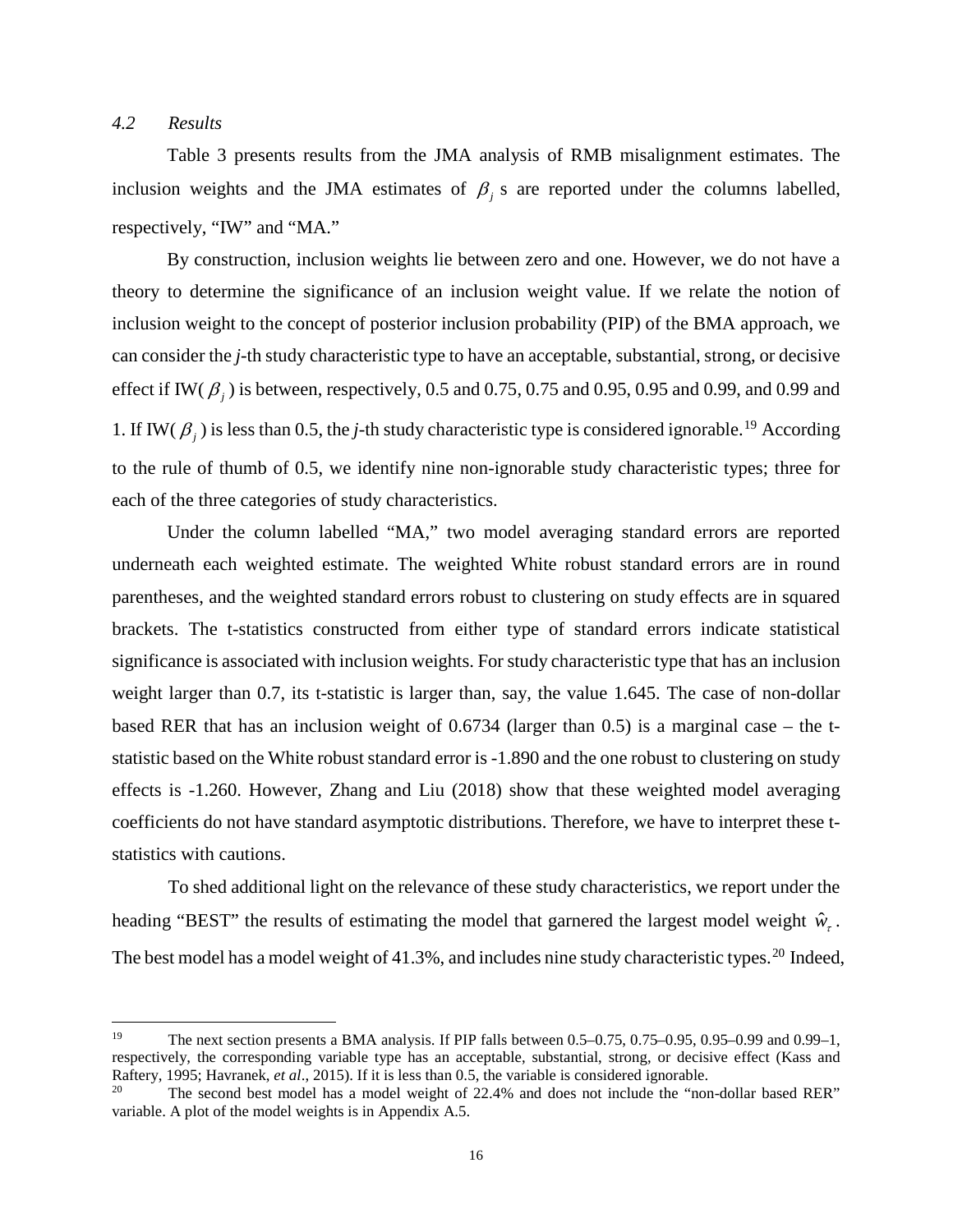## *4.2 Results*

 $\overline{\phantom{a}}$ 

Table 3 presents results from the JMA analysis of RMB misalignment estimates. The inclusion weights and the JMA estimates of  $\beta$  *j* s are reported under the columns labelled, respectively, "IW" and "MA."

By construction, inclusion weights lie between zero and one. However, we do not have a theory to determine the significance of an inclusion weight value. If we relate the notion of inclusion weight to the concept of posterior inclusion probability (PIP) of the BMA approach, we can consider the *j*-th study characteristic type to have an acceptable, substantial, strong, or decisive effect if IW( $\beta$ <sub>i</sub>) is between, respectively, 0.5 and 0.75, 0.75 and 0.95, 0.95 and 0.99, and 0.99 and 1. If IW( $\beta_j$ ) is less than 0.5, the *j*-th study characteristic type is considered ignorable.<sup>[19](#page-17-0)</sup> According to the rule of thumb of 0.5, we identify nine non-ignorable study characteristic types; three for each of the three categories of study characteristics.

Under the column labelled "MA," two model averaging standard errors are reported underneath each weighted estimate. The weighted White robust standard errors are in round parentheses, and the weighted standard errors robust to clustering on study effects are in squared brackets. The t-statistics constructed from either type of standard errors indicate statistical significance is associated with inclusion weights. For study characteristic type that has an inclusion weight larger than 0.7, its t-statistic is larger than, say, the value 1.645. The case of non-dollar based RER that has an inclusion weight of 0.6734 (larger than 0.5) is a marginal case – the tstatistic based on the White robust standard error is -1.890 and the one robust to clustering on study effects is -1.260. However, Zhang and Liu (2018) show that these weighted model averaging coefficients do not have standard asymptotic distributions. Therefore, we have to interpret these tstatistics with cautions.

To shed additional light on the relevance of these study characteristics, we report under the heading "BEST" the results of estimating the model that garnered the largest model weight  $\hat{w}_r$ . The best model has a model weight of 41.3%, and includes nine study characteristic types.<sup>[20](#page-17-1)</sup> Indeed,

<span id="page-17-0"></span><sup>&</sup>lt;sup>19</sup> The next section presents a BMA analysis. If PIP falls between 0.5–0.75, 0.75–0.95, 0.95–0.99 and 0.99–1, respectively, the corresponding variable type has an acceptable, substantial, strong, or decisive effect (Kass and Raftery, 1995; Havranek, *et al*., 2015). If it is less than 0.5, the variable is considered ignorable.

<span id="page-17-1"></span><sup>&</sup>lt;sup>20</sup> The second best model has a model weight of  $22.4\%$  and does not include the "non-dollar based RER" variable. A plot of the model weights is in Appendix A.5.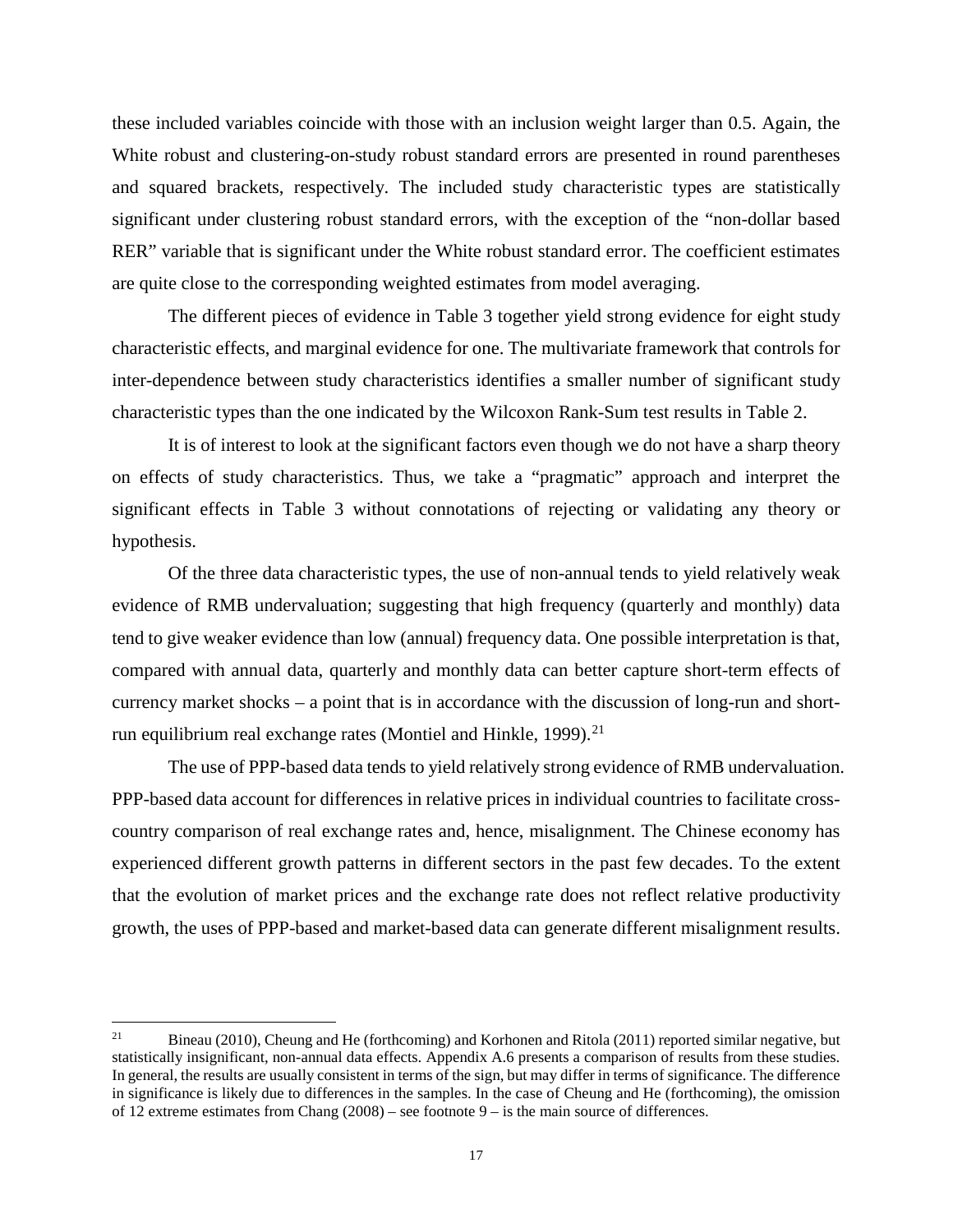these included variables coincide with those with an inclusion weight larger than 0.5. Again, the White robust and clustering-on-study robust standard errors are presented in round parentheses and squared brackets, respectively. The included study characteristic types are statistically significant under clustering robust standard errors, with the exception of the "non-dollar based RER" variable that is significant under the White robust standard error. The coefficient estimates are quite close to the corresponding weighted estimates from model averaging.

The different pieces of evidence in Table 3 together yield strong evidence for eight study characteristic effects, and marginal evidence for one. The multivariate framework that controls for inter-dependence between study characteristics identifies a smaller number of significant study characteristic types than the one indicated by the Wilcoxon Rank-Sum test results in Table 2.

It is of interest to look at the significant factors even though we do not have a sharp theory on effects of study characteristics. Thus, we take a "pragmatic" approach and interpret the significant effects in Table 3 without connotations of rejecting or validating any theory or hypothesis.

Of the three data characteristic types, the use of non-annual tends to yield relatively weak evidence of RMB undervaluation; suggesting that high frequency (quarterly and monthly) data tend to give weaker evidence than low (annual) frequency data. One possible interpretation is that, compared with annual data, quarterly and monthly data can better capture short-term effects of currency market shocks – a point that is in accordance with the discussion of long-run and short-run equilibrium real exchange rates (Montiel and Hinkle, 1999).<sup>[21](#page-18-0)</sup>

The use of PPP-based data tends to yield relatively strong evidence of RMB undervaluation. PPP-based data account for differences in relative prices in individual countries to facilitate crosscountry comparison of real exchange rates and, hence, misalignment. The Chinese economy has experienced different growth patterns in different sectors in the past few decades. To the extent that the evolution of market prices and the exchange rate does not reflect relative productivity growth, the uses of PPP-based and market-based data can generate different misalignment results.

<span id="page-18-0"></span> $21$ <sup>21</sup> Bineau (2010), Cheung and He (forthcoming) and Korhonen and Ritola (2011) reported similar negative, but statistically insignificant, non-annual data effects. Appendix A.6 presents a comparison of results from these studies. In general, the results are usually consistent in terms of the sign, but may differ in terms of significance. The difference in significance is likely due to differences in the samples. In the case of Cheung and He (forthcoming), the omission of 12 extreme estimates from Chang  $(2008)$  – see footnote  $9 -$  is the main source of differences.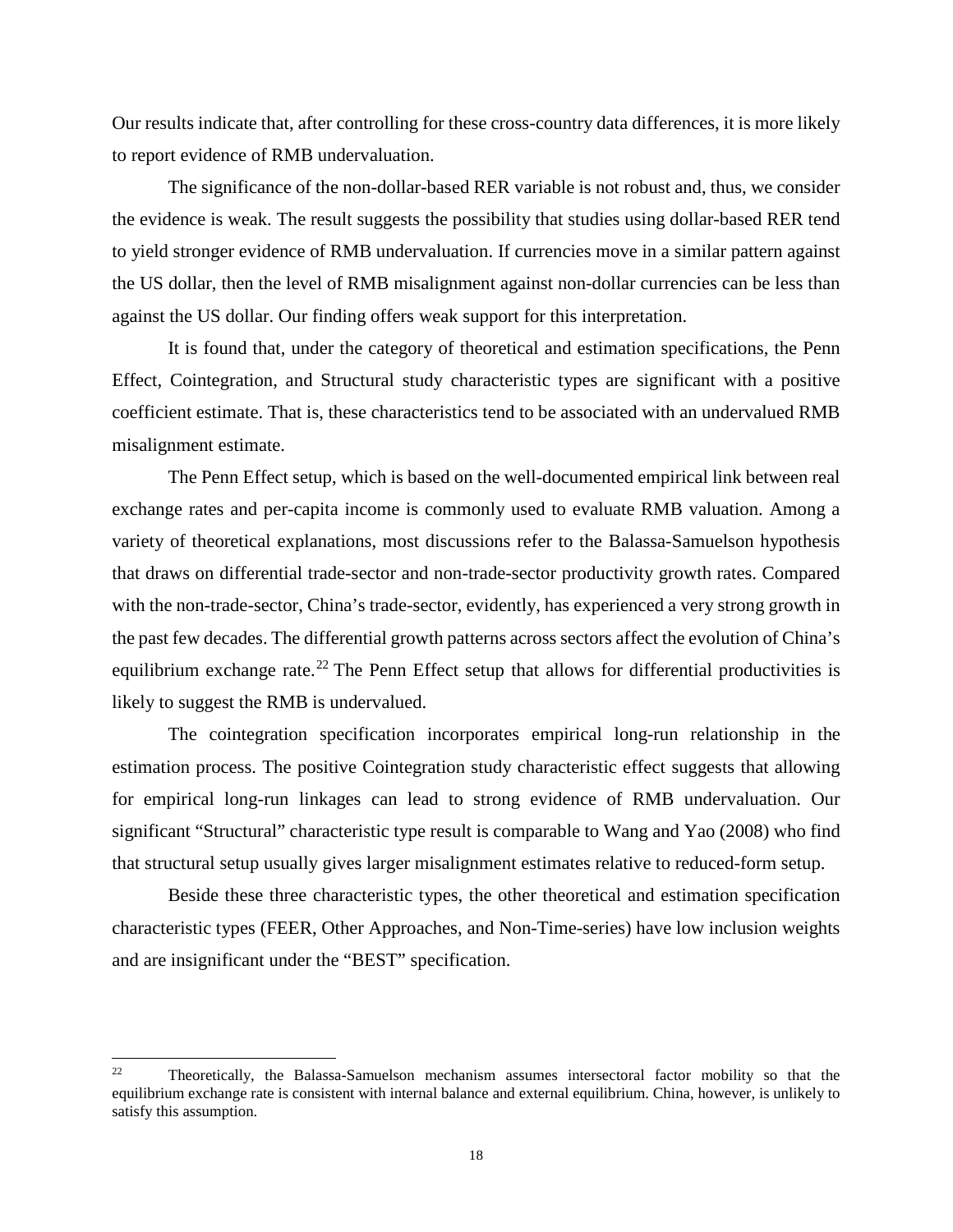Our results indicate that, after controlling for these cross-country data differences, it is more likely to report evidence of RMB undervaluation.

The significance of the non-dollar-based RER variable is not robust and, thus, we consider the evidence is weak. The result suggests the possibility that studies using dollar-based RER tend to yield stronger evidence of RMB undervaluation. If currencies move in a similar pattern against the US dollar, then the level of RMB misalignment against non-dollar currencies can be less than against the US dollar. Our finding offers weak support for this interpretation.

It is found that, under the category of theoretical and estimation specifications, the Penn Effect, Cointegration, and Structural study characteristic types are significant with a positive coefficient estimate. That is, these characteristics tend to be associated with an undervalued RMB misalignment estimate.

The Penn Effect setup, which is based on the well-documented empirical link between real exchange rates and per-capita income is commonly used to evaluate RMB valuation. Among a variety of theoretical explanations, most discussions refer to the Balassa-Samuelson hypothesis that draws on differential trade-sector and non-trade-sector productivity growth rates. Compared with the non-trade-sector, China's trade-sector, evidently, has experienced a very strong growth in the past few decades. The differential growth patterns across sectors affect the evolution of China's equilibrium exchange rate.<sup>[22](#page-19-0)</sup> The Penn Effect setup that allows for differential productivities is likely to suggest the RMB is undervalued.

The cointegration specification incorporates empirical long-run relationship in the estimation process. The positive Cointegration study characteristic effect suggests that allowing for empirical long-run linkages can lead to strong evidence of RMB undervaluation. Our significant "Structural" characteristic type result is comparable to Wang and Yao (2008) who find that structural setup usually gives larger misalignment estimates relative to reduced-form setup.

Beside these three characteristic types, the other theoretical and estimation specification characteristic types (FEER, Other Approaches, and Non-Time-series) have low inclusion weights and are insignificant under the "BEST" specification.

<span id="page-19-0"></span> $22\,$ <sup>22</sup> Theoretically, the Balassa-Samuelson mechanism assumes intersectoral factor mobility so that the equilibrium exchange rate is consistent with internal balance and external equilibrium. China, however, is unlikely to satisfy this assumption.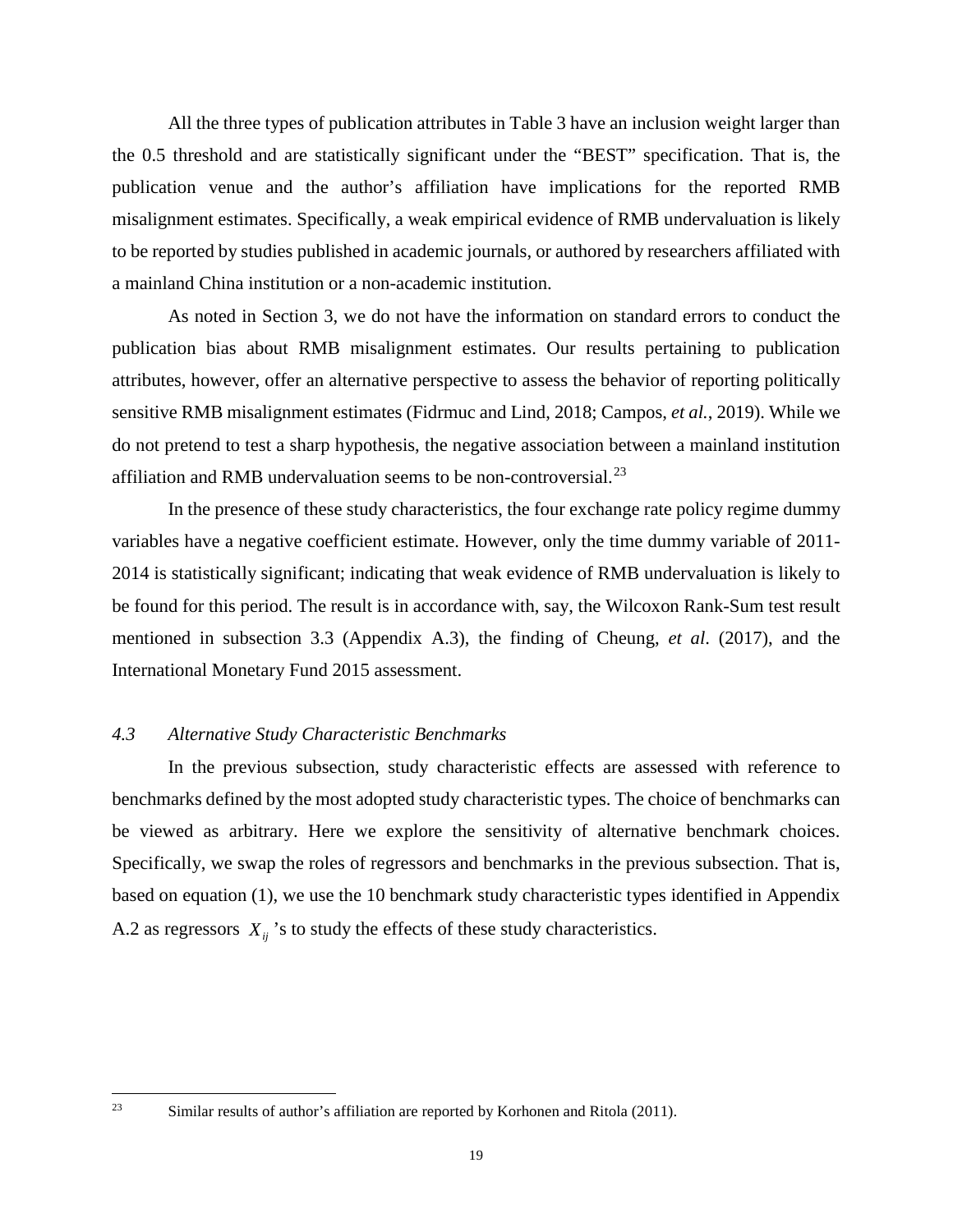All the three types of publication attributes in Table 3 have an inclusion weight larger than the 0.5 threshold and are statistically significant under the "BEST" specification. That is, the publication venue and the author's affiliation have implications for the reported RMB misalignment estimates. Specifically, a weak empirical evidence of RMB undervaluation is likely to be reported by studies published in academic journals, or authored by researchers affiliated with a mainland China institution or a non-academic institution.

As noted in Section 3, we do not have the information on standard errors to conduct the publication bias about RMB misalignment estimates. Our results pertaining to publication attributes, however, offer an alternative perspective to assess the behavior of reporting politically sensitive RMB misalignment estimates (Fidrmuc and Lind, 2018; Campos, *et al.*, 2019). While we do not pretend to test a sharp hypothesis, the negative association between a mainland institution affiliation and RMB undervaluation seems to be non-controversial.<sup>[23](#page-20-0)</sup>

In the presence of these study characteristics, the four exchange rate policy regime dummy variables have a negative coefficient estimate. However, only the time dummy variable of 2011- 2014 is statistically significant; indicating that weak evidence of RMB undervaluation is likely to be found for this period. The result is in accordance with, say, the Wilcoxon Rank-Sum test result mentioned in subsection 3.3 (Appendix A.3), the finding of Cheung, *et al*. (2017), and the International Monetary Fund 2015 assessment.

## *4.3 Alternative Study Characteristic Benchmarks*

In the previous subsection, study characteristic effects are assessed with reference to benchmarks defined by the most adopted study characteristic types. The choice of benchmarks can be viewed as arbitrary. Here we explore the sensitivity of alternative benchmark choices. Specifically, we swap the roles of regressors and benchmarks in the previous subsection. That is, based on equation (1), we use the 10 benchmark study characteristic types identified in Appendix A.2 as regressors  $X_{ii}$ 's to study the effects of these study characteristics.

<span id="page-20-0"></span> $23$ 

Similar results of author's affiliation are reported by Korhonen and Ritola (2011).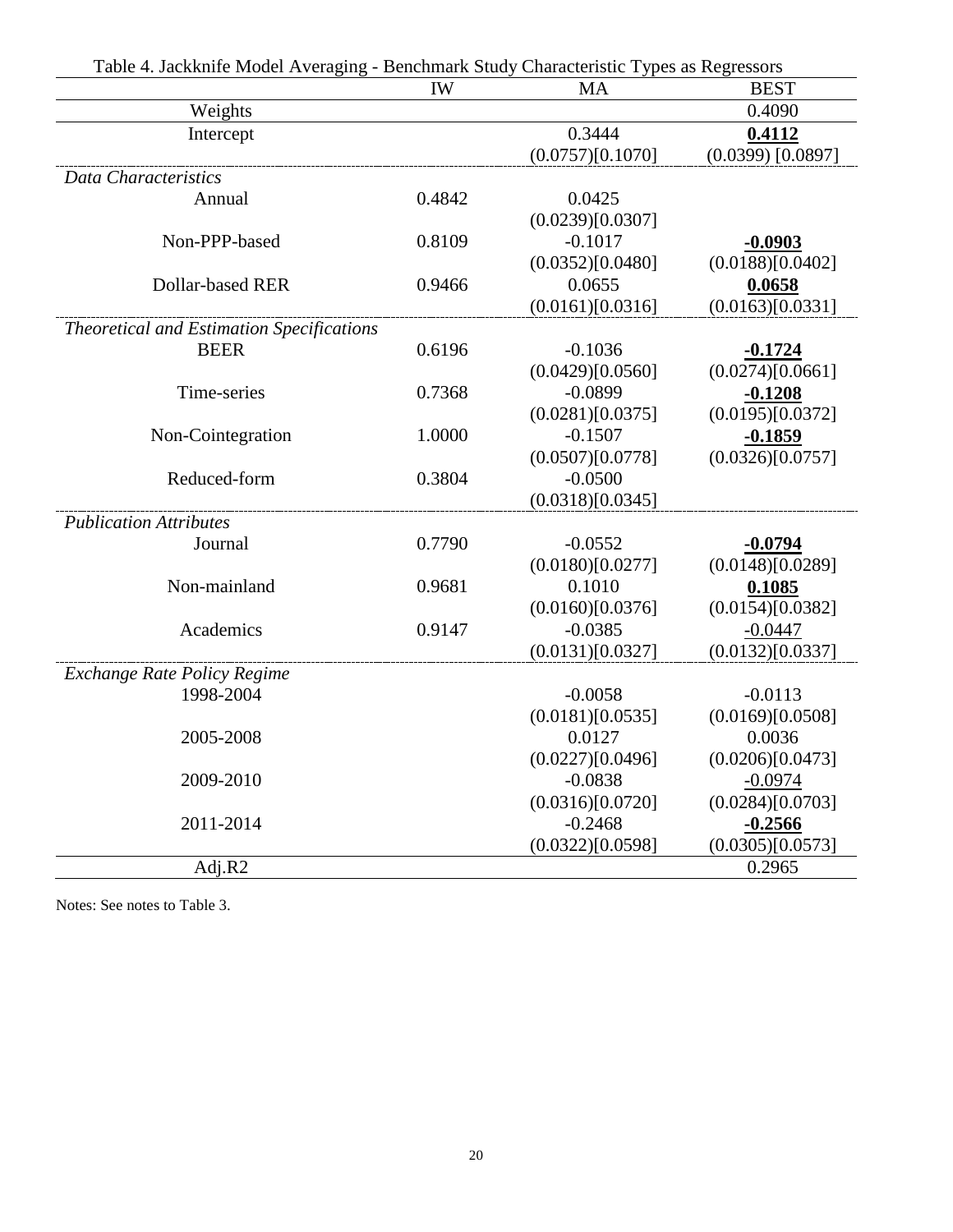| Table 4. Jackkille Model Averaging - Benchmark Study Characteristic Types as Regressors |           |                  |                     |
|-----------------------------------------------------------------------------------------|-----------|------------------|---------------------|
|                                                                                         | <b>IW</b> | MA               | <b>BEST</b>         |
| Weights                                                                                 |           |                  | 0.4090              |
| Intercept                                                                               |           | 0.3444           | 0.4112              |
|                                                                                         |           | (0.0757)[0.1070] | $(0.0399)$ [0.0897] |
| Data Characteristics                                                                    |           |                  |                     |
| Annual                                                                                  | 0.4842    | 0.0425           |                     |
|                                                                                         |           | (0.0239)[0.0307] |                     |
| Non-PPP-based                                                                           | 0.8109    | $-0.1017$        | $-0.0903$           |
|                                                                                         |           | (0.0352)[0.0480] | (0.0188)[0.0402]    |
| <b>Dollar-based RER</b>                                                                 | 0.9466    | 0.0655           | 0.0658              |
|                                                                                         |           | (0.0161)[0.0316] | (0.0163)[0.0331]    |
| Theoretical and Estimation Specifications                                               |           |                  |                     |
| <b>BEER</b>                                                                             | 0.6196    | $-0.1036$        | $-0.1724$           |
|                                                                                         |           | (0.0429)[0.0560] | (0.0274)[0.0661]    |
| Time-series                                                                             | 0.7368    | $-0.0899$        | $-0.1208$           |
|                                                                                         |           | (0.0281)[0.0375] | (0.0195)[0.0372]    |
| Non-Cointegration                                                                       | 1.0000    | $-0.1507$        | $-0.1859$           |
|                                                                                         |           | (0.0507)[0.0778] | (0.0326)[0.0757]    |
| Reduced-form                                                                            | 0.3804    | $-0.0500$        |                     |
|                                                                                         |           | (0.0318)[0.0345] |                     |
| <b>Publication Attributes</b>                                                           |           |                  |                     |
| Journal                                                                                 | 0.7790    | $-0.0552$        | $-0.0794$           |
|                                                                                         |           | (0.0180)[0.0277] | (0.0148)[0.0289]    |
| Non-mainland                                                                            | 0.9681    | 0.1010           | 0.1085              |
|                                                                                         |           | (0.0160)[0.0376] | (0.0154)[0.0382]    |
| Academics                                                                               | 0.9147    | $-0.0385$        | $-0.0447$           |
|                                                                                         |           | (0.0131)[0.0327] | (0.0132)[0.0337]    |
| <b>Exchange Rate Policy Regime</b>                                                      |           |                  |                     |
| 1998-2004                                                                               |           | $-0.0058$        | $-0.0113$           |
|                                                                                         |           | (0.0181)[0.0535] | (0.0169)[0.0508]    |
| 2005-2008                                                                               |           | 0.0127           | 0.0036              |
|                                                                                         |           | (0.0227)[0.0496] | (0.0206)[0.0473]    |
| 2009-2010                                                                               |           | $-0.0838$        | $-0.0974$           |
|                                                                                         |           | (0.0316)[0.0720] | (0.0284)[0.0703]    |
| 2011-2014                                                                               |           | $-0.2468$        | $-0.2566$           |
|                                                                                         |           | (0.0322)[0.0598] | (0.0305)[0.0573]    |
| Adj.R2                                                                                  |           |                  | 0.2965              |

Table 4. Jackknife Model Averaging - Benchmark Study Characteristic Types as Regressors

Notes: See notes to Table 3.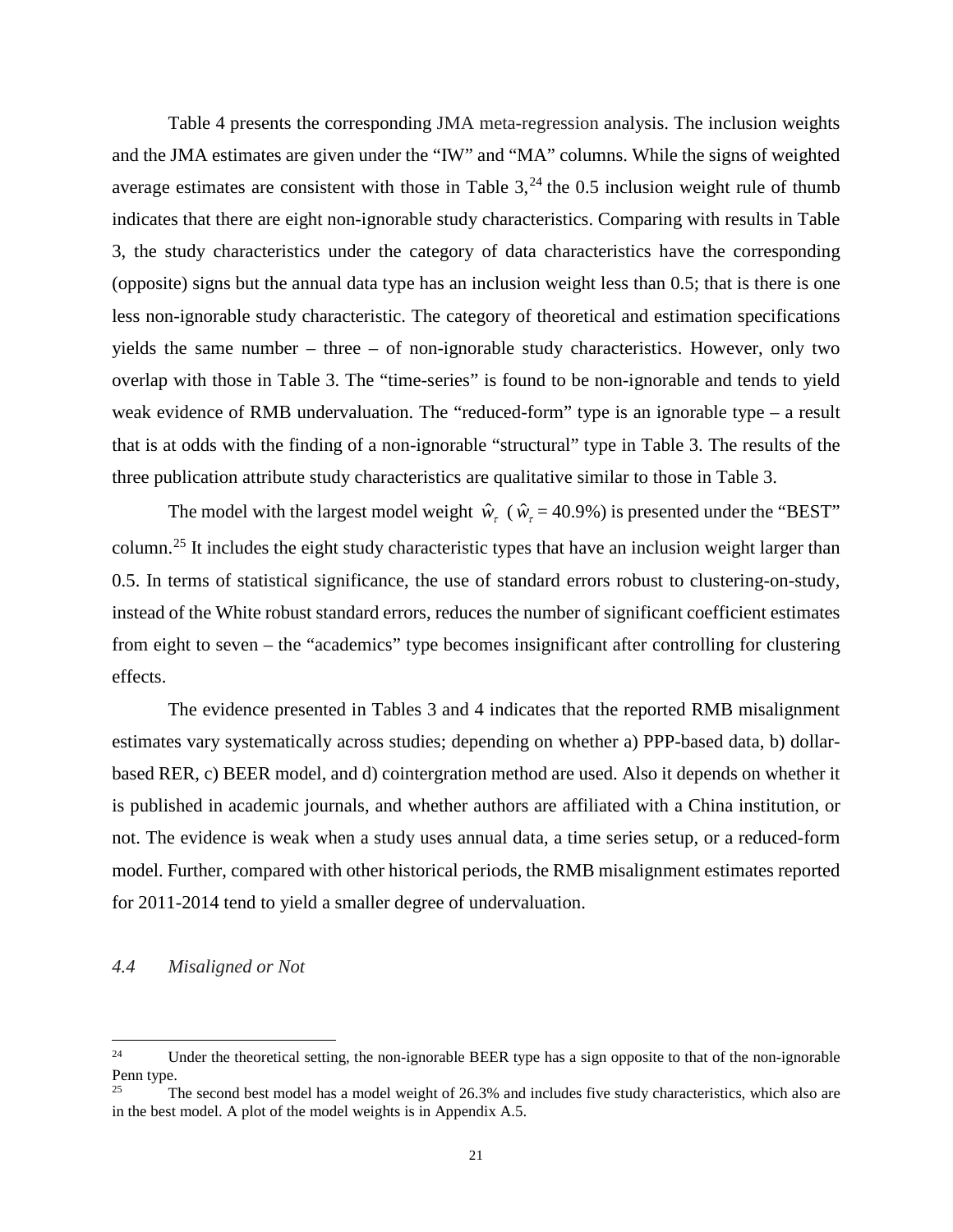Table 4 presents the corresponding JMA meta-regression analysis. The inclusion weights and the JMA estimates are given under the "IW" and "MA" columns. While the signs of weighted average estimates are consistent with those in Table  $3^{24}$  $3^{24}$  $3^{24}$ , the 0.5 inclusion weight rule of thumb indicates that there are eight non-ignorable study characteristics. Comparing with results in Table 3, the study characteristics under the category of data characteristics have the corresponding (opposite) signs but the annual data type has an inclusion weight less than 0.5; that is there is one less non-ignorable study characteristic. The category of theoretical and estimation specifications yields the same number – three – of non-ignorable study characteristics. However, only two overlap with those in Table 3. The "time-series" is found to be non-ignorable and tends to yield weak evidence of RMB undervaluation. The "reduced-form" type is an ignorable type – a result that is at odds with the finding of a non-ignorable "structural" type in Table 3. The results of the three publication attribute study characteristics are qualitative similar to those in Table 3.

The model with the largest model weight  $\hat{w}_r$  ( $\hat{w}_r$  = 40.9%) is presented under the "BEST" column.[25](#page-22-1) It includes the eight study characteristic types that have an inclusion weight larger than 0.5. In terms of statistical significance, the use of standard errors robust to clustering-on-study, instead of the White robust standard errors, reduces the number of significant coefficient estimates from eight to seven – the "academics" type becomes insignificant after controlling for clustering effects.

The evidence presented in Tables 3 and 4 indicates that the reported RMB misalignment estimates vary systematically across studies; depending on whether a) PPP-based data, b) dollarbased RER, c) BEER model, and d) cointergration method are used. Also it depends on whether it is published in academic journals, and whether authors are affiliated with a China institution, or not. The evidence is weak when a study uses annual data, a time series setup, or a reduced-form model. Further, compared with other historical periods, the RMB misalignment estimates reported for 2011-2014 tend to yield a smaller degree of undervaluation.

## *4.4 Misaligned or Not*

<span id="page-22-0"></span> $24$ Under the theoretical setting, the non-ignorable BEER type has a sign opposite to that of the non-ignorable Penn type.<br> $25$ 

<span id="page-22-1"></span>The second best model has a model weight of 26.3% and includes five study characteristics, which also are in the best model. A plot of the model weights is in Appendix A.5.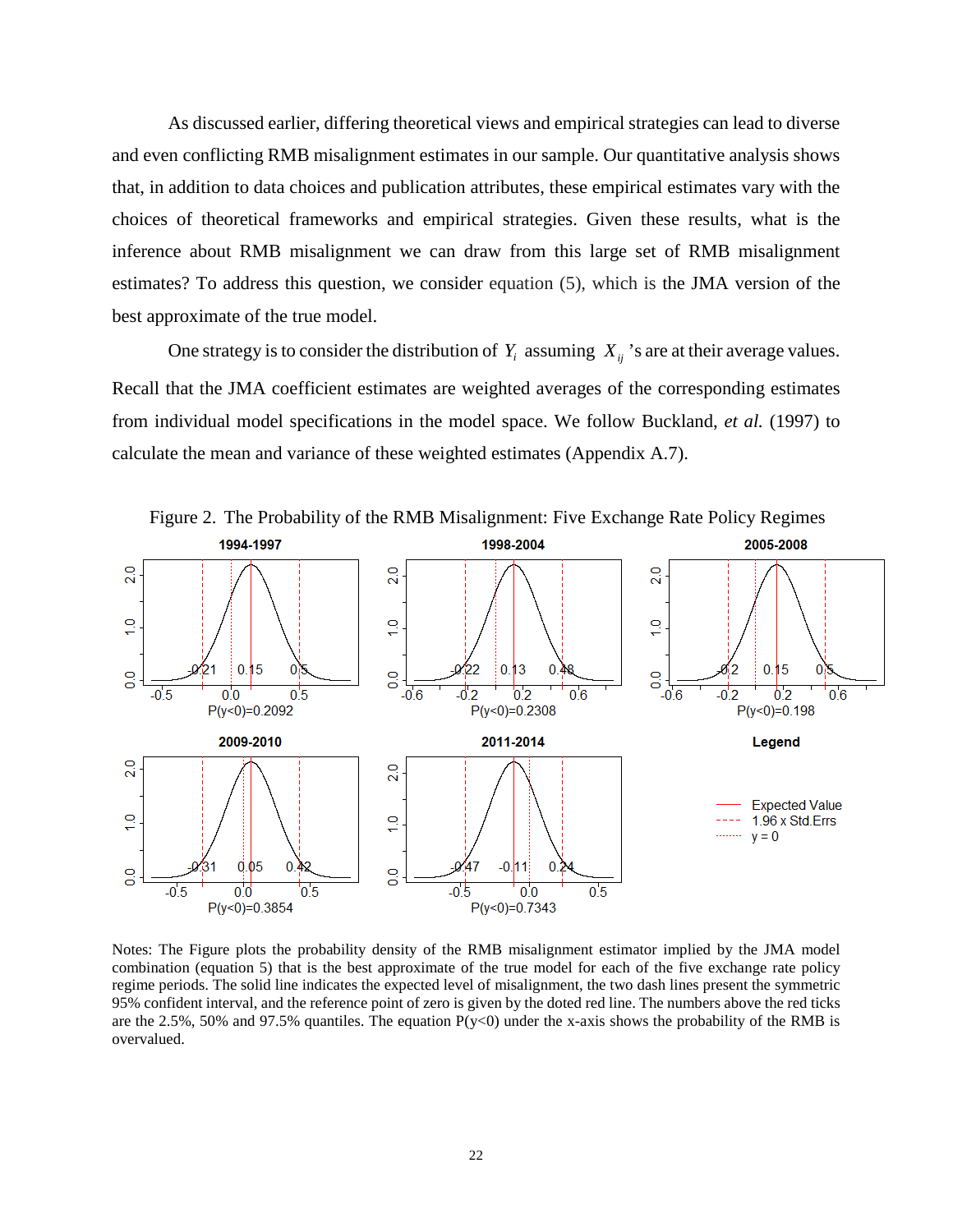As discussed earlier, differing theoretical views and empirical strategies can lead to diverse and even conflicting RMB misalignment estimates in our sample. Our quantitative analysis shows that, in addition to data choices and publication attributes, these empirical estimates vary with the choices of theoretical frameworks and empirical strategies. Given these results, what is the inference about RMB misalignment we can draw from this large set of RMB misalignment estimates? To address this question, we consider equation (5), which is the JMA version of the best approximate of the true model.

One strategy is to consider the distribution of  $Y_i$  assuming  $X_{ii}$ 's are at their average values. Recall that the JMA coefficient estimates are weighted averages of the corresponding estimates from individual model specifications in the model space. We follow Buckland, *et al.* (1997) to calculate the mean and variance of these weighted estimates (Appendix A.7).



Notes: The Figure plots the probability density of the RMB misalignment estimator implied by the JMA model combination (equation 5) that is the best approximate of the true model for each of the five exchange rate policy regime periods. The solid line indicates the expected level of misalignment, the two dash lines present the symmetric 95% confident interval, and the reference point of zero is given by the doted red line. The numbers above the red ticks are the 2.5%, 50% and 97.5% quantiles. The equation  $P(y<0)$  under the x-axis shows the probability of the RMB is overvalued.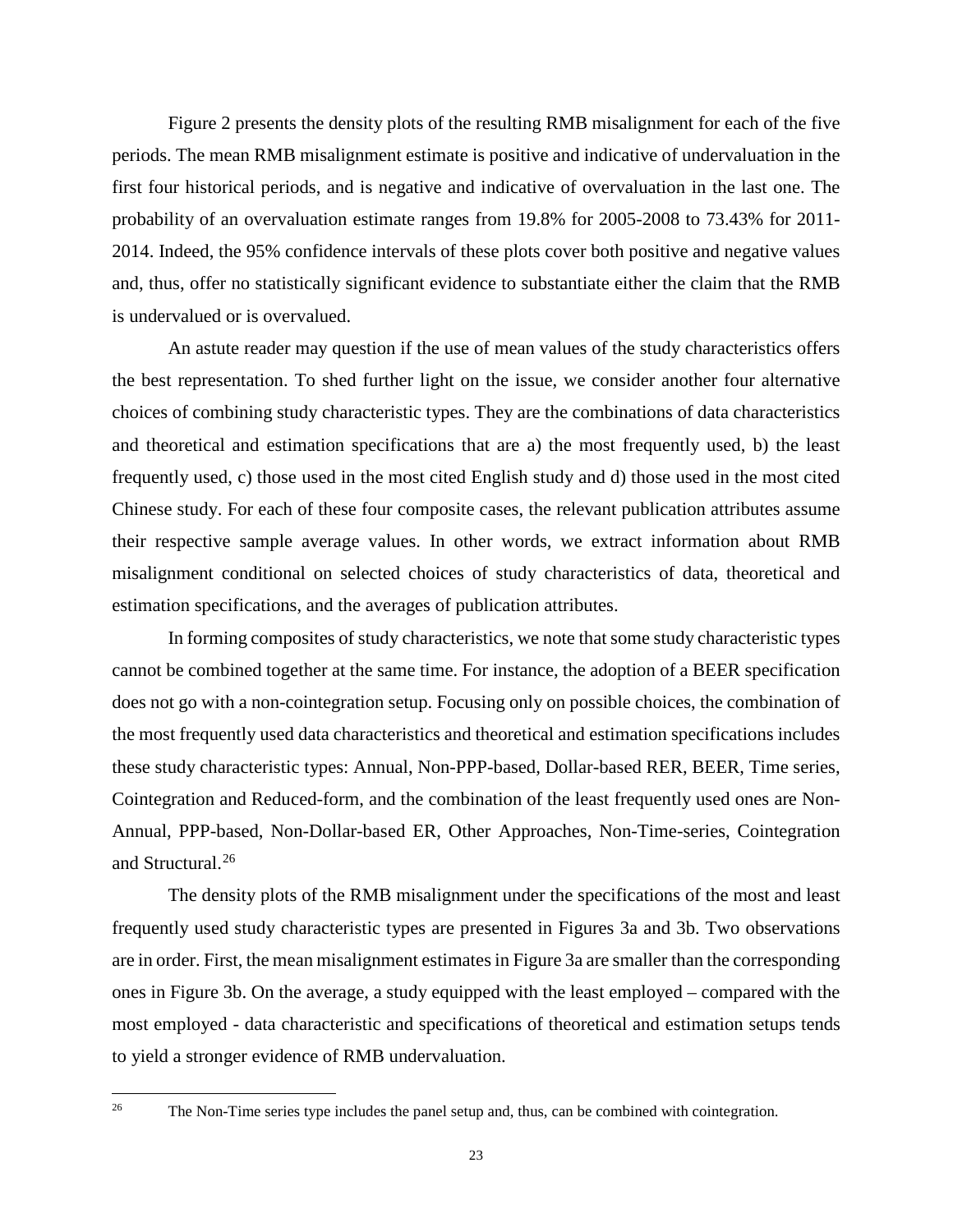Figure 2 presents the density plots of the resulting RMB misalignment for each of the five periods. The mean RMB misalignment estimate is positive and indicative of undervaluation in the first four historical periods, and is negative and indicative of overvaluation in the last one. The probability of an overvaluation estimate ranges from 19.8% for 2005-2008 to 73.43% for 2011- 2014. Indeed, the 95% confidence intervals of these plots cover both positive and negative values and, thus, offer no statistically significant evidence to substantiate either the claim that the RMB is undervalued or is overvalued.

An astute reader may question if the use of mean values of the study characteristics offers the best representation. To shed further light on the issue, we consider another four alternative choices of combining study characteristic types. They are the combinations of data characteristics and theoretical and estimation specifications that are a) the most frequently used, b) the least frequently used, c) those used in the most cited English study and d) those used in the most cited Chinese study. For each of these four composite cases, the relevant publication attributes assume their respective sample average values. In other words, we extract information about RMB misalignment conditional on selected choices of study characteristics of data, theoretical and estimation specifications, and the averages of publication attributes.

In forming composites of study characteristics, we note that some study characteristic types cannot be combined together at the same time. For instance, the adoption of a BEER specification does not go with a non-cointegration setup. Focusing only on possible choices, the combination of the most frequently used data characteristics and theoretical and estimation specifications includes these study characteristic types: Annual, Non-PPP-based, Dollar-based RER, BEER, Time series, Cointegration and Reduced-form, and the combination of the least frequently used ones are Non-Annual, PPP-based, Non-Dollar-based ER, Other Approaches, Non-Time-series, Cointegration and Structural.<sup>[26](#page-24-0)</sup>

The density plots of the RMB misalignment under the specifications of the most and least frequently used study characteristic types are presented in Figures 3a and 3b. Two observations are in order. First, the mean misalignment estimates in Figure 3a are smaller than the corresponding ones in Figure 3b. On the average, a study equipped with the least employed – compared with the most employed - data characteristic and specifications of theoretical and estimation setups tends to yield a stronger evidence of RMB undervaluation.

<span id="page-24-0"></span>26

The Non-Time series type includes the panel setup and, thus, can be combined with cointegration.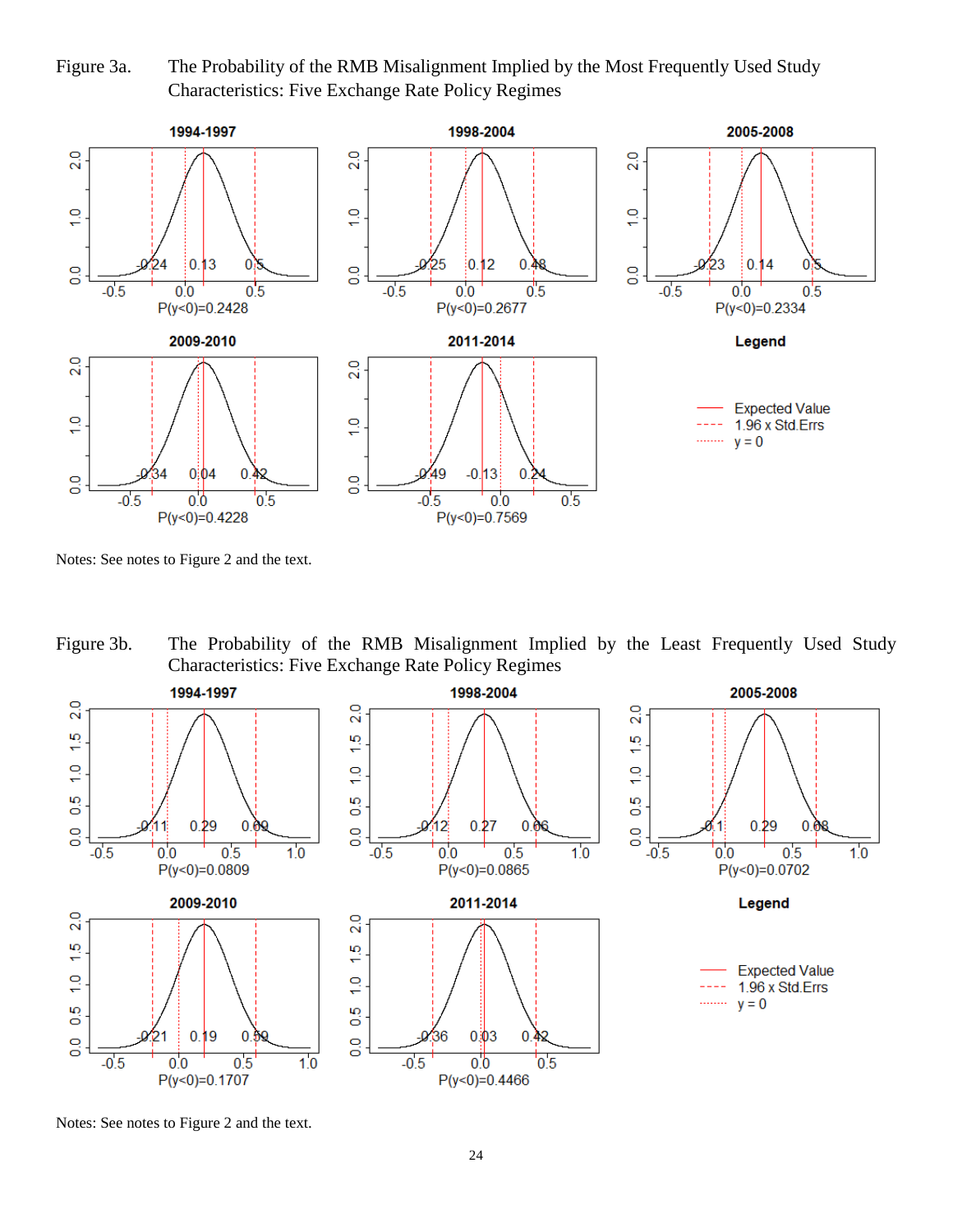Figure 3a. The Probability of the RMB Misalignment Implied by the Most Frequently Used Study Characteristics: Five Exchange Rate Policy Regimes



Notes: See notes to Figure 2 and the text.

Figure 3b. The Probability of the RMB Misalignment Implied by the Least Frequently Used Study Characteristics: Five Exchange Rate Policy Regimes



Notes: See notes to Figure 2 and the text.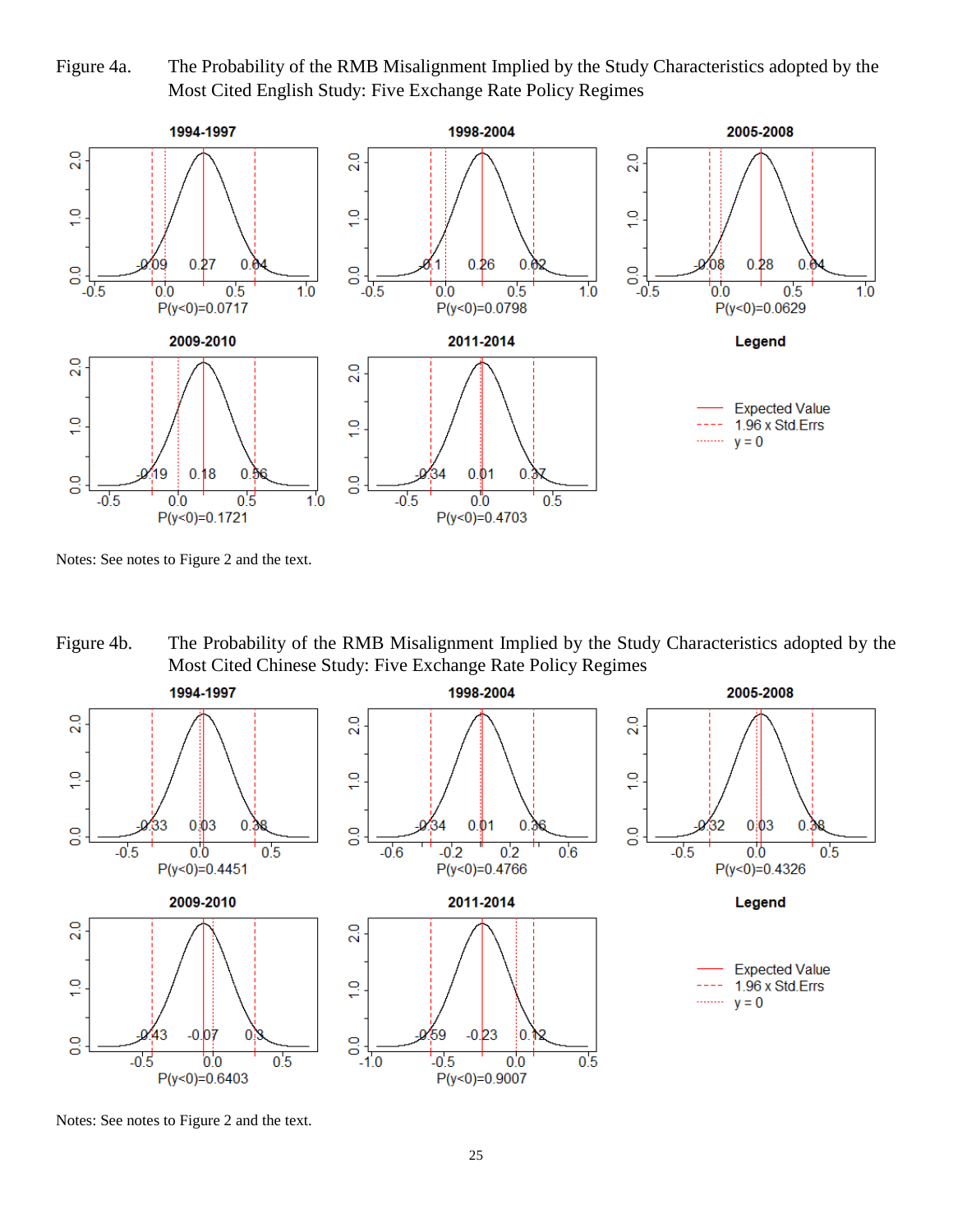Figure 4a. The Probability of the RMB Misalignment Implied by the Study Characteristics adopted by the Most Cited English Study: Five Exchange Rate Policy Regimes



Notes: See notes to Figure 2 and the text.

Figure 4b. The Probability of the RMB Misalignment Implied by the Study Characteristics adopted by the Most Cited Chinese Study: Five Exchange Rate Policy Regimes



Notes: See notes to Figure 2 and the text.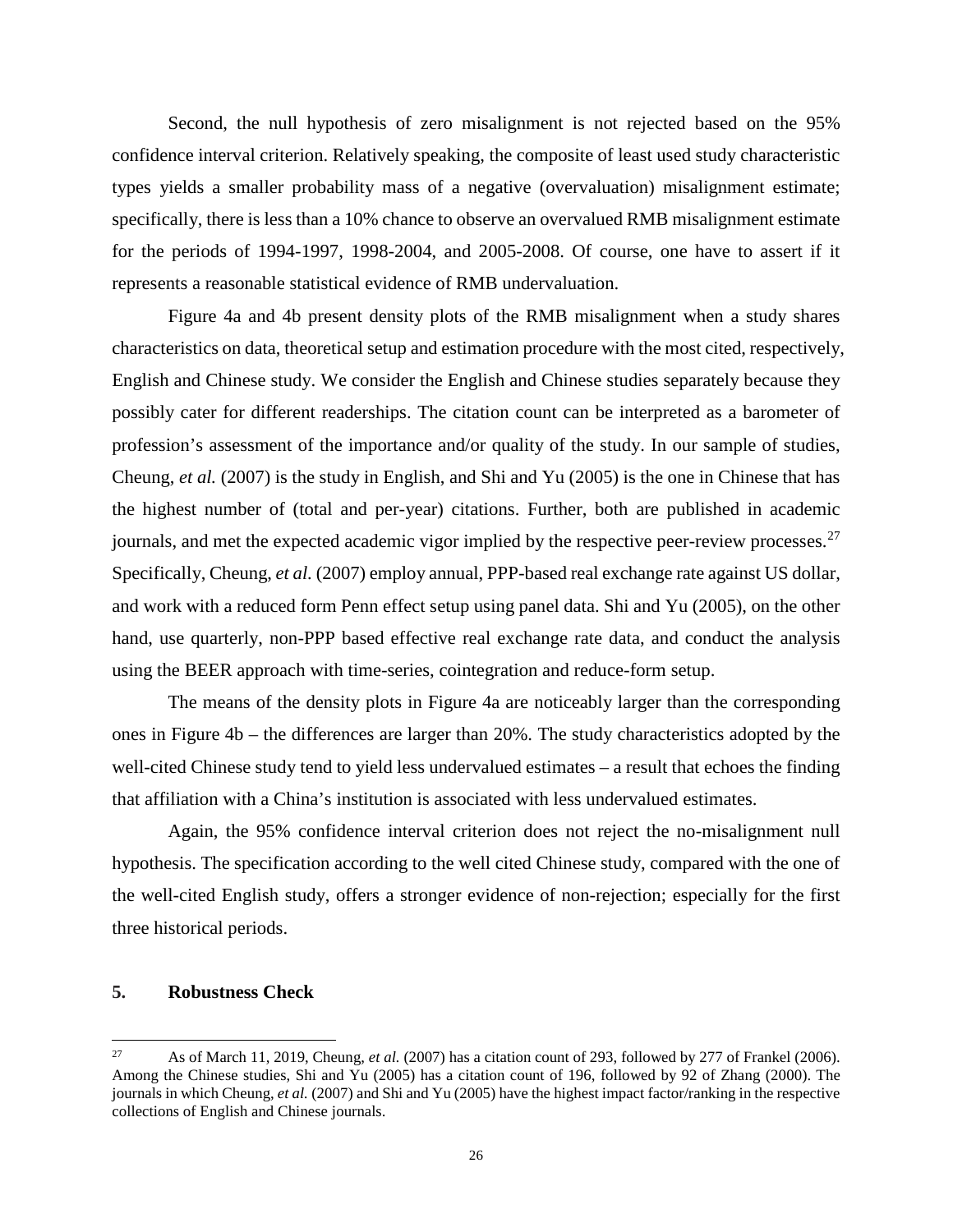Second, the null hypothesis of zero misalignment is not rejected based on the 95% confidence interval criterion. Relatively speaking, the composite of least used study characteristic types yields a smaller probability mass of a negative (overvaluation) misalignment estimate; specifically, there is less than a 10% chance to observe an overvalued RMB misalignment estimate for the periods of 1994-1997, 1998-2004, and 2005-2008. Of course, one have to assert if it represents a reasonable statistical evidence of RMB undervaluation.

Figure 4a and 4b present density plots of the RMB misalignment when a study shares characteristics on data, theoretical setup and estimation procedure with the most cited, respectively, English and Chinese study. We consider the English and Chinese studies separately because they possibly cater for different readerships. The citation count can be interpreted as a barometer of profession's assessment of the importance and/or quality of the study. In our sample of studies, Cheung, *et al.* (2007) is the study in English, and Shi and Yu (2005) is the one in Chinese that has the highest number of (total and per-year) citations. Further, both are published in academic journals, and met the expected academic vigor implied by the respective peer-review processes.  $27$ Specifically, Cheung, *et al.* (2007) employ annual, PPP-based real exchange rate against US dollar, and work with a reduced form Penn effect setup using panel data. Shi and Yu (2005), on the other hand, use quarterly, non-PPP based effective real exchange rate data, and conduct the analysis using the BEER approach with time-series, cointegration and reduce-form setup.

The means of the density plots in Figure 4a are noticeably larger than the corresponding ones in Figure 4b – the differences are larger than 20%. The study characteristics adopted by the well-cited Chinese study tend to yield less undervalued estimates – a result that echoes the finding that affiliation with a China's institution is associated with less undervalued estimates.

Again, the 95% confidence interval criterion does not reject the no-misalignment null hypothesis. The specification according to the well cited Chinese study, compared with the one of the well-cited English study, offers a stronger evidence of non-rejection; especially for the first three historical periods.

## **5. Robustness Check**

<span id="page-27-0"></span> $27$ <sup>27</sup> As of March 11, 2019, Cheung, *et al.* (2007) has a citation count of 293, followed by 277 of Frankel (2006). Among the Chinese studies, Shi and Yu (2005) has a citation count of 196, followed by 92 of Zhang (2000). The journals in which Cheung, *et al.* (2007) and Shi and Yu (2005) have the highest impact factor/ranking in the respective collections of English and Chinese journals.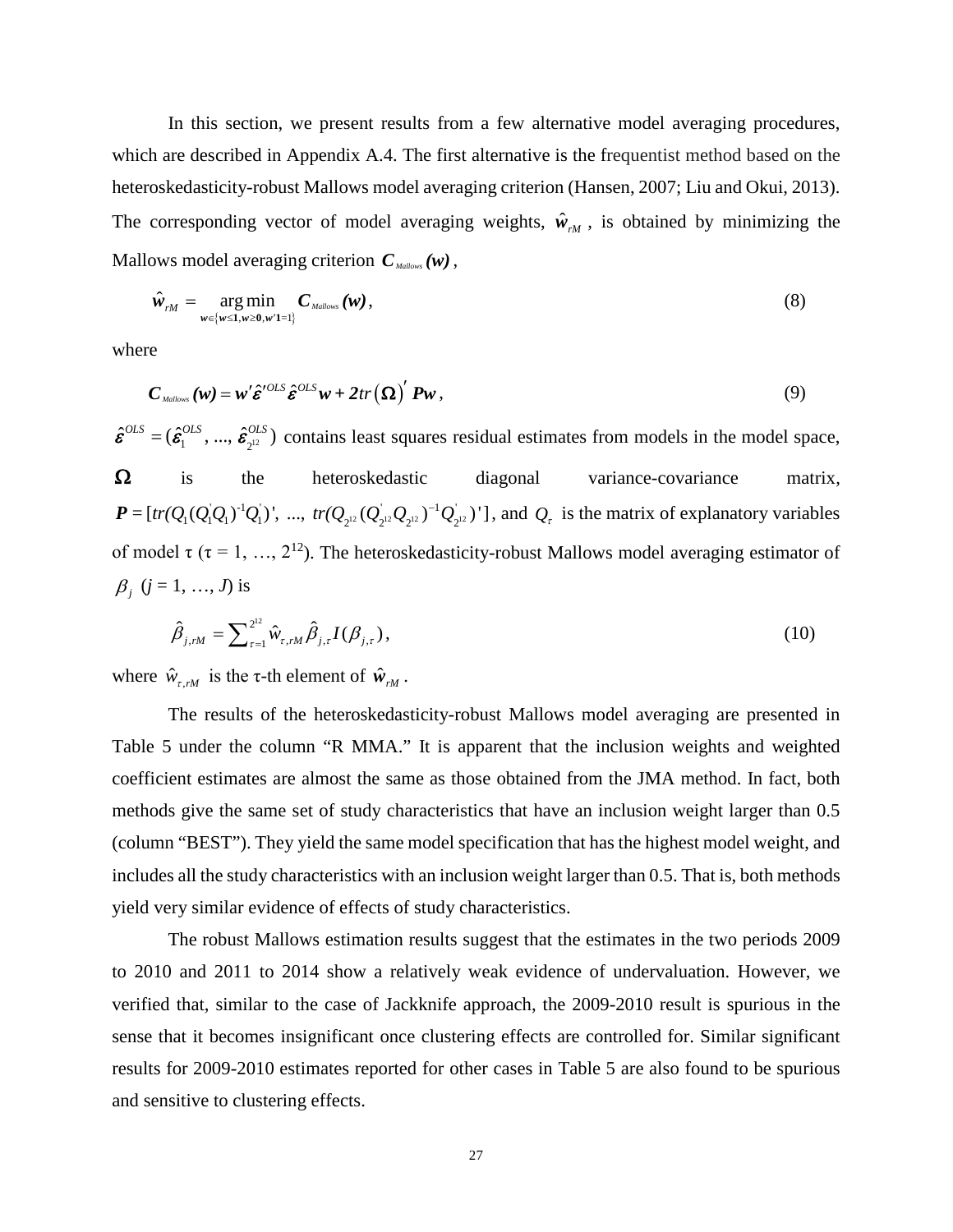In this section, we present results from a few alternative model averaging procedures, which are described in Appendix A.4. The first alternative is the frequentist method based on the heteroskedasticity-robust Mallows model averaging criterion (Hansen, 2007; Liu and Okui, 2013). The corresponding vector of model averaging weights,  $\hat{w}_{rM}$ , is obtained by minimizing the Mallows model averaging criterion  $C_{\textit{Mallows}}(\boldsymbol{w})$ ,

$$
\hat{\boldsymbol{w}}_{rM} = \underset{\boldsymbol{w} \in \{\boldsymbol{w} \leq 1, \boldsymbol{w} \geq 0, \boldsymbol{w}'1 = 1\}}{\arg \min} \boldsymbol{C}_{\text{Mallows}}(\boldsymbol{w}),
$$
\n(8)

where

$$
C_{\text{Mallows}}(w) = w' \hat{\varepsilon}^{\prime OLS} \hat{\varepsilon}^{OLS} w + 2tr(\Omega)' P w , \qquad (9)
$$

 $\hat{\epsilon}^{OLS} = (\hat{\epsilon}_1^{OLS}, ..., \hat{\epsilon}_{2^{12}}^{OLS})$  contains least squares residual estimates from models in the model space,  $\Omega$  is the heteroskedastic diagonal variance-covariance matrix,  $P = [tr(Q_1(Q_1Q_1)^{-1}Q_1)^{-1}, ..., tr(Q_{2^{12}}(Q_{2^{12}}^{\dagger}Q_{2^{12}})^{-1}Q_{2^{12}})^{-1}]$ , and  $Q_{\tau}$  is the matrix of explanatory variables of model  $\tau$  ( $\tau$  = 1, ..., 2<sup>12</sup>). The heteroskedasticity-robust Mallows model averaging estimator of  $\beta_j$  (*j* = 1, ..., *J*) is

$$
\hat{\beta}_{j,rM} = \sum_{\tau=1}^{2^{12}} \hat{w}_{\tau,rM} \hat{\beta}_{j,\tau} I(\beta_{j,\tau}),
$$
\n(10)

where  $\hat{w}_{\tau, rM}$  is the  $\tau$ -th element of  $\hat{w}_{rM}$ .

The results of the heteroskedasticity-robust Mallows model averaging are presented in Table 5 under the column "R MMA." It is apparent that the inclusion weights and weighted coefficient estimates are almost the same as those obtained from the JMA method. In fact, both methods give the same set of study characteristics that have an inclusion weight larger than 0.5 (column "BEST"). They yield the same model specification that has the highest model weight, and includes all the study characteristics with an inclusion weight larger than 0.5. That is, both methods yield very similar evidence of effects of study characteristics.

The robust Mallows estimation results suggest that the estimates in the two periods 2009 to 2010 and 2011 to 2014 show a relatively weak evidence of undervaluation. However, we verified that, similar to the case of Jackknife approach, the 2009-2010 result is spurious in the sense that it becomes insignificant once clustering effects are controlled for. Similar significant results for 2009-2010 estimates reported for other cases in Table 5 are also found to be spurious and sensitive to clustering effects.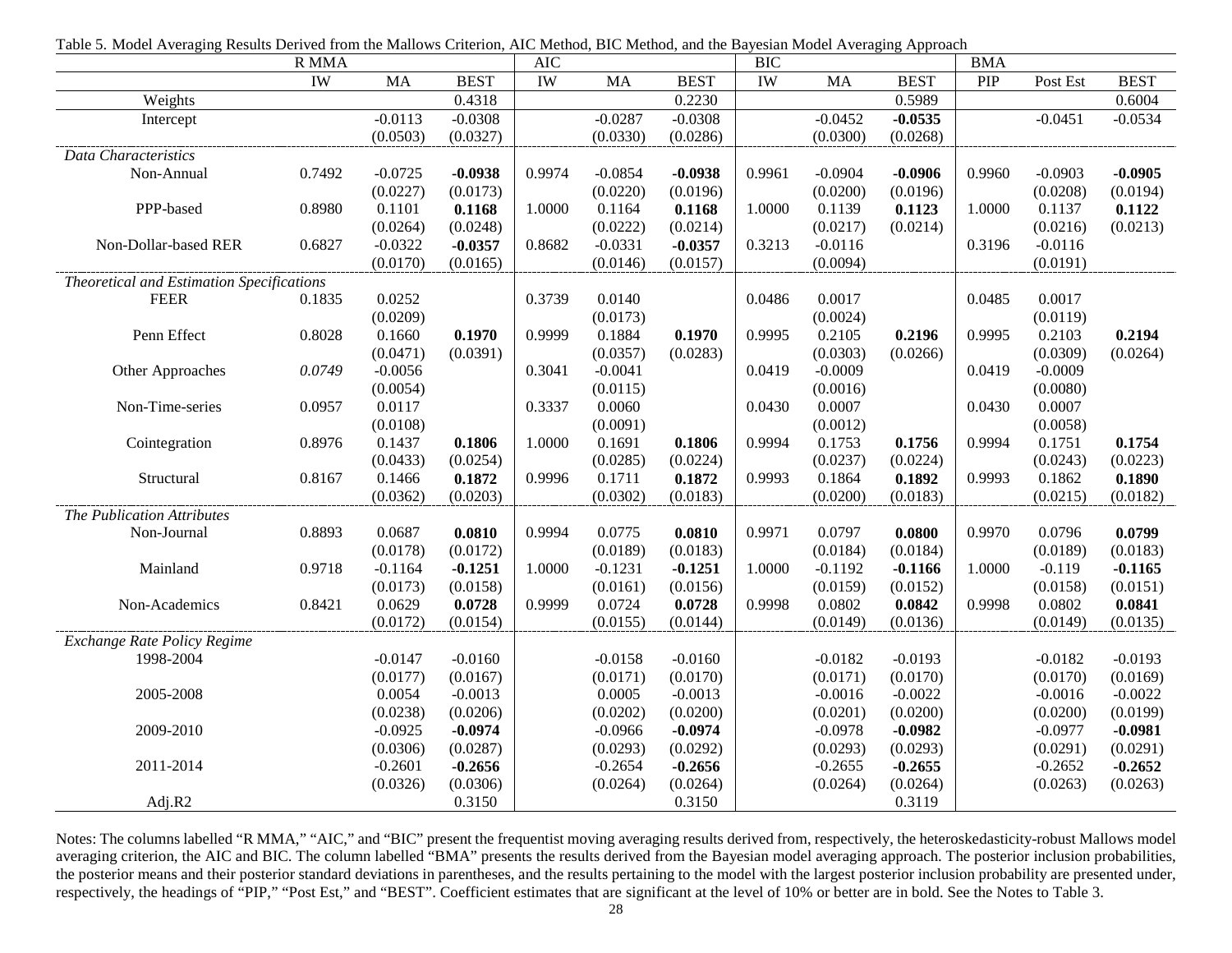| able 3. Model Hvenging Results Defived from the manows Chemon, The Method, Die Method, and the Dayoshin Model Hvenging Tipploach | R MMA  |           |             | <b>AIC</b> |           |             | <b>BIC</b> |           |             | <b>BMA</b> |           |             |
|----------------------------------------------------------------------------------------------------------------------------------|--------|-----------|-------------|------------|-----------|-------------|------------|-----------|-------------|------------|-----------|-------------|
|                                                                                                                                  | IW     | MA        | <b>BEST</b> | IW         | MA        | <b>BEST</b> | IW         | <b>MA</b> | <b>BEST</b> | PIP        | Post Est  | <b>BEST</b> |
| Weights                                                                                                                          |        |           | 0.4318      |            |           | 0.2230      |            |           | 0.5989      |            |           | 0.6004      |
| Intercept                                                                                                                        |        | $-0.0113$ | $-0.0308$   |            | $-0.0287$ | $-0.0308$   |            | $-0.0452$ | $-0.0535$   |            | $-0.0451$ | $-0.0534$   |
|                                                                                                                                  |        | (0.0503)  | (0.0327)    |            | (0.0330)  | (0.0286)    |            | (0.0300)  | (0.0268)    |            |           |             |
| Data Characteristics                                                                                                             |        |           |             |            |           |             |            |           |             |            |           |             |
| Non-Annual                                                                                                                       | 0.7492 | $-0.0725$ | $-0.0938$   | 0.9974     | $-0.0854$ | $-0.0938$   | 0.9961     | $-0.0904$ | $-0.0906$   | 0.9960     | $-0.0903$ | $-0.0905$   |
|                                                                                                                                  |        | (0.0227)  | (0.0173)    |            | (0.0220)  | (0.0196)    |            | (0.0200)  | (0.0196)    |            | (0.0208)  | (0.0194)    |
| PPP-based                                                                                                                        | 0.8980 | 0.1101    | 0.1168      | 1.0000     | 0.1164    | 0.1168      | 1.0000     | 0.1139    | 0.1123      | 1.0000     | 0.1137    | 0.1122      |
|                                                                                                                                  |        | (0.0264)  | (0.0248)    |            | (0.0222)  | (0.0214)    |            | (0.0217)  | (0.0214)    |            | (0.0216)  | (0.0213)    |
| Non-Dollar-based RER                                                                                                             | 0.6827 | $-0.0322$ | $-0.0357$   | 0.8682     | $-0.0331$ | $-0.0357$   | 0.3213     | $-0.0116$ |             | 0.3196     | $-0.0116$ |             |
|                                                                                                                                  |        | (0.0170)  | (0.0165)    |            | (0.0146)  | (0.0157)    |            | (0.0094)  |             |            | (0.0191)  |             |
| Theoretical and Estimation Specifications                                                                                        |        |           |             |            |           |             |            |           |             |            |           |             |
| <b>FEER</b>                                                                                                                      | 0.1835 | 0.0252    |             | 0.3739     | 0.0140    |             | 0.0486     | 0.0017    |             | 0.0485     | 0.0017    |             |
|                                                                                                                                  |        | (0.0209)  |             |            | (0.0173)  |             |            | (0.0024)  |             |            | (0.0119)  |             |
| Penn Effect                                                                                                                      | 0.8028 | 0.1660    | 0.1970      | 0.9999     | 0.1884    | 0.1970      | 0.9995     | 0.2105    | 0.2196      | 0.9995     | 0.2103    | 0.2194      |
|                                                                                                                                  |        | (0.0471)  | (0.0391)    |            | (0.0357)  | (0.0283)    |            | (0.0303)  | (0.0266)    |            | (0.0309)  | (0.0264)    |
| Other Approaches                                                                                                                 | 0.0749 | $-0.0056$ |             | 0.3041     | $-0.0041$ |             | 0.0419     | $-0.0009$ |             | 0.0419     | $-0.0009$ |             |
|                                                                                                                                  |        | (0.0054)  |             |            | (0.0115)  |             |            | (0.0016)  |             |            | (0.0080)  |             |
| Non-Time-series                                                                                                                  | 0.0957 | 0.0117    |             | 0.3337     | 0.0060    |             | 0.0430     | 0.0007    |             | 0.0430     | 0.0007    |             |
|                                                                                                                                  |        | (0.0108)  |             |            | (0.0091)  |             |            | (0.0012)  |             |            | (0.0058)  |             |
| Cointegration                                                                                                                    | 0.8976 | 0.1437    | 0.1806      | 1.0000     | 0.1691    | 0.1806      | 0.9994     | 0.1753    | 0.1756      | 0.9994     | 0.1751    | 0.1754      |
|                                                                                                                                  |        | (0.0433)  | (0.0254)    |            | (0.0285)  | (0.0224)    |            | (0.0237)  | (0.0224)    |            | (0.0243)  | (0.0223)    |
| Structural                                                                                                                       | 0.8167 | 0.1466    | 0.1872      | 0.9996     | 0.1711    | 0.1872      | 0.9993     | 0.1864    | 0.1892      | 0.9993     | 0.1862    | 0.1890      |
|                                                                                                                                  |        | (0.0362)  | (0.0203)    |            | (0.0302)  | (0.0183)    |            | (0.0200)  | (0.0183)    |            | (0.0215)  | (0.0182)    |
| The Publication Attributes                                                                                                       |        |           |             |            |           |             |            |           |             |            |           |             |
| Non-Journal                                                                                                                      | 0.8893 | 0.0687    | 0.0810      | 0.9994     | 0.0775    | 0.0810      | 0.9971     | 0.0797    | 0.0800      | 0.9970     | 0.0796    | 0.0799      |
|                                                                                                                                  |        | (0.0178)  | (0.0172)    |            | (0.0189)  | (0.0183)    |            | (0.0184)  | (0.0184)    |            | (0.0189)  | (0.0183)    |
| Mainland                                                                                                                         | 0.9718 | $-0.1164$ | $-0.1251$   | 1.0000     | $-0.1231$ | $-0.1251$   | 1.0000     | $-0.1192$ | $-0.1166$   | 1.0000     | $-0.119$  | $-0.1165$   |
|                                                                                                                                  |        | (0.0173)  | (0.0158)    |            | (0.0161)  | (0.0156)    |            | (0.0159)  | (0.0152)    |            | (0.0158)  | (0.0151)    |
| Non-Academics                                                                                                                    | 0.8421 | 0.0629    | 0.0728      | 0.9999     | 0.0724    | 0.0728      | 0.9998     | 0.0802    | 0.0842      | 0.9998     | 0.0802    | 0.0841      |
|                                                                                                                                  |        | (0.0172)  | (0.0154)    |            | (0.0155)  | (0.0144)    |            | (0.0149)  | (0.0136)    |            | (0.0149)  | (0.0135)    |
| Exchange Rate Policy Regime                                                                                                      |        |           |             |            |           |             |            |           |             |            |           |             |
| 1998-2004                                                                                                                        |        | $-0.0147$ | $-0.0160$   |            | $-0.0158$ | $-0.0160$   |            | $-0.0182$ | $-0.0193$   |            | $-0.0182$ | $-0.0193$   |
|                                                                                                                                  |        | (0.0177)  | (0.0167)    |            | (0.0171)  | (0.0170)    |            | (0.0171)  | (0.0170)    |            | (0.0170)  | (0.0169)    |
| 2005-2008                                                                                                                        |        | 0.0054    | $-0.0013$   |            | 0.0005    | $-0.0013$   |            | $-0.0016$ | $-0.0022$   |            | $-0.0016$ | $-0.0022$   |
|                                                                                                                                  |        | (0.0238)  | (0.0206)    |            | (0.0202)  | (0.0200)    |            | (0.0201)  | (0.0200)    |            | (0.0200)  | (0.0199)    |
| 2009-2010                                                                                                                        |        | $-0.0925$ | $-0.0974$   |            | $-0.0966$ | $-0.0974$   |            | $-0.0978$ | $-0.0982$   |            | $-0.0977$ | $-0.0981$   |
|                                                                                                                                  |        | (0.0306)  | (0.0287)    |            | (0.0293)  | (0.0292)    |            | (0.0293)  | (0.0293)    |            | (0.0291)  | (0.0291)    |
| 2011-2014                                                                                                                        |        | $-0.2601$ | $-0.2656$   |            | $-0.2654$ | $-0.2656$   |            | $-0.2655$ | $-0.2655$   |            | $-0.2652$ | $-0.2652$   |
|                                                                                                                                  |        | (0.0326)  | (0.0306)    |            | (0.0264)  | (0.0264)    |            | (0.0264)  | (0.0264)    |            | (0.0263)  | (0.0263)    |
| Adj.R2                                                                                                                           |        |           | 0.3150      |            |           | 0.3150      |            |           | 0.3119      |            |           |             |

Table 5. Model Averaging Results Derived from the Mallows Criterion, AIC Method, BIC Method, and the Bayesian Model Averaging Approach

Notes: The columns labelled "R MMA," "AIC," and "BIC" present the frequentist moving averaging results derived from, respectively, the heteroskedasticity-robust Mallows model averaging criterion, the AIC and BIC. The column labelled "BMA" presents the results derived from the Bayesian model averaging approach. The posterior inclusion probabilities, the posterior means and their posterior standard deviations in parentheses, and the results pertaining to the model with the largest posterior inclusion probability are presented under, respectively, the headings of "PIP," "Post Est," and "BEST". Coefficient estimates that are significant at the level of 10% or better are in bold. See the Notes to Table 3.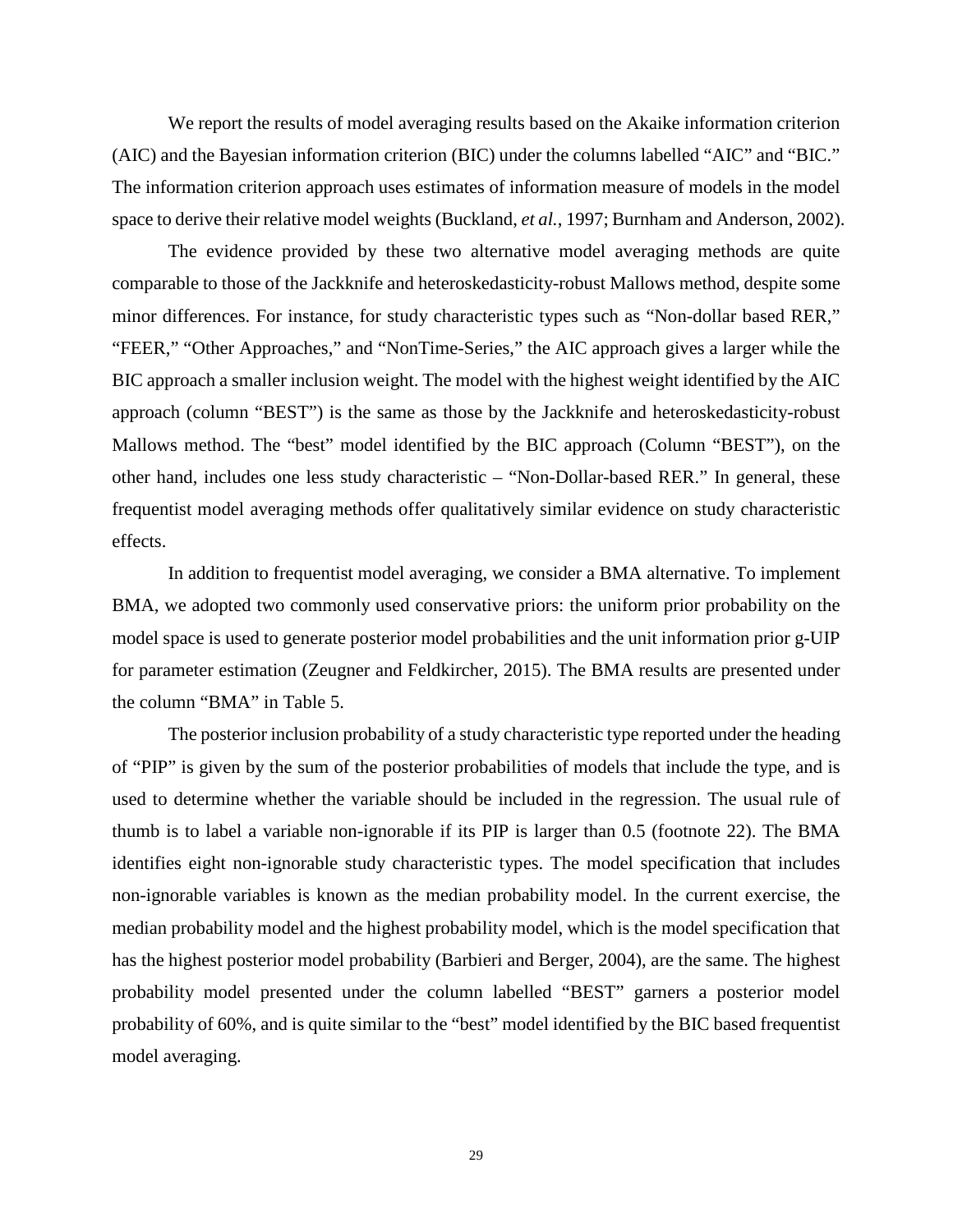We report the results of model averaging results based on the Akaike information criterion (AIC) and the Bayesian information criterion (BIC) under the columns labelled "AIC" and "BIC." The information criterion approach uses estimates of information measure of models in the model space to derive their relative model weights (Buckland, *et al.*, 1997; Burnham and Anderson, 2002).

The evidence provided by these two alternative model averaging methods are quite comparable to those of the Jackknife and heteroskedasticity-robust Mallows method, despite some minor differences. For instance, for study characteristic types such as "Non-dollar based RER," "FEER," "Other Approaches," and "NonTime-Series," the AIC approach gives a larger while the BIC approach a smaller inclusion weight. The model with the highest weight identified by the AIC approach (column "BEST") is the same as those by the Jackknife and heteroskedasticity-robust Mallows method. The "best" model identified by the BIC approach (Column "BEST"), on the other hand, includes one less study characteristic – "Non-Dollar-based RER." In general, these frequentist model averaging methods offer qualitatively similar evidence on study characteristic effects.

In addition to frequentist model averaging, we consider a BMA alternative. To implement BMA, we adopted two commonly used conservative priors: the uniform prior probability on the model space is used to generate posterior model probabilities and the unit information prior g-UIP for parameter estimation (Zeugner and Feldkircher, 2015). The BMA results are presented under the column "BMA" in Table 5.

The posterior inclusion probability of a study characteristic type reported under the heading of "PIP" is given by the sum of the posterior probabilities of models that include the type, and is used to determine whether the variable should be included in the regression. The usual rule of thumb is to label a variable non-ignorable if its PIP is larger than 0.5 (footnote 22). The BMA identifies eight non-ignorable study characteristic types. The model specification that includes non-ignorable variables is known as the median probability model. In the current exercise, the median probability model and the highest probability model, which is the model specification that has the highest posterior model probability (Barbieri and Berger, 2004), are the same. The highest probability model presented under the column labelled "BEST" garners a posterior model probability of 60%, and is quite similar to the "best" model identified by the BIC based frequentist model averaging.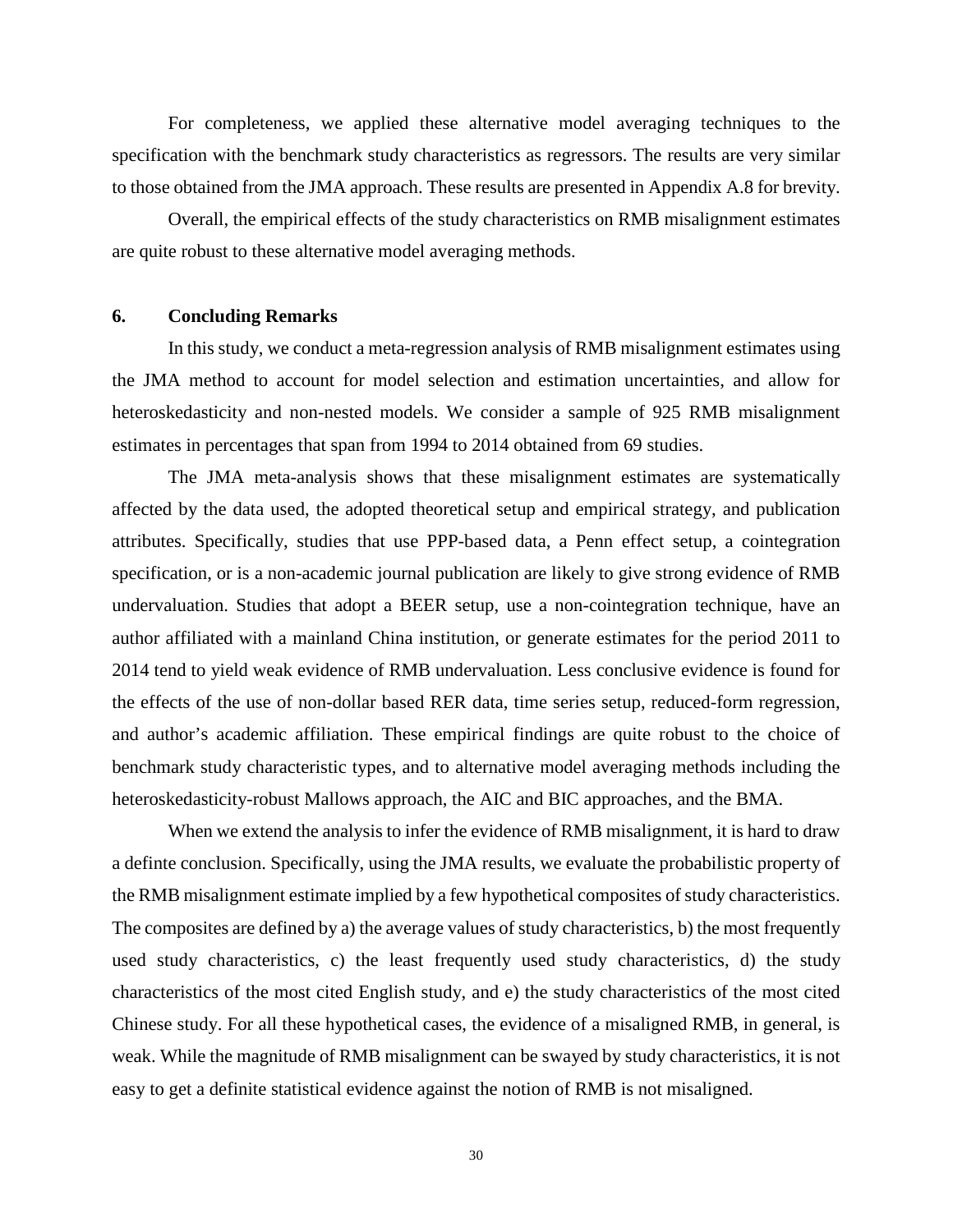For completeness, we applied these alternative model averaging techniques to the specification with the benchmark study characteristics as regressors. The results are very similar to those obtained from the JMA approach. These results are presented in Appendix A.8 for brevity.

Overall, the empirical effects of the study characteristics on RMB misalignment estimates are quite robust to these alternative model averaging methods.

#### **6. Concluding Remarks**

In this study, we conduct a meta-regression analysis of RMB misalignment estimates using the JMA method to account for model selection and estimation uncertainties, and allow for heteroskedasticity and non-nested models. We consider a sample of 925 RMB misalignment estimates in percentages that span from 1994 to 2014 obtained from 69 studies.

The JMA meta-analysis shows that these misalignment estimates are systematically affected by the data used, the adopted theoretical setup and empirical strategy, and publication attributes. Specifically, studies that use PPP-based data, a Penn effect setup, a cointegration specification, or is a non-academic journal publication are likely to give strong evidence of RMB undervaluation. Studies that adopt a BEER setup, use a non-cointegration technique, have an author affiliated with a mainland China institution, or generate estimates for the period 2011 to 2014 tend to yield weak evidence of RMB undervaluation. Less conclusive evidence is found for the effects of the use of non-dollar based RER data, time series setup, reduced-form regression, and author's academic affiliation. These empirical findings are quite robust to the choice of benchmark study characteristic types, and to alternative model averaging methods including the heteroskedasticity-robust Mallows approach, the AIC and BIC approaches, and the BMA.

When we extend the analysis to infer the evidence of RMB misalignment, it is hard to draw a definte conclusion. Specifically, using the JMA results, we evaluate the probabilistic property of the RMB misalignment estimate implied by a few hypothetical composites of study characteristics. The composites are defined by a) the average values of study characteristics, b) the most frequently used study characteristics, c) the least frequently used study characteristics, d) the study characteristics of the most cited English study, and e) the study characteristics of the most cited Chinese study. For all these hypothetical cases, the evidence of a misaligned RMB, in general, is weak. While the magnitude of RMB misalignment can be swayed by study characteristics, it is not easy to get a definite statistical evidence against the notion of RMB is not misaligned.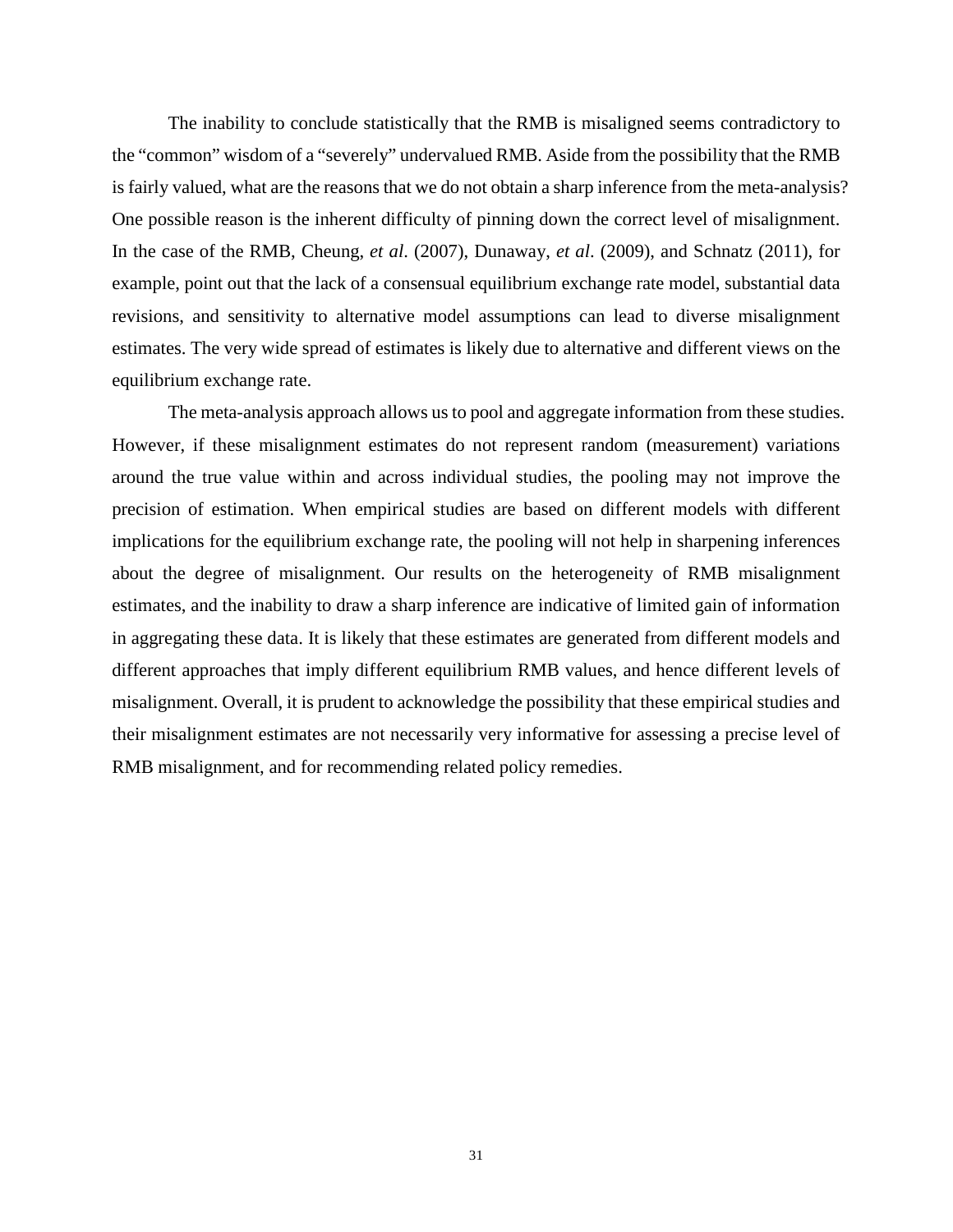The inability to conclude statistically that the RMB is misaligned seems contradictory to the "common" wisdom of a "severely" undervalued RMB. Aside from the possibility that the RMB is fairly valued, what are the reasons that we do not obtain a sharp inference from the meta-analysis? One possible reason is the inherent difficulty of pinning down the correct level of misalignment. In the case of the RMB, Cheung, *et al*. (2007), Dunaway, *et al*. (2009), and Schnatz (2011), for example, point out that the lack of a consensual equilibrium exchange rate model, substantial data revisions, and sensitivity to alternative model assumptions can lead to diverse misalignment estimates. The very wide spread of estimates is likely due to alternative and different views on the equilibrium exchange rate.

The meta-analysis approach allows us to pool and aggregate information from these studies. However, if these misalignment estimates do not represent random (measurement) variations around the true value within and across individual studies, the pooling may not improve the precision of estimation. When empirical studies are based on different models with different implications for the equilibrium exchange rate, the pooling will not help in sharpening inferences about the degree of misalignment. Our results on the heterogeneity of RMB misalignment estimates, and the inability to draw a sharp inference are indicative of limited gain of information in aggregating these data. It is likely that these estimates are generated from different models and different approaches that imply different equilibrium RMB values, and hence different levels of misalignment. Overall, it is prudent to acknowledge the possibility that these empirical studies and their misalignment estimates are not necessarily very informative for assessing a precise level of RMB misalignment, and for recommending related policy remedies.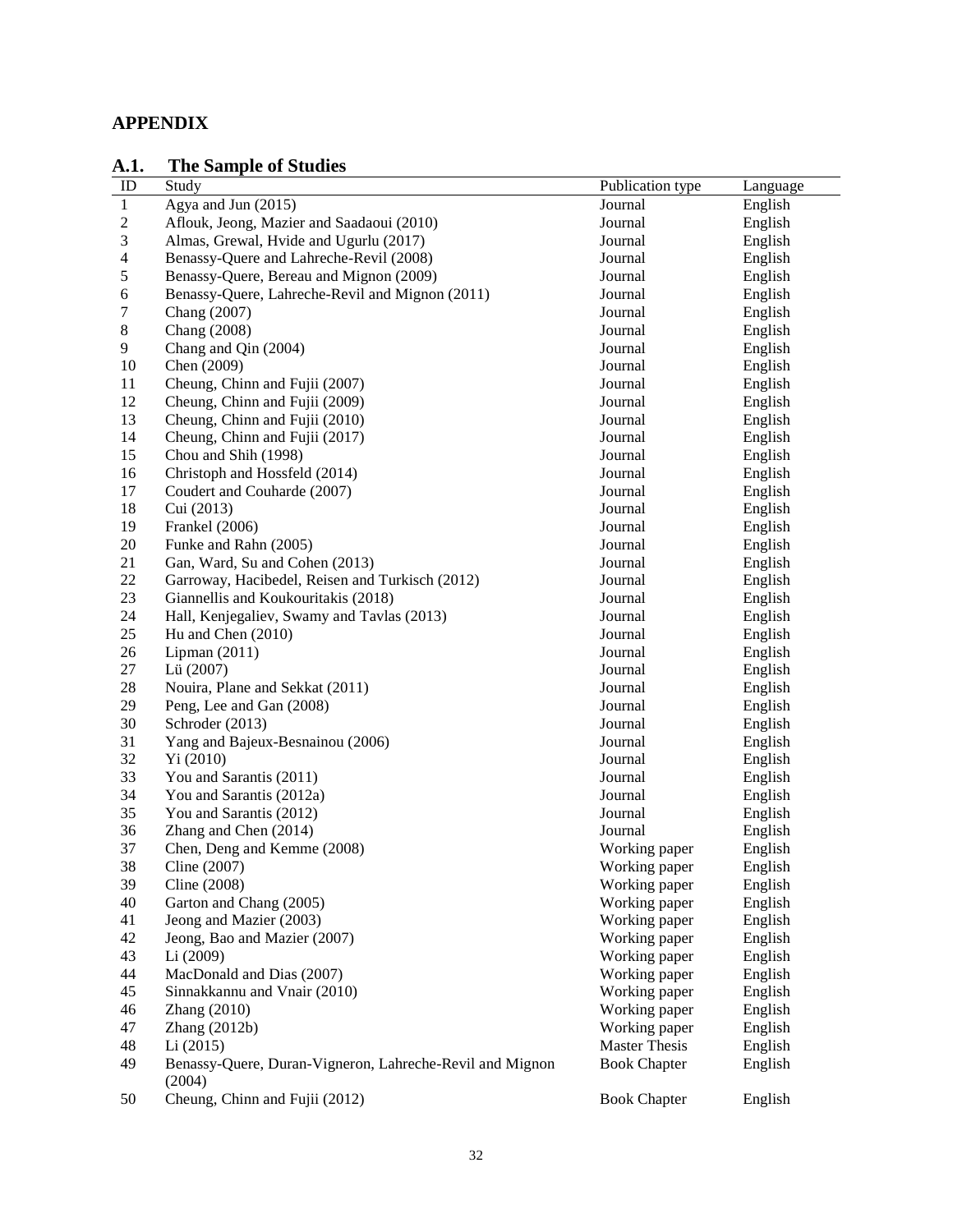## **APPENDIX**

## **A.1. The Sample of Studies**

| л. .           | THE DAMPIC OF DIGITS                                     |                      |          |
|----------------|----------------------------------------------------------|----------------------|----------|
| ID             | Study                                                    | Publication type     | Language |
| $\mathbf{1}$   | Agya and Jun (2015)                                      | Journal              | English  |
| $\overline{c}$ | Aflouk, Jeong, Mazier and Saadaoui (2010)                | Journal              | English  |
| 3              | Almas, Grewal, Hvide and Ugurlu (2017)                   | Journal              | English  |
| 4              | Benassy-Quere and Lahreche-Revil (2008)                  | Journal              | English  |
| 5              | Benassy-Quere, Bereau and Mignon (2009)                  | Journal              | English  |
| 6              | Benassy-Quere, Lahreche-Revil and Mignon (2011)          | Journal              | English  |
| 7              | Chang (2007)                                             | Journal              | English  |
| 8              | Chang (2008)                                             | Journal              | English  |
| 9              | Chang and Qin (2004)                                     | Journal              | English  |
| 10             | Chen (2009)                                              | Journal              | English  |
| 11             | Cheung, Chinn and Fujii (2007)                           | Journal              | English  |
| 12             | Cheung, Chinn and Fujii (2009)                           | Journal              | English  |
| 13             | Cheung, Chinn and Fujii (2010)                           | Journal              | English  |
| 14             | Cheung, Chinn and Fujii (2017)                           | Journal              | English  |
| 15             | Chou and Shih (1998)                                     | Journal              | English  |
| 16             | Christoph and Hossfeld (2014)                            | Journal              | English  |
| 17             | Coudert and Couharde (2007)                              | Journal              | English  |
| 18             | Cui (2013)                                               | Journal              | English  |
| 19             | Frankel (2006)                                           | Journal              | English  |
| 20             | Funke and Rahn (2005)                                    | Journal              | English  |
| 21             | Gan, Ward, Su and Cohen (2013)                           | Journal              | English  |
| 22             | Garroway, Hacibedel, Reisen and Turkisch (2012)          | Journal              | English  |
| 23             | Giannellis and Koukouritakis (2018)                      | Journal              | English  |
| 24             | Hall, Kenjegaliev, Swamy and Tavlas (2013)               | Journal              | English  |
| 25             | Hu and Chen (2010)                                       | Journal              | English  |
| 26             | Lipman $(2011)$                                          | Journal              | English  |
| 27             | Lü (2007)                                                | Journal              | English  |
| 28             | Nouira, Plane and Sekkat (2011)                          | Journal              | English  |
| 29             | Peng, Lee and Gan (2008)                                 | Journal              | English  |
| 30             | Schroder (2013)                                          | Journal              | English  |
| 31             | Yang and Bajeux-Besnainou (2006)                         | Journal              | English  |
| 32             | Yi (2010)                                                | Journal              | English  |
| 33             | You and Sarantis (2011)                                  | Journal              | English  |
| 34             | You and Sarantis (2012a)                                 | Journal              | English  |
| 35             | You and Sarantis (2012)                                  | Journal              | English  |
| 36             | Zhang and Chen (2014)                                    | Journal              | English  |
| 37             | Chen, Deng and Kemme (2008)                              | Working paper        | English  |
| 38             | Cline $(2007)$                                           | Working paper        | English  |
| 39             | Cline (2008)                                             | Working paper        | English  |
| 40             | Garton and Chang (2005)                                  | Working paper        | English  |
| 41             | Jeong and Mazier (2003)                                  | Working paper        | English  |
| 42             | Jeong, Bao and Mazier (2007)                             | Working paper        | English  |
| 43             | Li(2009)                                                 | Working paper        | English  |
| 44             | MacDonald and Dias (2007)                                | Working paper        | English  |
| 45             | Sinnakkannu and Vnair (2010)                             | Working paper        | English  |
| 46             | Zhang (2010)                                             | Working paper        | English  |
| 47             | Zhang $(2012b)$                                          | Working paper        | English  |
| 48             | Li(2015)                                                 | <b>Master Thesis</b> | English  |
| 49             | Benassy-Quere, Duran-Vigneron, Lahreche-Revil and Mignon | <b>Book Chapter</b>  | English  |
|                | (2004)                                                   |                      |          |
| 50             | Cheung, Chinn and Fujii (2012)                           | <b>Book Chapter</b>  | English  |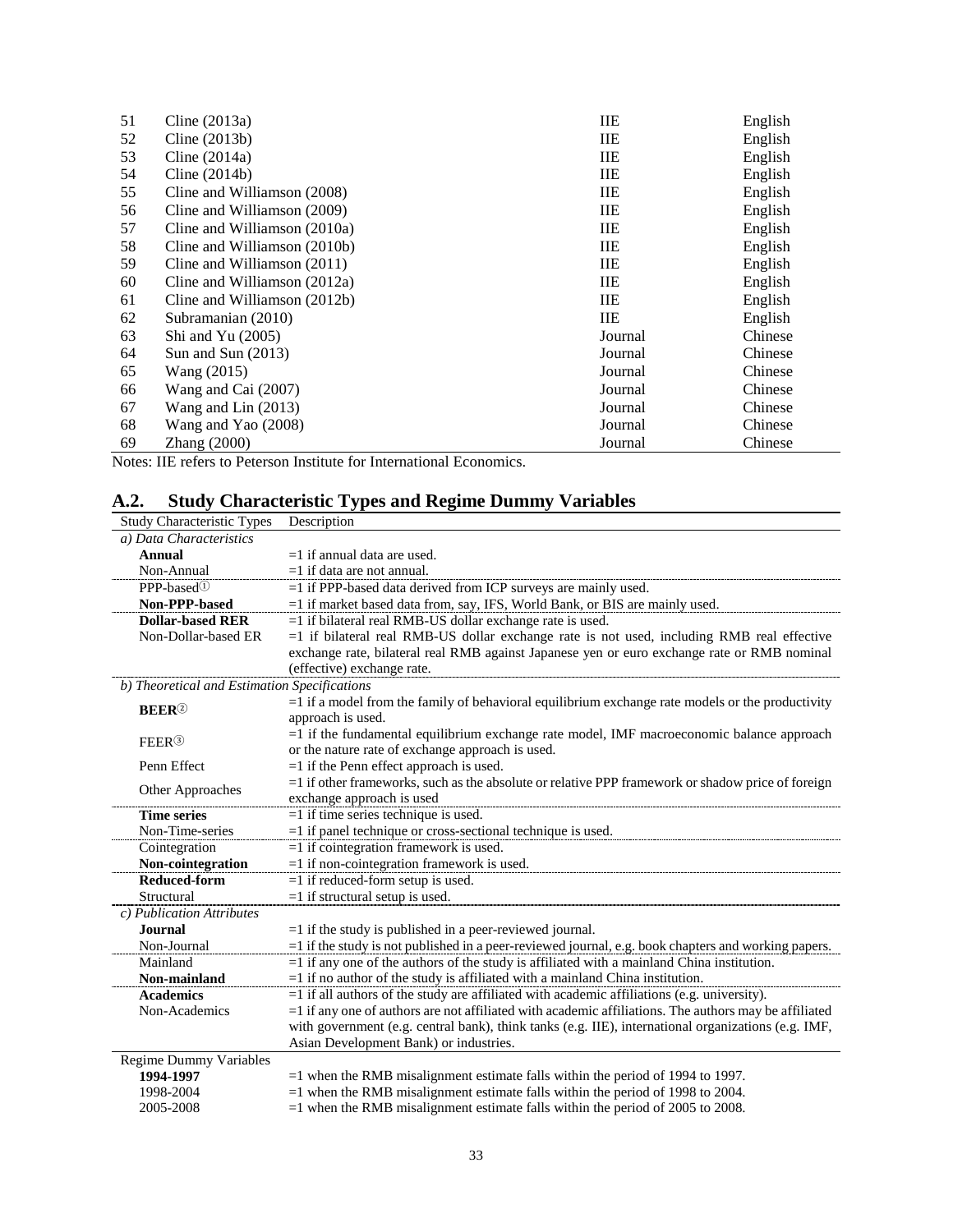| 51              | Cline $(2013a)$                                 | IIE        | English |
|-----------------|-------------------------------------------------|------------|---------|
| 52              | Cline $(2013b)$                                 | <b>IIE</b> | English |
| 53              | Cline $(2014a)$                                 | ШE         | English |
| 54              | Cline $(2014b)$                                 | <b>IIE</b> | English |
| 55              | Cline and Williamson (2008)                     | ШE         | English |
| 56              | Cline and Williamson (2009)                     | IIE        | English |
| 57              | Cline and Williamson (2010a)                    | ШE         | English |
| 58              | Cline and Williamson (2010b)                    | ШE         | English |
| 59              | Cline and Williamson (2011)                     | ШE         | English |
| 60              | Cline and Williamson (2012a)                    | ШE         | English |
| 61              | Cline and Williamson (2012b)                    | IIE        | English |
| 62              | Subramanian (2010)                              | <b>IIE</b> | English |
| 63              | Shi and Yu $(2005)$                             | Journal    | Chinese |
| 64              | Sun and Sun $(2013)$                            | Journal    | Chinese |
| 65              | Wang (2015)                                     | Journal    | Chinese |
| 66              | Wang and Cai (2007)                             | Journal    | Chinese |
| 67              | Wang and Lin $(2013)$                           | Journal    | Chinese |
| 68              | Wang and Yao (2008)                             | Journal    | Chinese |
| 69              | Zhang (2000)                                    | Journal    | Chinese |
| $\cdot$ $\cdot$ | $\sim$<br>$ -$<br>$\sim$ $\sim$<br>$\mathbf{v}$ | $\bullet$  |         |

Notes: IIE refers to Peterson Institute for International Economics.

## **A.2. Study Characteristic Types and Regime Dummy Variables**

| <b>Study Characteristic Types</b>            | Description                                                                                             |  |  |  |  |  |  |
|----------------------------------------------|---------------------------------------------------------------------------------------------------------|--|--|--|--|--|--|
| a) Data Characteristics                      |                                                                                                         |  |  |  |  |  |  |
| Annual                                       | $=1$ if annual data are used.                                                                           |  |  |  |  |  |  |
| Non-Annual                                   | $=1$ if data are not annual.                                                                            |  |  |  |  |  |  |
| PPP-based <sup>①</sup>                       | $=$ 1 if PPP-based data derived from ICP surveys are mainly used.                                       |  |  |  |  |  |  |
| Non-PPP-based                                | =1 if market based data from, say, IFS, World Bank, or BIS are mainly used.                             |  |  |  |  |  |  |
| <b>Dollar-based RER</b>                      | $=1$ if bilateral real RMB-US dollar exchange rate is used.                                             |  |  |  |  |  |  |
| Non-Dollar-based ER                          | $=1$ if bilateral real RMB-US dollar exchange rate is not used, including RMB real effective            |  |  |  |  |  |  |
|                                              | exchange rate, bilateral real RMB against Japanese yen or euro exchange rate or RMB nominal             |  |  |  |  |  |  |
|                                              | (effective) exchange rate.                                                                              |  |  |  |  |  |  |
| b) Theoretical and Estimation Specifications |                                                                                                         |  |  |  |  |  |  |
| <b>BEER</b> <sup>2</sup>                     | $=1$ if a model from the family of behavioral equilibrium exchange rate models or the productivity      |  |  |  |  |  |  |
|                                              | approach is used.                                                                                       |  |  |  |  |  |  |
| FEER <sup>3</sup>                            | $=1$ if the fundamental equilibrium exchange rate model, IMF macroeconomic balance approach             |  |  |  |  |  |  |
|                                              | or the nature rate of exchange approach is used.                                                        |  |  |  |  |  |  |
| Penn Effect                                  | $=1$ if the Penn effect approach is used.                                                               |  |  |  |  |  |  |
|                                              | =1 if other frameworks, such as the absolute or relative PPP framework or shadow price of foreign       |  |  |  |  |  |  |
| Other Approaches                             | exchange approach is used                                                                               |  |  |  |  |  |  |
| <b>Time series</b>                           | $=1$ if time series technique is used.                                                                  |  |  |  |  |  |  |
| Non-Time-series                              | $=$ 1 if panel technique or cross-sectional technique is used.                                          |  |  |  |  |  |  |
| Cointegration                                | $=1$ if cointegration framework is used.                                                                |  |  |  |  |  |  |
| Non-cointegration                            | $=1$ if non-cointegration framework is used.                                                            |  |  |  |  |  |  |
| <b>Reduced-form</b>                          | $=1$ if reduced-form setup is used.                                                                     |  |  |  |  |  |  |
| Structural                                   | $=1$ if structural setup is used.                                                                       |  |  |  |  |  |  |
| c) Publication Attributes                    |                                                                                                         |  |  |  |  |  |  |
| <b>Journal</b>                               | $=1$ if the study is published in a peer-reviewed journal.                                              |  |  |  |  |  |  |
| Non-Journal                                  | =1 if the study is not published in a peer-reviewed journal, e.g. book chapters and working papers.     |  |  |  |  |  |  |
| Mainland                                     | $=1$ if any one of the authors of the study is affiliated with a mainland China institution.            |  |  |  |  |  |  |
| Non-mainland                                 | $=$ 1 if no author of the study is affiliated with a mainland China institution.                        |  |  |  |  |  |  |
| <b>Academics</b>                             | $=1$ if all authors of the study are affiliated with academic affiliations (e.g. university).           |  |  |  |  |  |  |
| Non-Academics                                | $=1$ if any one of authors are not affiliated with academic affiliations. The authors may be affiliated |  |  |  |  |  |  |
|                                              | with government (e.g. central bank), think tanks (e.g. IIE), international organizations (e.g. IMF,     |  |  |  |  |  |  |
|                                              | Asian Development Bank) or industries.                                                                  |  |  |  |  |  |  |
| Regime Dummy Variables                       |                                                                                                         |  |  |  |  |  |  |
| 1994-1997                                    | $=1$ when the RMB misalignment estimate falls within the period of 1994 to 1997.                        |  |  |  |  |  |  |
| 1998-2004                                    | $=1$ when the RMB misalignment estimate falls within the period of 1998 to 2004.                        |  |  |  |  |  |  |
| 2005-2008                                    | $=1$ when the RMB misalignment estimate falls within the period of 2005 to 2008.                        |  |  |  |  |  |  |
|                                              |                                                                                                         |  |  |  |  |  |  |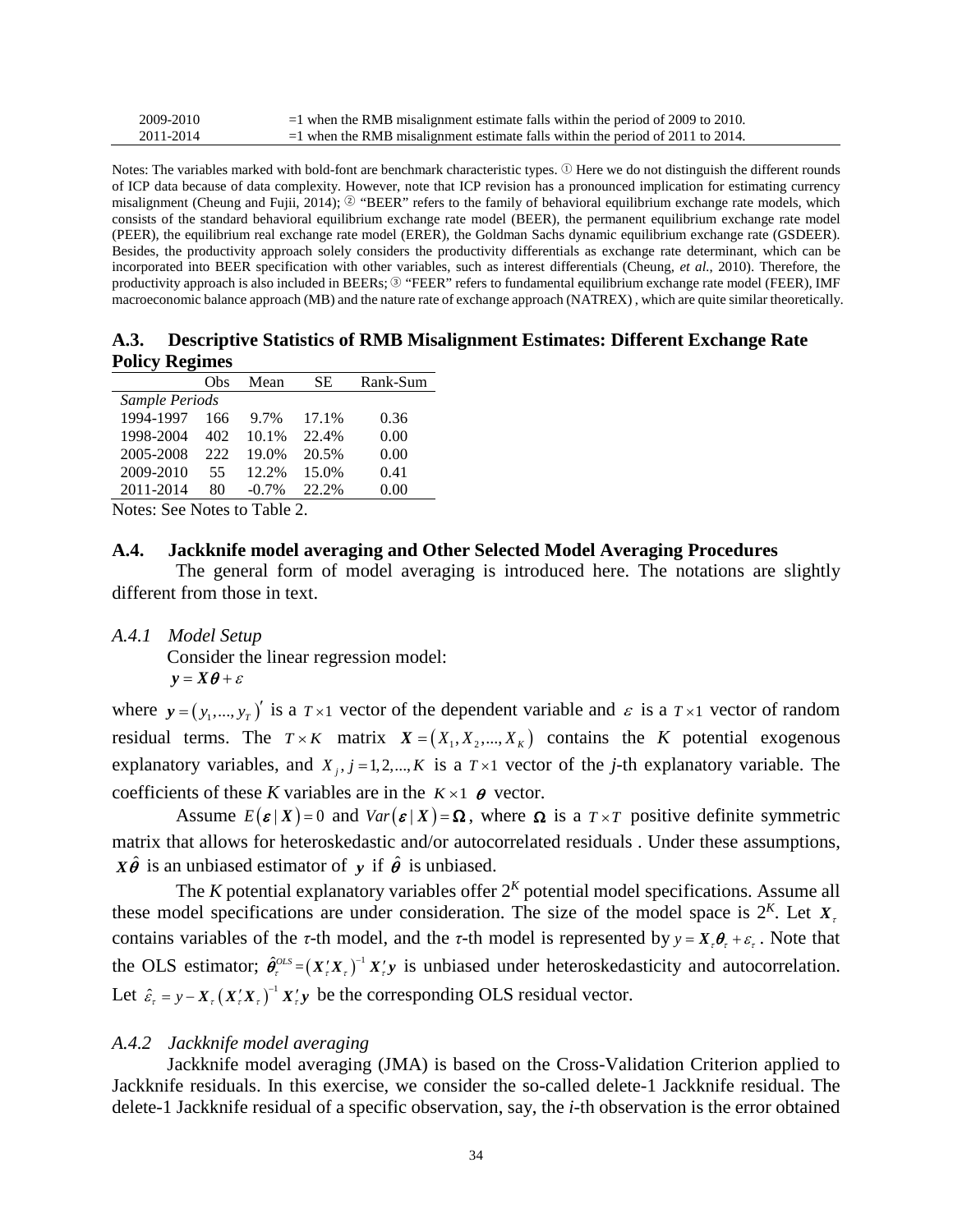| 2009-2010 | $=$ 1 when the RMB misalignment estimate falls within the period of 2009 to 2010. |
|-----------|-----------------------------------------------------------------------------------|
| 2011-2014 | $=$ 1 when the RMB misalignment estimate falls within the period of 2011 to 2014. |

Notes: The variables marked with bold-font are benchmark characteristic types.  $\mathcal{D}$  Here we do not distinguish the different rounds of ICP data because of data complexity. However, note that ICP revision has a pronounced implication for estimating currency misalignment (Cheung and Fujii, 2014); <sup>②</sup> "BEER" refers to the family of behavioral equilibrium exchange rate models, which consists of the standard behavioral equilibrium exchange rate model (BEER), the permanent equilibrium exchange rate model (PEER), the equilibrium real exchange rate model (ERER), the Goldman Sachs dynamic equilibrium exchange rate (GSDEER). Besides, the productivity approach solely considers the productivity differentials as exchange rate determinant, which can be incorporated into BEER specification with other variables, such as interest differentials (Cheung, *et al.*, 2010). Therefore, the productivity approach is also included in BEERs;  $\circledcirc$  "FEER" refers to fundamental equilibrium exchange rate model (FEER), IMF macroeconomic balance approach (MB) and the nature rate of exchange approach (NATREX) , which are quite similar theoretically.

### **A.3. Descriptive Statistics of RMB Misalignment Estimates: Different Exchange Rate Policy Regimes**

|                | Obs | Mean     | SЕ    | Rank-Sum |
|----------------|-----|----------|-------|----------|
| Sample Periods |     |          |       |          |
| 1994-1997      | 166 | 9.7%     | 17.1% | 0.36     |
| 1998-2004      | 402 | 10.1%    | 22.4% | 0.00     |
| 2005-2008      | 222 | 19.0%    | 20.5% | 0.00     |
| 2009-2010      | 55  | 12.2%    | 15.0% | 0.41     |
| 2011-2014      | 80  | $-0.7\%$ | 22.2% | 0.00     |

Notes: See Notes to Table 2.

### **A.4. Jackknife model averaging and Other Selected Model Averaging Procedures**

The general form of model averaging is introduced here. The notations are slightly different from those in text.

*A.4.1 Model Setup*

Consider the linear regression model:  $y = X\theta + \varepsilon$ 

where  $y = (y_1,..., y_r)$ <sup>'</sup> is a  $T \times 1$  vector of the dependent variable and  $\varepsilon$  is a  $T \times 1$  vector of random residual terms. The  $T \times K$  matrix  $X = (X_1, X_2, ..., X_K)$  contains the *K* potential exogenous explanatory variables, and  $X_i$ ,  $j = 1,2,..., K$  is a  $T \times 1$  vector of the *j*-th explanatory variable. The coefficients of these *K* variables are in the  $K \times 1$   $\theta$  vector.

Assume  $E(\boldsymbol{\varepsilon} | X) = 0$  and  $Var(\boldsymbol{\varepsilon} | X) = \Omega$ , where  $\Omega$  is a  $T \times T$  positive definite symmetric matrix that allows for heteroskedastic and/or autocorrelated residuals . Under these assumptions,  $X\hat{\theta}$  is an unbiased estimator of *y* if  $\hat{\theta}$  is unbiased.

The *K* potential explanatory variables offer  $2<sup>K</sup>$  potential model specifications. Assume all these model specifications are under consideration. The size of the model space is  $2<sup>K</sup>$ . Let  $X<sub>z</sub>$ contains variables of the *τ*-th model, and the *τ*-th model is represented by  $y = X, \theta, +\varepsilon$ . Note that the OLS estimator;  $\hat{\theta}_r^{OLS} = (X_r'X_r)^{-1} X_r' y$  is unbiased under heteroskedasticity and autocorrelation. Let  $\hat{\varepsilon}_r = y - X_r (X_r' X_r)^{-1} X_r' y$  be the corresponding OLS residual vector.

## *A.4.2 Jackknife model averaging*

Jackknife model averaging (JMA) is based on the Cross-Validation Criterion applied to Jackknife residuals. In this exercise, we consider the so-called delete-1 Jackknife residual. The delete-1 Jackknife residual of a specific observation, say, the *i*-th observation is the error obtained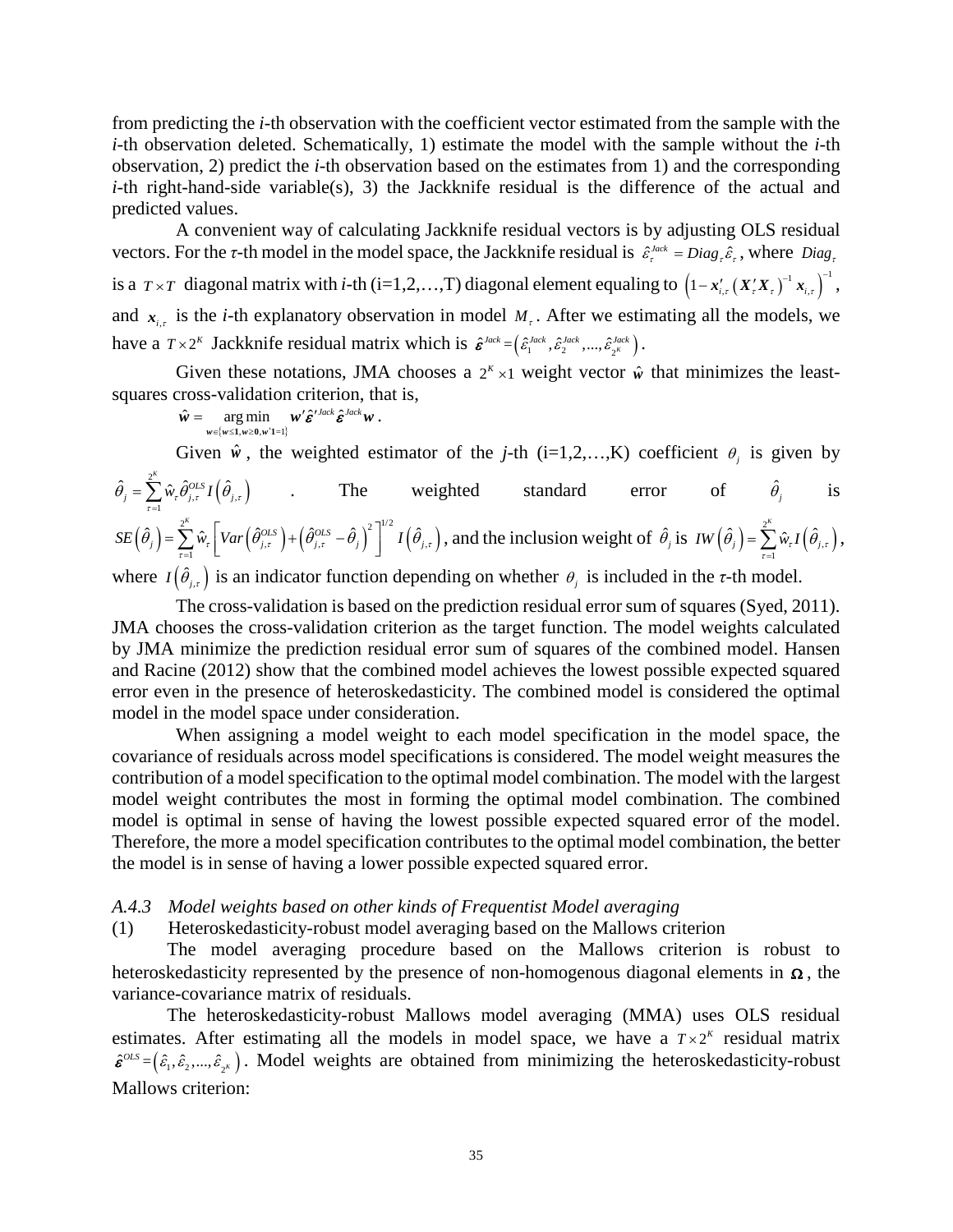from predicting the *i*-th observation with the coefficient vector estimated from the sample with the *i*-th observation deleted. Schematically, 1) estimate the model with the sample without the *i*-th observation, 2) predict the *i*-th observation based on the estimates from 1) and the corresponding *i*-th right-hand-side variable(s), 3) the Jackknife residual is the difference of the actual and predicted values.

A convenient way of calculating Jackknife residual vectors is by adjusting OLS residual vectors. For the *τ*-th model in the model space, the Jackknife residual is  $\hat{\epsilon}_r^{Jack} = Diag_r \hat{\epsilon}_r$ , where  $Diag_r$ is a  $T \times T$  diagonal matrix with *i*-th (i=1,2,...,T) diagonal element equaling to  $(1 - x_{i,r}^r (X_x^r X_y)^{-1} x_{i,r})^{-1}$ , and  $x_{i,t}$  is the *i*-th explanatory observation in model  $M_t$ . After we estimating all the models, we have a  $T \times 2^{k}$  Jackknife residual matrix which is  $\hat{\epsilon}^{Jack} = (\hat{\epsilon}_1^{Jack}, \hat{\epsilon}_2^{Jack}, ..., \hat{\epsilon}_{2^{k}}^{Jack})$ .

Given these notations, JMA chooses a  $2^{k} \times 1$  weight vector  $\hat{w}$  that minimizes the leastsquares cross-validation criterion, that is,

$$
\hat{\mathbf{w}} = \underset{\mathbf{w} \in \{\mathbf{w} \leq 1, \mathbf{w} \geq 0, \mathbf{w}'\mathbf{1} = 1\}}{\arg \min} \mathbf{w}' \hat{\boldsymbol{\varepsilon}}'^{Jack} \hat{\boldsymbol{\varepsilon}}^{Jack} \mathbf{w}.
$$

Given  $\hat{w}$ , the weighted estimator of the *j*-th (i=1,2,...,K) coefficient  $\theta_i$  is given by

$$
\hat{\theta}_{j} = \sum_{r=1}^{2^{K}} \hat{w}_{r} \hat{\theta}_{j,r}^{OLS} I(\hat{\theta}_{j,r})
$$
\nThe weighted standard error of  $\hat{\theta}_{j}$  is  
\n
$$
SE(\hat{\theta}_{j}) = \sum_{r=1}^{2^{K}} \hat{w}_{r} \left[ Var(\hat{\theta}_{j,r}^{OLS}) + (\hat{\theta}_{j,r}^{OLS} - \hat{\theta}_{j})^{2} \right]^{1/2} I(\hat{\theta}_{j,r}),
$$
\nand the inclusion weight of  $\hat{\theta}_{j}$  is  $IW(\hat{\theta}_{j}) = \sum_{r=1}^{2^{K}} \hat{w}_{r} I(\hat{\theta}_{j,r}),$ 

where  $I(\hat{\theta}_{j,r})$  is an indicator function depending on whether  $\theta_j$  is included in the *τ*-th model.

The cross-validation is based on the prediction residual error sum of squares (Syed, 2011). JMA chooses the cross-validation criterion as the target function. The model weights calculated by JMA minimize the prediction residual error sum of squares of the combined model. Hansen and Racine (2012) show that the combined model achieves the lowest possible expected squared error even in the presence of heteroskedasticity. The combined model is considered the optimal model in the model space under consideration.

When assigning a model weight to each model specification in the model space, the covariance of residuals across model specifications is considered. The model weight measures the contribution of a model specification to the optimal model combination. The model with the largest model weight contributes the most in forming the optimal model combination. The combined model is optimal in sense of having the lowest possible expected squared error of the model. Therefore, the more a model specification contributes to the optimal model combination, the better the model is in sense of having a lower possible expected squared error.

## *A.4.3 Model weights based on other kinds of Frequentist Model averaging*

## (1) Heteroskedasticity-robust model averaging based on the Mallows criterion

The model averaging procedure based on the Mallows criterion is robust to heteroskedasticity represented by the presence of non-homogenous diagonal elements in  $\Omega$ , the variance-covariance matrix of residuals.

The heteroskedasticity-robust Mallows model averaging (MMA) uses OLS residual estimates. After estimating all the models in model space, we have a  $T \times 2^{k}$  residual matrix  $\hat{\epsilon}^{OLS} = (\hat{\epsilon}_1, \hat{\epsilon}_2, ..., \hat{\epsilon}_{2^k})$ . Model weights are obtained from minimizing the heteroskedasticity-robust Mallows criterion: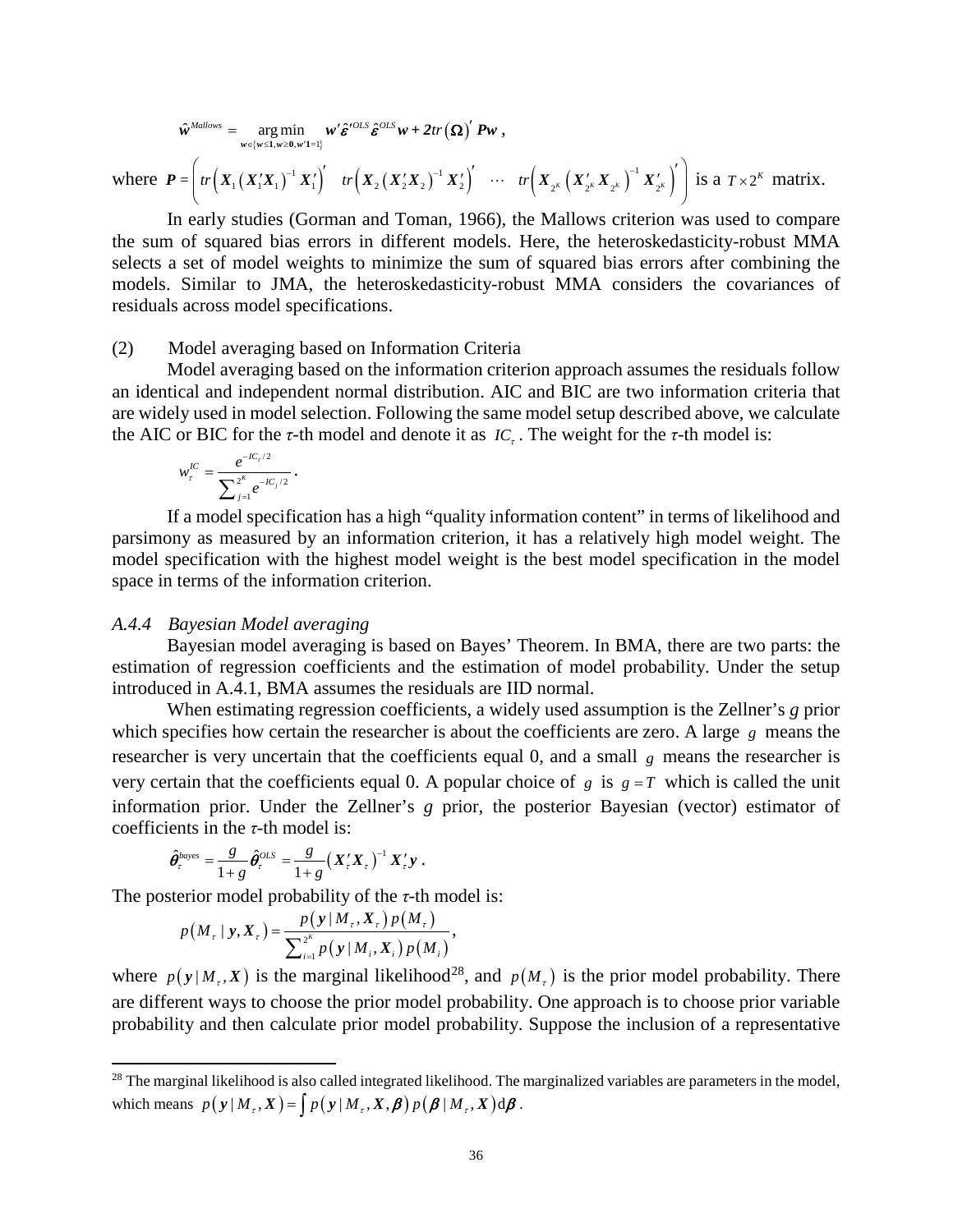$$
\hat{\boldsymbol{w}}^{Mallows} = \underset{\boldsymbol{w} \in \{\boldsymbol{w} \leq 1, \boldsymbol{w} \geq 0, \boldsymbol{w}'1 = 1\}}{\arg \min} \boldsymbol{w}' \hat{\boldsymbol{\varepsilon}}'^{OLS} \hat{\boldsymbol{\varepsilon}}^{OLS} \boldsymbol{w} + 2tr(\boldsymbol{\Omega})' P \boldsymbol{w} ,
$$

where  $P = \left( tr \left( X_1 (X_1' X_1)^{-1} X_1' \right)' \quad tr \left( X_2 (X_2' X_2)^{-1} X_2' \right)' \quad \cdots \quad tr \left( X_{2^K} (X_{2^K} X_{2^K})^{-1} X_{2^K} \right)' \right)$  $\left(\begin{array}{ccccccccc} \sqrt{2} & \sqrt{2} & \sqrt{2} & \sqrt{2} & \sqrt{2} & \sqrt{2} & \sqrt{2} & \sqrt{2} & \sqrt{2} & \sqrt{2} & \sqrt{2} & \sqrt{2} & \sqrt{2} & \sqrt{2} & \sqrt{2} & \sqrt{2} & \sqrt{2} & \sqrt{2} & \sqrt{2} & \sqrt{2} & \sqrt{2} & \sqrt{2} & \sqrt{2} & \sqrt{2} & \sqrt{2} & \sqrt{2} & \sqrt{2} & \sqrt{2} & \sqrt{2} & \sqrt{2} & \sqrt{2} & \sqrt{2} & \sqrt{2} & \sqrt{2} & \sqrt{2}$  $P = |tr(X_1(X_1'X_1)^{-1}X_1') - tr(X_2(X_2'X_2)^{-1}X_2') - \cdots - tr(X_{2^K}(X_{2^K}X_{2^K})^{-1}X_{2^K})|$  is a  $T \times 2^K$  matrix.

In early studies (Gorman and Toman, 1966), the Mallows criterion was used to compare the sum of squared bias errors in different models. Here, the heteroskedasticity-robust MMA selects a set of model weights to minimize the sum of squared bias errors after combining the models. Similar to JMA, the heteroskedasticity-robust MMA considers the covariances of residuals across model specifications.

#### (2) Model averaging based on Information Criteria

Model averaging based on the information criterion approach assumes the residuals follow an identical and independent normal distribution. AIC and BIC are two information criteria that are widely used in model selection. Following the same model setup described above, we calculate the AIC or BIC for the *τ*-th model and denote it as  $IC<sub>r</sub>$ . The weight for the *τ*-th model is:

$$
w_{\tau}^{IC} = \frac{e^{-IC_{\tau}/2}}{\sum_{j=1}^{2^K} e^{-IC_{j}/2}}.
$$

If a model specification has a high "quality information content" in terms of likelihood and parsimony as measured by an information criterion, it has a relatively high model weight. The model specification with the highest model weight is the best model specification in the model space in terms of the information criterion.

### *A.4.4 Bayesian Model averaging*

 $\overline{\phantom{a}}$ 

Bayesian model averaging is based on Bayes' Theorem. In BMA, there are two parts: the estimation of regression coefficients and the estimation of model probability. Under the setup introduced in A.4.1, BMA assumes the residuals are IID normal.

When estimating regression coefficients, a widely used assumption is the Zellner's *g* prior which specifies how certain the researcher is about the coefficients are zero. A large *g* means the researcher is very uncertain that the coefficients equal 0, and a small *g* means the researcher is very certain that the coefficients equal 0. A popular choice of  $g$  is  $g = T$  which is called the unit information prior. Under the Zellner's *g* prior, the posterior Bayesian (vector) estimator of coefficients in the *τ*-th model is:

$$
\hat{\theta}_r^{bayes} = \frac{g}{1+g} \hat{\theta}_r^{OLS} = \frac{g}{1+g} (X_r' X_r)^{-1} X_r' y.
$$

The posterior model probability of the *τ*-th model is:

$$
p(M_{\tau} | y, X_{\tau}) = \frac{p(y | M_{\tau}, X_{\tau}) p(M_{\tau})}{\sum_{i=1}^{2^K} p(y | M_i, X_i) p(M_i)},
$$

where  $p(y|M_t, X)$  is the marginal likelihood<sup>[28](#page-37-0)</sup>, and  $p(M_t)$  is the prior model probability. There are different ways to choose the prior model probability. One approach is to choose prior variable probability and then calculate prior model probability. Suppose the inclusion of a representative

<span id="page-37-0"></span><sup>&</sup>lt;sup>28</sup> The marginal likelihood is also called integrated likelihood. The marginalized variables are parameters in the model, which means  $p(y|M_t, X) = \int p(y|M_t, X, \boldsymbol{\beta}) p(\boldsymbol{\beta} | M_t, X) d\boldsymbol{\beta}$ .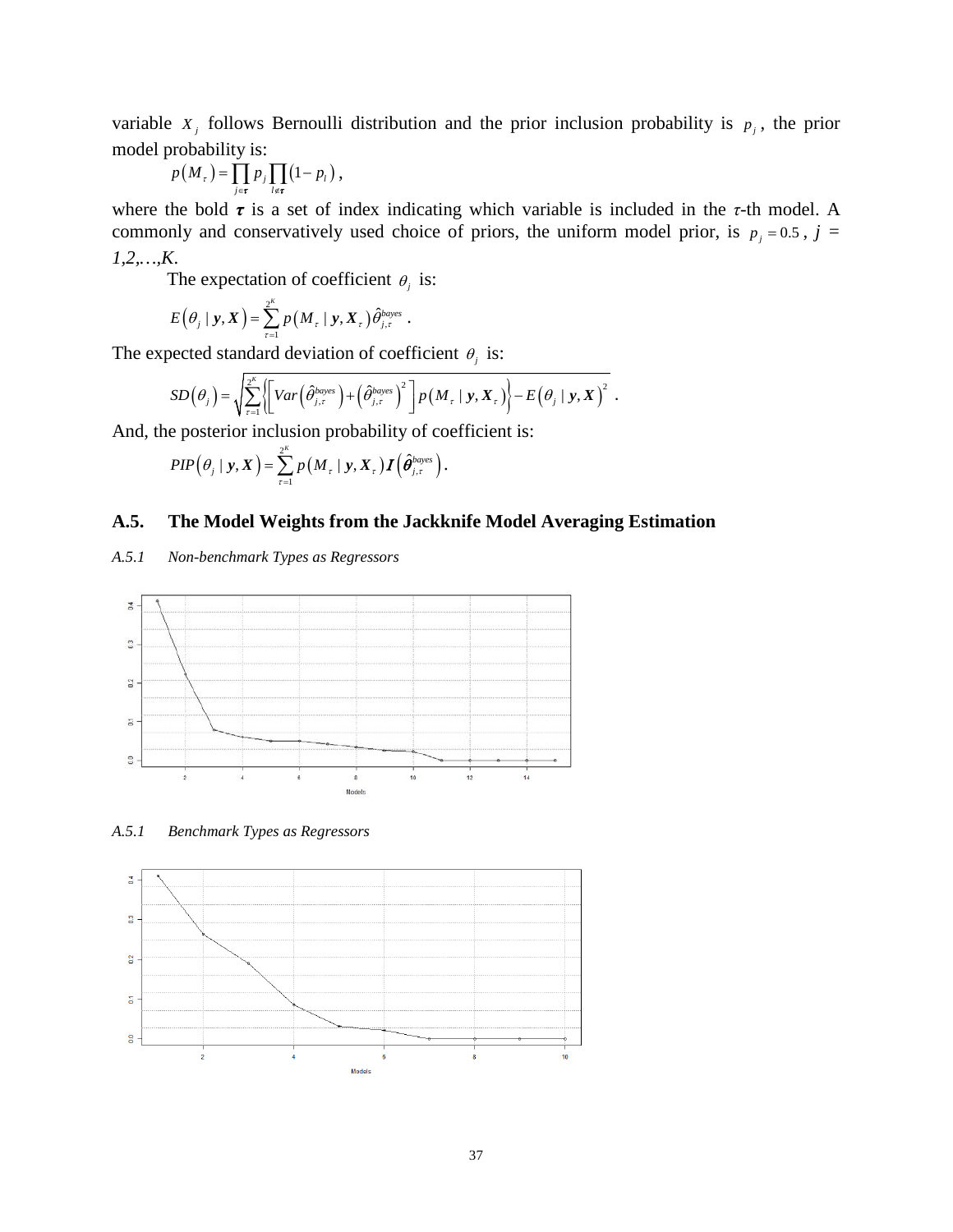variable  $X_j$  follows Bernoulli distribution and the prior inclusion probability is  $p_j$ , the prior model probability is:

$$
p(M_{\tau}) = \prod_{j \in \tau}^{\tau} p_j \prod_{l \notin \tau} (1 - p_l),
$$

where the bold *τ* is a set of index indicating which variable is included in the *τ*-th model. A commonly and conservatively used choice of priors, the uniform model prior, is  $p_j = 0.5$ ,  $j =$ *1,2,…,K*.

The expectation of coefficient  $\theta_i$  is:

$$
E(\theta_j \mid \mathbf{y}, \mathbf{X}) = \sum_{\tau=1}^{2^K} p(M_\tau \mid \mathbf{y}, \mathbf{X}_\tau) \hat{\theta}_{j,\tau}^{bayes}.
$$

The expected standard deviation of coefficient  $\theta_j$  is:

$$
SD(\theta_i) = \sqrt{\sum_{\tau=1}^{2^K} \left\{ \left[ Var\left(\hat{\theta}_{j,\tau}^{bayes}\right) + \left(\hat{\theta}_{j,\tau}^{bayes}\right)^2 \right] P\left(M_{\tau} \mid \mathbf{y}, \mathbf{X}_{\tau}\right) \right\} - E(\theta_i \mid \mathbf{y}, \mathbf{X})^2.
$$

And, the posterior inclusion probability of coefficient is:

$$
PIP(\theta_j \mid \mathbf{y}, \mathbf{X}) = \sum_{\tau=1}^{2^K} p\left(M_{\tau} \mid \mathbf{y}, \mathbf{X}_{\tau}\right) \boldsymbol{I}\left(\boldsymbol{\hat{\theta}}_{j,\tau}^{baryes}\right).
$$

## **A.5. The Model Weights from the Jackknife Model Averaging Estimation**

## *A.5.1 Non-benchmark Types as Regressors*



*A.5.1 Benchmark Types as Regressors*

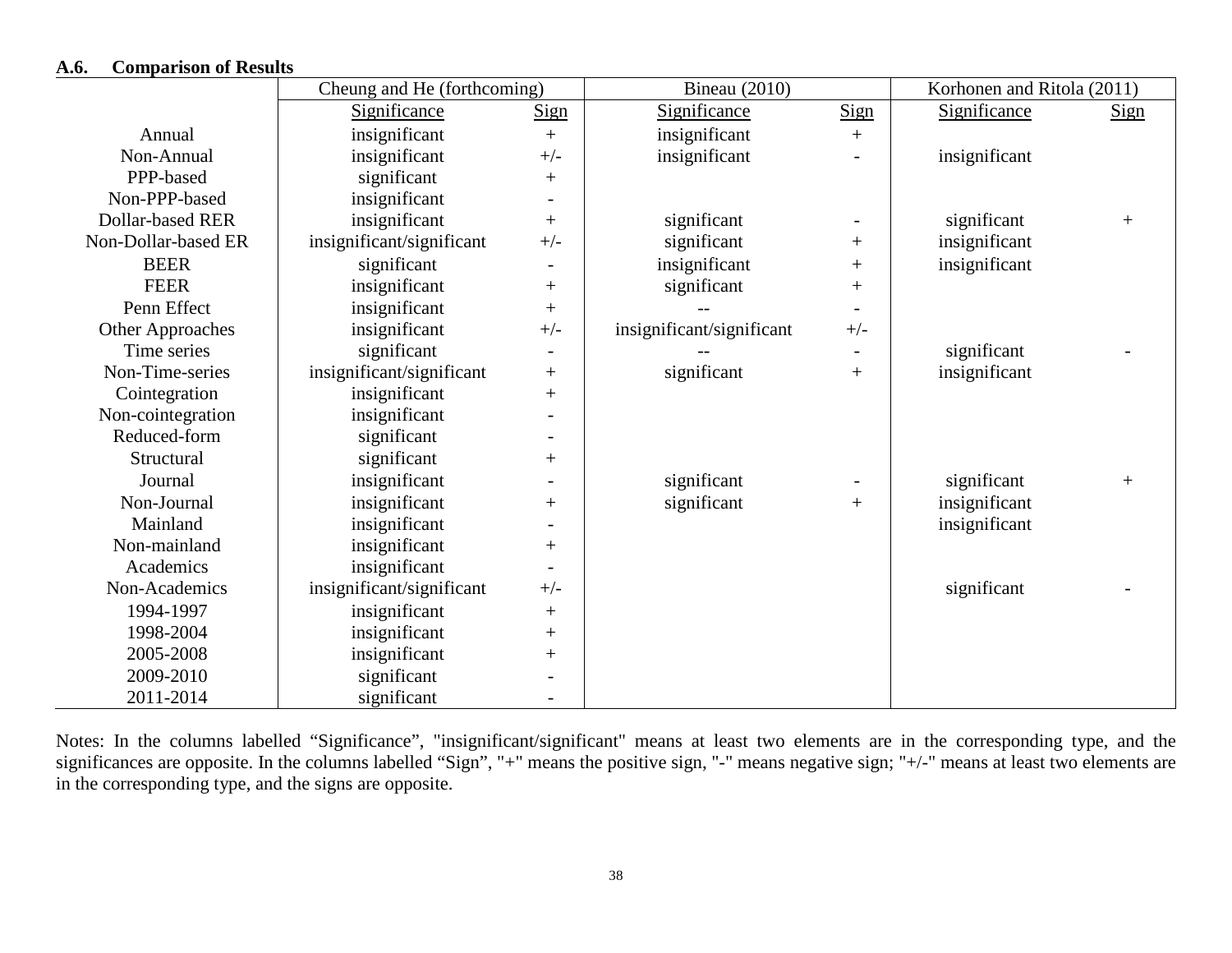## **A.6. Comparison of Results**

|                         | Cheung and He (forthcoming) | Bineau $(2010)$          | Korhonen and Ritola (2011) |                          |               |             |
|-------------------------|-----------------------------|--------------------------|----------------------------|--------------------------|---------------|-------------|
|                         | Significance                | <b>Sign</b>              | Significance               | Sign                     | Significance  | <b>Sign</b> |
| Annual                  | insignificant               | $^{+}$                   | insignificant              | $+$                      |               |             |
| Non-Annual              | insignificant               | $+/-$                    | insignificant              |                          | insignificant |             |
| PPP-based               | significant                 | $^{+}$                   |                            |                          |               |             |
| Non-PPP-based           | insignificant               |                          |                            |                          |               |             |
| <b>Dollar-based RER</b> | insignificant               | $^{+}$                   | significant                | $\overline{\phantom{a}}$ | significant   | $+$         |
| Non-Dollar-based ER     | insignificant/significant   | $+/-$                    | significant                | $+$                      | insignificant |             |
| <b>BEER</b>             | significant                 |                          | insignificant              | $+$                      | insignificant |             |
| <b>FEER</b>             | insignificant               | $^{+}$                   | significant                | $^{+}$                   |               |             |
| Penn Effect             | insignificant               | $^{+}$                   |                            |                          |               |             |
| <b>Other Approaches</b> | insignificant               | $+/-$                    | insignificant/significant  | $+/-$                    |               |             |
| Time series             | significant                 | $\overline{\phantom{a}}$ |                            | $\overline{\phantom{a}}$ | significant   |             |
| Non-Time-series         | insignificant/significant   | $^{+}$                   | significant                | $^{+}$                   | insignificant |             |
| Cointegration           | insignificant               | $^{+}$                   |                            |                          |               |             |
| Non-cointegration       | insignificant               |                          |                            |                          |               |             |
| Reduced-form            | significant                 | $\overline{\phantom{0}}$ |                            |                          |               |             |
| Structural              | significant                 | $^{+}$                   |                            |                          |               |             |
| Journal                 | insignificant               |                          | significant                |                          | significant   | $+$         |
| Non-Journal             | insignificant               | $^{+}$                   | significant                | $+$                      | insignificant |             |
| Mainland                | insignificant               |                          |                            |                          | insignificant |             |
| Non-mainland            | insignificant               | $^{+}$                   |                            |                          |               |             |
| Academics               | insignificant               | $\overline{\phantom{0}}$ |                            |                          |               |             |
| Non-Academics           | insignificant/significant   | $+/-$                    |                            |                          | significant   |             |
| 1994-1997               | insignificant               | $^{+}$                   |                            |                          |               |             |
| 1998-2004               | insignificant               | $^{+}$                   |                            |                          |               |             |
| 2005-2008               | insignificant               | $^{+}$                   |                            |                          |               |             |
| 2009-2010               | significant                 |                          |                            |                          |               |             |
| 2011-2014               | significant                 | $\overline{\phantom{a}}$ |                            |                          |               |             |

Notes: In the columns labelled "Significance", "insignificant/significant" means at least two elements are in the corresponding type, and the significances are opposite. In the columns labelled "Sign", "+" means the positive sign, "-" means negative sign; "+/-" means at least two elements are in the corresponding type, and the signs are opposite.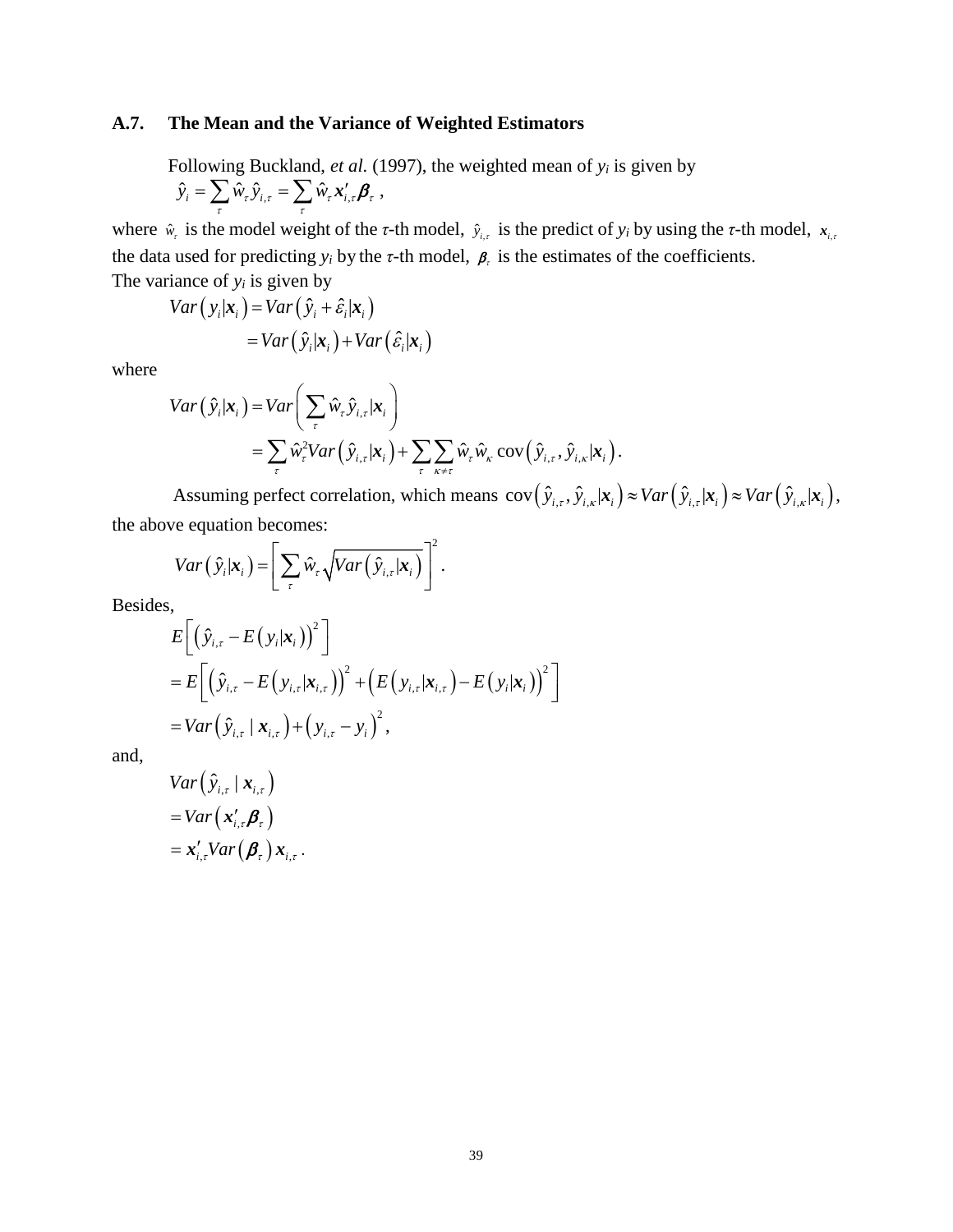## **A.7. The Mean and the Variance of Weighted Estimators**

Following Buckland, *et al.* (1997), the weighted mean of *yi* is given by  $\hat{y}_i = \sum_\tau \hat{w}_\tau \, \hat{y}_{i,\tau} = \sum_\tau \hat{w}_\tau \, \pmb{x}^\prime_{i,\tau} \pmb{\beta}_\tau \; ,$ 

where  $\hat{w}_r$  is the model weight of the *τ*-th model,  $\hat{y}_{i,r}$  is the predict of  $y_i$  by using the *τ*-th model,  $x_{i,r}$ the data used for predicting  $y_i$  by the  $\tau$ -th model,  $\beta$ , is the estimates of the coefficients. The variance of  $y_i$  is given by

$$
Var(y_i|\mathbf{x}_i) = Var(\hat{y}_i + \hat{\varepsilon}_i|\mathbf{x}_i)
$$
  
= Var(\hat{y}\_i|\mathbf{x}\_i) + Var(\hat{\varepsilon}\_i|\mathbf{x}\_i)

where

$$
Var(\hat{y}_i|\mathbf{x}_i) = Var\bigg(\sum_{\tau} \hat{w}_{\tau} \hat{y}_{i,\tau}|\mathbf{x}_i\bigg) = \sum_{\tau} \hat{w}_{\tau}^2 Var(\hat{y}_{i,\tau}|\mathbf{x}_i) + \sum_{\tau} \sum_{\kappa \neq \tau} \hat{w}_{\tau} \hat{w}_{\kappa} \operatorname{cov}(\hat{y}_{i,\tau}, \hat{y}_{i,\kappa}|\mathbf{x}_i).
$$

Assuming perfect correlation, which means  $cov(\hat{y}_{i,\tau}, \hat{y}_{i,\kappa} | \mathbf{x}_i) \approx Var(\hat{y}_{i,\tau} | \mathbf{x}_i) \approx Var(\hat{y}_{i,\kappa} | \mathbf{x}_i)$ , the above equation becomes:

$$
Var(\hat{y}_i|\mathbf{x}_i) = \left[\sum_{\tau} \hat{w}_{\tau} \sqrt{Var(\hat{y}_{i,\tau}|\mathbf{x}_i)}\right]^2.
$$

Besides,

$$
E\bigg[\big(\hat{y}_{i,\tau} - E(y_i|\mathbf{x}_i)\big)^2\bigg]
$$
  
= 
$$
E\bigg[\big(\hat{y}_{i,\tau} - E(y_{i,\tau}|\mathbf{x}_{i,\tau})\big)^2 + \big(E(y_{i,\tau}|\mathbf{x}_{i,\tau}) - E(y_i|\mathbf{x}_i)\big)^2\bigg]
$$
  
= 
$$
Var\big(\hat{y}_{i,\tau} | \mathbf{x}_{i,\tau}\big) + \big(y_{i,\tau} - y_i\big)^2,
$$

and,

$$
Var(\hat{y}_{i,\tau} | \mathbf{x}_{i,\tau})
$$
  
= 
$$
Var(\mathbf{x}'_{i,\tau} \boldsymbol{\beta}_{\tau})
$$
  
= 
$$
\mathbf{x}'_{i,\tau} Var(\boldsymbol{\beta}_{\tau}) \mathbf{x}_{i,\tau}.
$$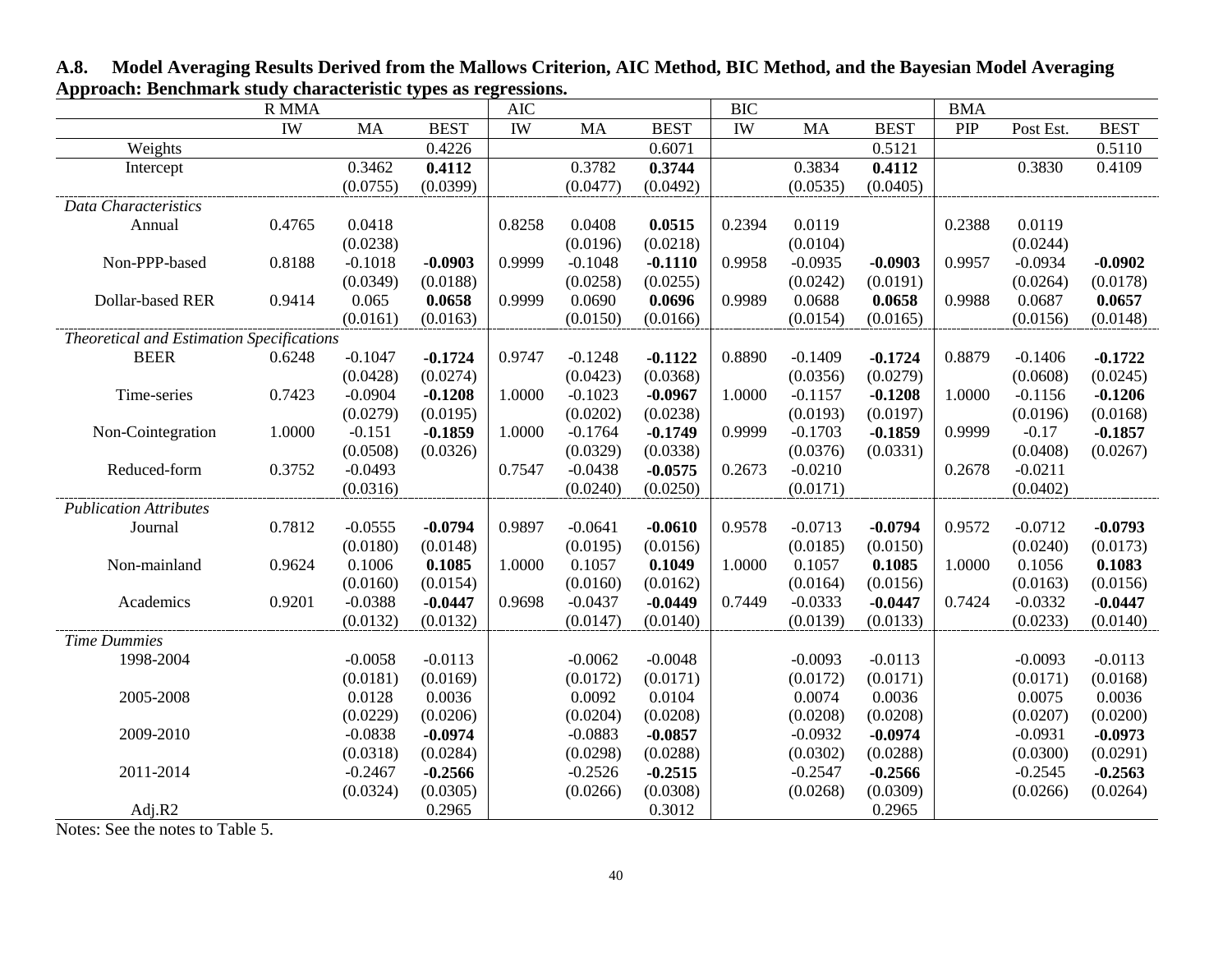|                                           | <b>R MMA</b> |           |             | <b>AIC</b> |           |             | <b>BIC</b> |           |             | <b>BMA</b> |           |             |
|-------------------------------------------|--------------|-----------|-------------|------------|-----------|-------------|------------|-----------|-------------|------------|-----------|-------------|
|                                           | IW           | <b>MA</b> | <b>BEST</b> | IW         | <b>MA</b> | <b>BEST</b> | IW         | <b>MA</b> | <b>BEST</b> | PIP        | Post Est. | <b>BEST</b> |
| Weights                                   |              |           | 0.4226      |            |           | 0.6071      |            |           | 0.5121      |            |           | 0.5110      |
| Intercept                                 |              | 0.3462    | 0.4112      |            | 0.3782    | 0.3744      |            | 0.3834    | 0.4112      |            | 0.3830    | 0.4109      |
|                                           |              | (0.0755)  | (0.0399)    |            | (0.0477)  | (0.0492)    |            | (0.0535)  | (0.0405)    |            |           |             |
| Data Characteristics                      |              |           |             |            |           |             |            |           |             |            |           |             |
| Annual                                    | 0.4765       | 0.0418    |             | 0.8258     | 0.0408    | 0.0515      | 0.2394     | 0.0119    |             | 0.2388     | 0.0119    |             |
|                                           |              | (0.0238)  |             |            | (0.0196)  | (0.0218)    |            | (0.0104)  |             |            | (0.0244)  |             |
| Non-PPP-based                             | 0.8188       | $-0.1018$ | $-0.0903$   | 0.9999     | $-0.1048$ | $-0.1110$   | 0.9958     | $-0.0935$ | $-0.0903$   | 0.9957     | $-0.0934$ | $-0.0902$   |
|                                           |              | (0.0349)  | (0.0188)    |            | (0.0258)  | (0.0255)    |            | (0.0242)  | (0.0191)    |            | (0.0264)  | (0.0178)    |
| Dollar-based RER                          | 0.9414       | 0.065     | 0.0658      | 0.9999     | 0.0690    | 0.0696      | 0.9989     | 0.0688    | 0.0658      | 0.9988     | 0.0687    | 0.0657      |
|                                           |              | (0.0161)  | (0.0163)    |            | (0.0150)  | (0.0166)    |            | (0.0154)  | (0.0165)    |            | (0.0156)  | (0.0148)    |
| Theoretical and Estimation Specifications |              |           |             |            |           |             |            |           |             |            |           |             |
| <b>BEER</b>                               | 0.6248       | $-0.1047$ | $-0.1724$   | 0.9747     | $-0.1248$ | $-0.1122$   | 0.8890     | $-0.1409$ | $-0.1724$   | 0.8879     | $-0.1406$ | $-0.1722$   |
|                                           |              | (0.0428)  | (0.0274)    |            | (0.0423)  | (0.0368)    |            | (0.0356)  | (0.0279)    |            | (0.0608)  | (0.0245)    |
| Time-series                               | 0.7423       | $-0.0904$ | $-0.1208$   | 1.0000     | $-0.1023$ | $-0.0967$   | 1.0000     | $-0.1157$ | $-0.1208$   | 1.0000     | $-0.1156$ | $-0.1206$   |
|                                           |              | (0.0279)  | (0.0195)    |            | (0.0202)  | (0.0238)    |            | (0.0193)  | (0.0197)    |            | (0.0196)  | (0.0168)    |
| Non-Cointegration                         | 1.0000       | $-0.151$  | $-0.1859$   | 1.0000     | $-0.1764$ | $-0.1749$   | 0.9999     | $-0.1703$ | $-0.1859$   | 0.9999     | $-0.17$   | $-0.1857$   |
|                                           |              | (0.0508)  | (0.0326)    |            | (0.0329)  | (0.0338)    |            | (0.0376)  | (0.0331)    |            | (0.0408)  | (0.0267)    |
| Reduced-form                              | 0.3752       | $-0.0493$ |             | 0.7547     | $-0.0438$ | $-0.0575$   | 0.2673     | $-0.0210$ |             | 0.2678     | $-0.0211$ |             |
|                                           |              | (0.0316)  |             |            | (0.0240)  | (0.0250)    |            | (0.0171)  |             |            | (0.0402)  |             |
| <b>Publication Attributes</b>             |              |           |             |            |           |             |            |           |             |            |           |             |
| Journal                                   | 0.7812       | $-0.0555$ | $-0.0794$   | 0.9897     | $-0.0641$ | $-0.0610$   | 0.9578     | $-0.0713$ | $-0.0794$   | 0.9572     | $-0.0712$ | $-0.0793$   |
|                                           |              | (0.0180)  | (0.0148)    |            | (0.0195)  | (0.0156)    |            | (0.0185)  | (0.0150)    |            | (0.0240)  | (0.0173)    |
| Non-mainland                              | 0.9624       | 0.1006    | 0.1085      | 1.0000     | 0.1057    | 0.1049      | 1.0000     | 0.1057    | 0.1085      | 1.0000     | 0.1056    | 0.1083      |
|                                           |              | (0.0160)  | (0.0154)    |            | (0.0160)  | (0.0162)    |            | (0.0164)  | (0.0156)    |            | (0.0163)  | (0.0156)    |
| Academics                                 | 0.9201       | $-0.0388$ | $-0.0447$   | 0.9698     | $-0.0437$ | $-0.0449$   | 0.7449     | $-0.0333$ | $-0.0447$   | 0.7424     | $-0.0332$ | $-0.0447$   |
|                                           |              | (0.0132)  | (0.0132)    |            | (0.0147)  | (0.0140)    |            | (0.0139)  | (0.0133)    |            | (0.0233)  | (0.0140)    |
| <b>Time Dummies</b>                       |              |           |             |            |           |             |            |           |             |            |           |             |
| 1998-2004                                 |              | $-0.0058$ | $-0.0113$   |            | $-0.0062$ | $-0.0048$   |            | $-0.0093$ | $-0.0113$   |            | $-0.0093$ | $-0.0113$   |
|                                           |              | (0.0181)  | (0.0169)    |            | (0.0172)  | (0.0171)    |            | (0.0172)  | (0.0171)    |            | (0.0171)  | (0.0168)    |
| 2005-2008                                 |              | 0.0128    | 0.0036      |            | 0.0092    | 0.0104      |            | 0.0074    | 0.0036      |            | 0.0075    | 0.0036      |
|                                           |              | (0.0229)  | (0.0206)    |            | (0.0204)  | (0.0208)    |            | (0.0208)  | (0.0208)    |            | (0.0207)  | (0.0200)    |
| 2009-2010                                 |              | $-0.0838$ | $-0.0974$   |            | $-0.0883$ | $-0.0857$   |            | $-0.0932$ | $-0.0974$   |            | $-0.0931$ | $-0.0973$   |
|                                           |              | (0.0318)  | (0.0284)    |            | (0.0298)  | (0.0288)    |            | (0.0302)  | (0.0288)    |            | (0.0300)  | (0.0291)    |
| 2011-2014                                 |              | $-0.2467$ | $-0.2566$   |            | $-0.2526$ | $-0.2515$   |            | $-0.2547$ | $-0.2566$   |            | $-0.2545$ | $-0.2563$   |
|                                           |              | (0.0324)  | (0.0305)    |            | (0.0266)  | (0.0308)    |            | (0.0268)  | (0.0309)    |            | (0.0266)  | (0.0264)    |
| Adj.R2                                    |              |           | 0.2965      |            |           | 0.3012      |            |           | 0.2965      |            |           |             |

**A.8. Model Averaging Results Derived from the Mallows Criterion, AIC Method, BIC Method, and the Bayesian Model Averaging Approach: Benchmark study characteristic types as regressions.**

Notes: See the notes to Table 5.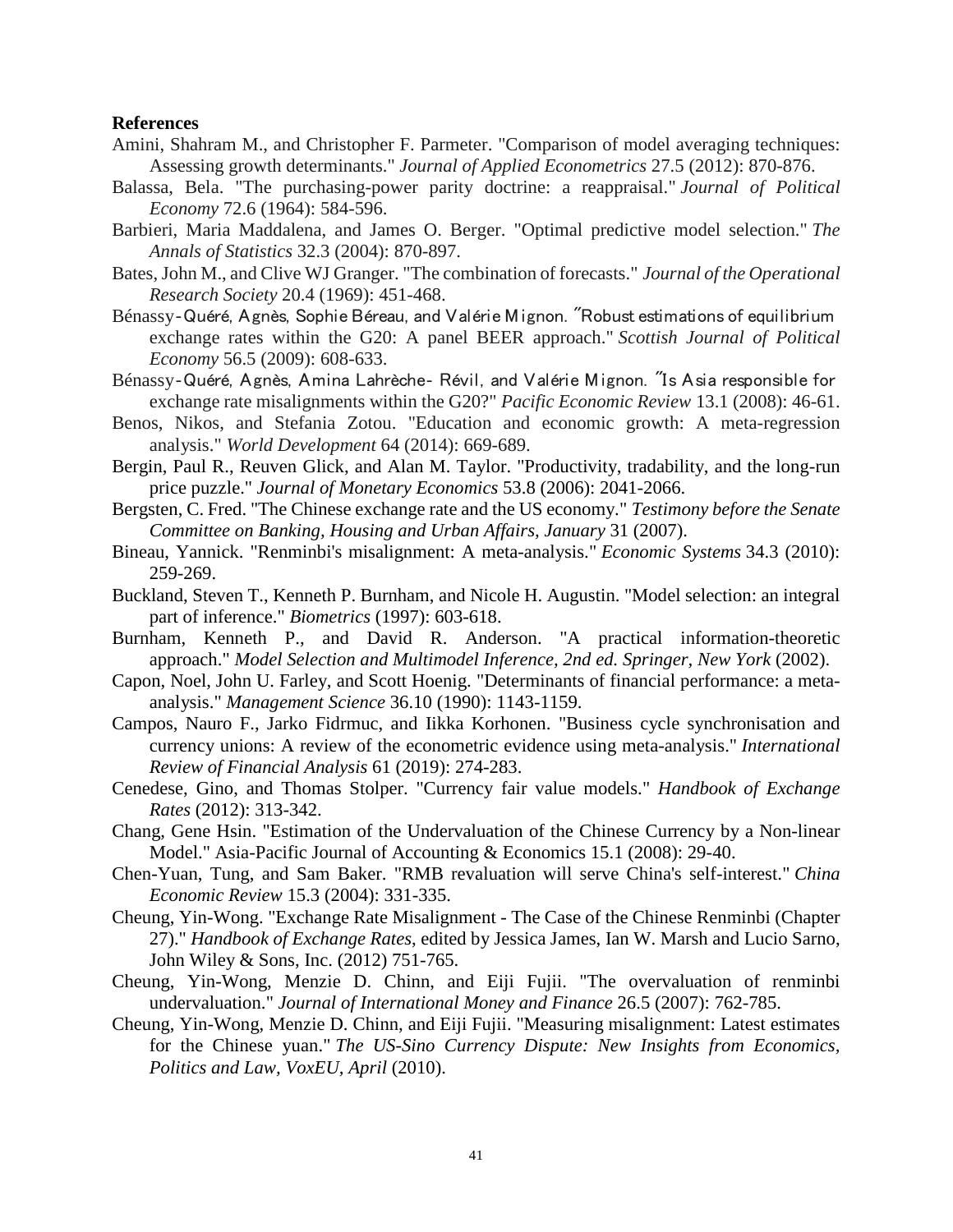## **References**

- Amini, Shahram M., and Christopher F. Parmeter. "Comparison of model averaging techniques: Assessing growth determinants." *Journal of Applied Econometrics* 27.5 (2012): 870-876.
- Balassa, Bela. "The purchasing-power parity doctrine: a reappraisal." *Journal of Political Economy* 72.6 (1964): 584-596.
- Barbieri, Maria Maddalena, and James O. Berger. "Optimal predictive model selection." *The Annals of Statistics* 32.3 (2004): 870-897.
- Bates, John M., and Clive WJ Granger. "The combination of forecasts." *Journal of the Operational Research Society* 20.4 (1969): 451-468.
- Bénassy‐Quéré, Agnès, Sophie Béreau, and Valérie Mignon. "Robust estimations of equilibrium exchange rates within the G20: A panel BEER approach." *Scottish Journal of Political Economy* 56.5 (2009): 608-633.
- Bénassy‐Quéré, Agnès, Amina Lahrèche‐ Révil, and Valérie Mignon. "Is Asia responsible for exchange rate misalignments within the G20?" *Pacific Economic Review* 13.1 (2008): 46-61.
- Benos, Nikos, and Stefania Zotou. "Education and economic growth: A meta-regression analysis." *World Development* 64 (2014): 669-689.
- Bergin, Paul R., Reuven Glick, and Alan M. Taylor. "Productivity, tradability, and the long-run price puzzle." *Journal of Monetary Economics* 53.8 (2006): 2041-2066.
- Bergsten, C. Fred. "The Chinese exchange rate and the US economy." *Testimony before the Senate Committee on Banking, Housing and Urban Affairs, January* 31 (2007).
- Bineau, Yannick. "Renminbi's misalignment: A meta-analysis." *Economic Systems* 34.3 (2010): 259-269.
- Buckland, Steven T., Kenneth P. Burnham, and Nicole H. Augustin. "Model selection: an integral part of inference." *Biometrics* (1997): 603-618.
- Burnham, Kenneth P., and David R. Anderson. "A practical information-theoretic approach." *Model Selection and Multimodel Inference, 2nd ed. Springer, New York* (2002).
- Capon, Noel, John U. Farley, and Scott Hoenig. "Determinants of financial performance: a metaanalysis." *Management Science* 36.10 (1990): 1143-1159.
- Campos, Nauro F., Jarko Fidrmuc, and Iikka Korhonen. "Business cycle synchronisation and currency unions: A review of the econometric evidence using meta-analysis." *International Review of Financial Analysis* 61 (2019): 274-283.
- Cenedese, Gino, and Thomas Stolper. "Currency fair value models." *Handbook of Exchange Rates* (2012): 313-342.
- Chang, Gene Hsin. "Estimation of the Undervaluation of the Chinese Currency by a Non-linear Model." Asia-Pacific Journal of Accounting & Economics 15.1 (2008): 29-40.
- Chen-Yuan, Tung, and Sam Baker. "RMB revaluation will serve China's self-interest." *China Economic Review* 15.3 (2004): 331-335.
- Cheung, Yin-Wong. "Exchange Rate Misalignment The Case of the Chinese Renminbi (Chapter 27)." *Handbook of Exchange Rates*, edited by Jessica James, Ian W. Marsh and Lucio Sarno, John Wiley & Sons, Inc. (2012) 751-765.
- Cheung, Yin-Wong, Menzie D. Chinn, and Eiji Fujii. "The overvaluation of renminbi undervaluation." *Journal of International Money and Finance* 26.5 (2007): 762-785.
- Cheung, Yin-Wong, Menzie D. Chinn, and Eiji Fujii. "Measuring misalignment: Latest estimates for the Chinese yuan." *The US-Sino Currency Dispute: New Insights from Economics, Politics and Law, VoxEU, April* (2010).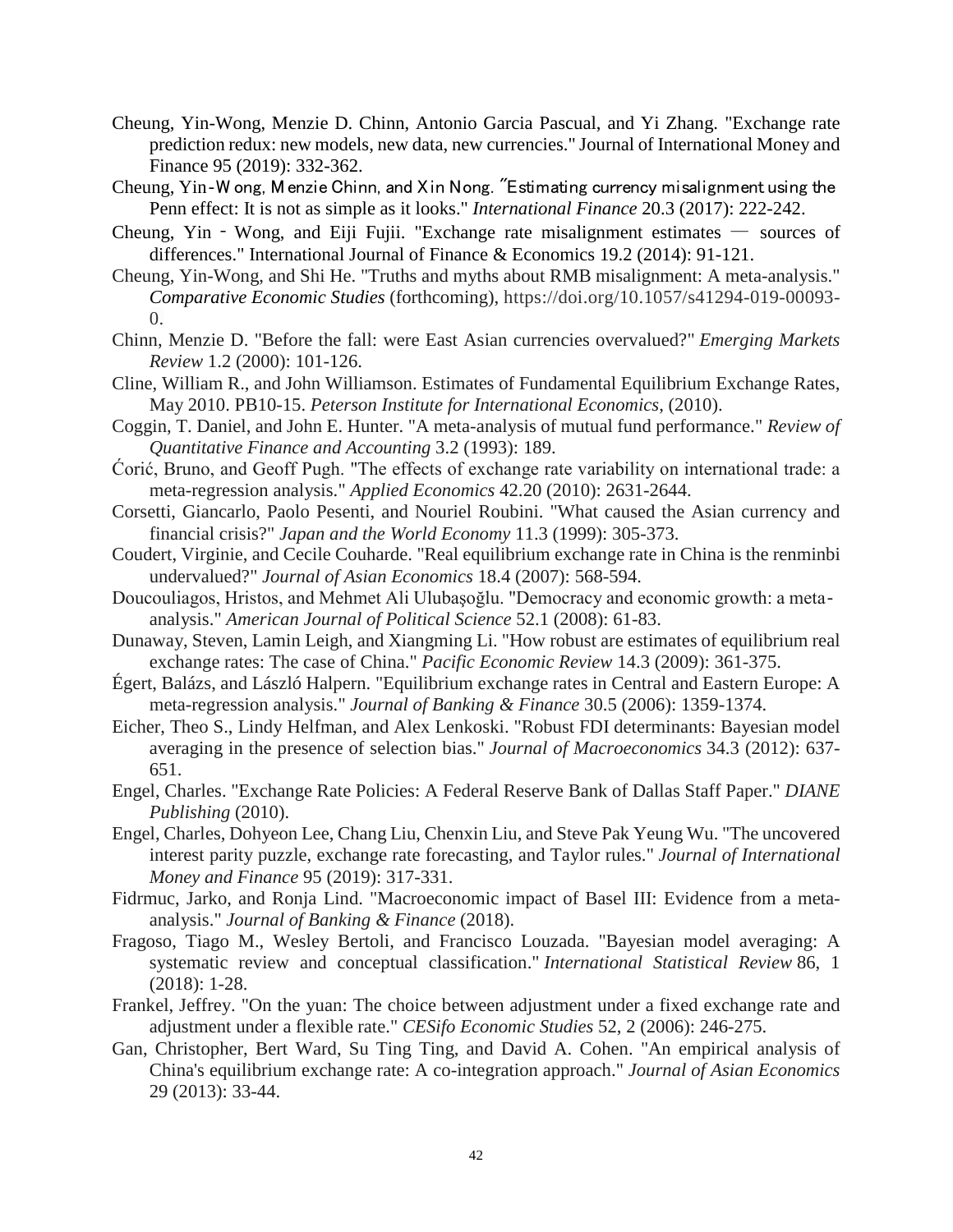- Cheung, Yin-Wong, Menzie D. Chinn, Antonio Garcia Pascual, and Yi Zhang. "Exchange rate prediction redux: new models, new data, new currencies." Journal of International Money and Finance 95 (2019): 332-362.
- Cheung, Yin‐W ong, Menzie Chinn, and Xin Nong. "Estimating currency misalignment using the Penn effect: It is not as simple as it looks." *International Finance* 20.3 (2017): 222-242.
- Cheung, Yin Wong, and Eiji Fujii. "Exchange rate misalignment estimates  $-$  sources of differences." International Journal of Finance & Economics 19.2 (2014): 91-121.
- Cheung, Yin-Wong, and Shi He. "Truths and myths about RMB misalignment: A meta-analysis." *Comparative Economic Studies* (forthcoming), https://doi.org/10.1057/s41294-019-00093- 0.
- Chinn, Menzie D. "Before the fall: were East Asian currencies overvalued?" *Emerging Markets Review* 1.2 (2000): 101-126.
- Cline, William R., and John Williamson. Estimates of Fundamental Equilibrium Exchange Rates, May 2010. PB10-15. *Peterson Institute for International Economics*, (2010).
- Coggin, T. Daniel, and John E. Hunter. "A meta-analysis of mutual fund performance." *Review of Quantitative Finance and Accounting* 3.2 (1993): 189.
- Ćorić, Bruno, and Geoff Pugh. "The effects of exchange rate variability on international trade: a meta-regression analysis." *Applied Economics* 42.20 (2010): 2631-2644.
- Corsetti, Giancarlo, Paolo Pesenti, and Nouriel Roubini. "What caused the Asian currency and financial crisis?" *Japan and the World Economy* 11.3 (1999): 305-373.
- Coudert, Virginie, and Cecile Couharde. "Real equilibrium exchange rate in China is the renminbi undervalued?" *Journal of Asian Economics* 18.4 (2007): 568-594.
- Doucouliagos, Hristos, and Mehmet Ali Ulubaşoğlu. "Democracy and economic growth: a meta‐ analysis." *American Journal of Political Science* 52.1 (2008): 61-83.
- Dunaway, Steven, Lamin Leigh, and Xiangming Li. "How robust are estimates of equilibrium real exchange rates: The case of China." *Pacific Economic Review* 14.3 (2009): 361-375.
- Égert, Balázs, and László Halpern. "Equilibrium exchange rates in Central and Eastern Europe: A meta-regression analysis." *Journal of Banking & Finance* 30.5 (2006): 1359-1374.
- Eicher, Theo S., Lindy Helfman, and Alex Lenkoski. "Robust FDI determinants: Bayesian model averaging in the presence of selection bias." *Journal of Macroeconomics* 34.3 (2012): 637- 651.
- Engel, Charles. "Exchange Rate Policies: A Federal Reserve Bank of Dallas Staff Paper." *DIANE Publishing* (2010).
- Engel, Charles, Dohyeon Lee, Chang Liu, Chenxin Liu, and Steve Pak Yeung Wu. "The uncovered interest parity puzzle, exchange rate forecasting, and Taylor rules." *Journal of International Money and Finance* 95 (2019): 317-331.
- Fidrmuc, Jarko, and Ronja Lind. "Macroeconomic impact of Basel III: Evidence from a metaanalysis." *Journal of Banking & Finance* (2018).
- Fragoso, Tiago M., Wesley Bertoli, and Francisco Louzada. "Bayesian model averaging: A systematic review and conceptual classification." *International Statistical Review* 86, 1 (2018): 1-28.
- Frankel, Jeffrey. "On the yuan: The choice between adjustment under a fixed exchange rate and adjustment under a flexible rate." *CESifo Economic Studies* 52, 2 (2006): 246-275.
- Gan, Christopher, Bert Ward, Su Ting Ting, and David A. Cohen. "An empirical analysis of China's equilibrium exchange rate: A co-integration approach." *Journal of Asian Economics* 29 (2013): 33-44.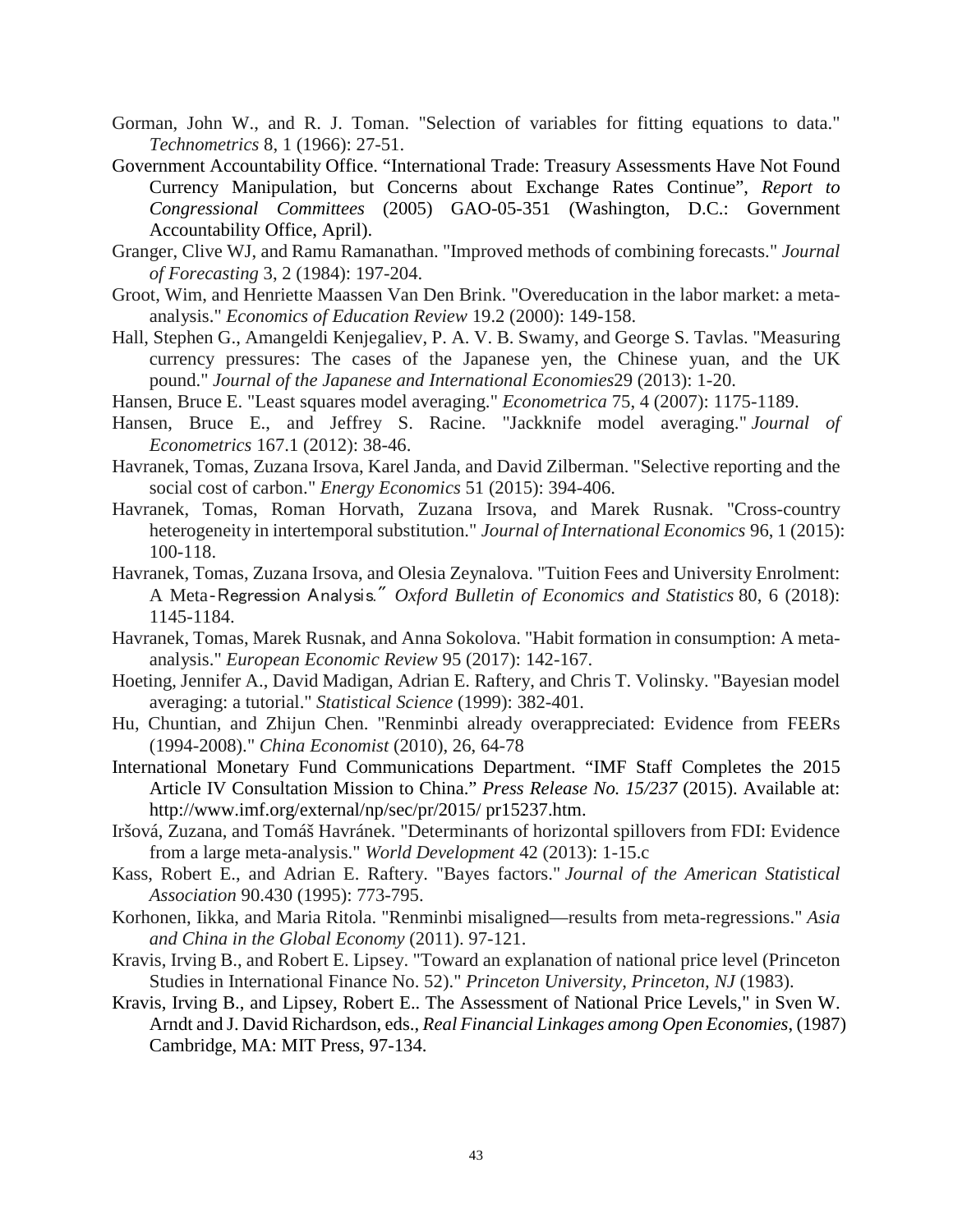- Gorman, John W., and R. J. Toman. "Selection of variables for fitting equations to data." *Technometrics* 8, 1 (1966): 27-51.
- Government Accountability Office. "International Trade: Treasury Assessments Have Not Found Currency Manipulation, but Concerns about Exchange Rates Continue", *Report to Congressional Committees* (2005) GAO-05-351 (Washington, D.C.: Government Accountability Office, April).
- Granger, Clive WJ, and Ramu Ramanathan. "Improved methods of combining forecasts." *Journal of Forecasting* 3, 2 (1984): 197-204.
- Groot, Wim, and Henriette Maassen Van Den Brink. "Overeducation in the labor market: a metaanalysis." *Economics of Education Review* 19.2 (2000): 149-158.
- Hall, Stephen G., Amangeldi Kenjegaliev, P. A. V. B. Swamy, and George S. Tavlas. "Measuring currency pressures: The cases of the Japanese yen, the Chinese yuan, and the UK pound." *Journal of the Japanese and International Economies*29 (2013): 1-20.
- Hansen, Bruce E. "Least squares model averaging." *Econometrica* 75, 4 (2007): 1175-1189.
- Hansen, Bruce E., and Jeffrey S. Racine. "Jackknife model averaging." *Journal of Econometrics* 167.1 (2012): 38-46.
- Havranek, Tomas, Zuzana Irsova, Karel Janda, and David Zilberman. "Selective reporting and the social cost of carbon." *Energy Economics* 51 (2015): 394-406.
- Havranek, Tomas, Roman Horvath, Zuzana Irsova, and Marek Rusnak. "Cross-country heterogeneity in intertemporal substitution." *Journal of International Economics* 96, 1 (2015): 100-118.
- Havranek, Tomas, Zuzana Irsova, and Olesia Zeynalova. "Tuition Fees and University Enrolment: A Meta‐Regression Analysis." *Oxford Bulletin of Economics and Statistics* 80, 6 (2018): 1145-1184.
- Havranek, Tomas, Marek Rusnak, and Anna Sokolova. "Habit formation in consumption: A metaanalysis." *European Economic Review* 95 (2017): 142-167.
- Hoeting, Jennifer A., David Madigan, Adrian E. Raftery, and Chris T. Volinsky. "Bayesian model averaging: a tutorial." *Statistical Science* (1999): 382-401.
- Hu, Chuntian, and Zhijun Chen. "Renminbi already overappreciated: Evidence from FEERs (1994-2008)." *China Economist* (2010), 26, 64-78
- International Monetary Fund Communications Department. "IMF Staff Completes the 2015 Article IV Consultation Mission to China." *Press Release No. 15/237* (2015). Available at: http://www.imf.org/external/np/sec/pr/2015/ pr15237.htm.
- Iršová, Zuzana, and Tomáš Havránek. "Determinants of horizontal spillovers from FDI: Evidence from a large meta-analysis." *World Development* 42 (2013): 1-15.c
- Kass, Robert E., and Adrian E. Raftery. "Bayes factors." *Journal of the American Statistical Association* 90.430 (1995): 773-795.
- Korhonen, Iikka, and Maria Ritola. "Renminbi misaligned—results from meta-regressions." *Asia and China in the Global Economy* (2011). 97-121.
- Kravis, Irving B., and Robert E. Lipsey. "Toward an explanation of national price level (Princeton Studies in International Finance No. 52)." *Princeton University, Princeton, NJ* (1983).
- Kravis, Irving B., and Lipsey, Robert E.. The Assessment of National Price Levels," in Sven W. Arndt and J. David Richardson, eds., *Real Financial Linkages among Open Economies*, (1987) Cambridge, MA: MIT Press, 97-134.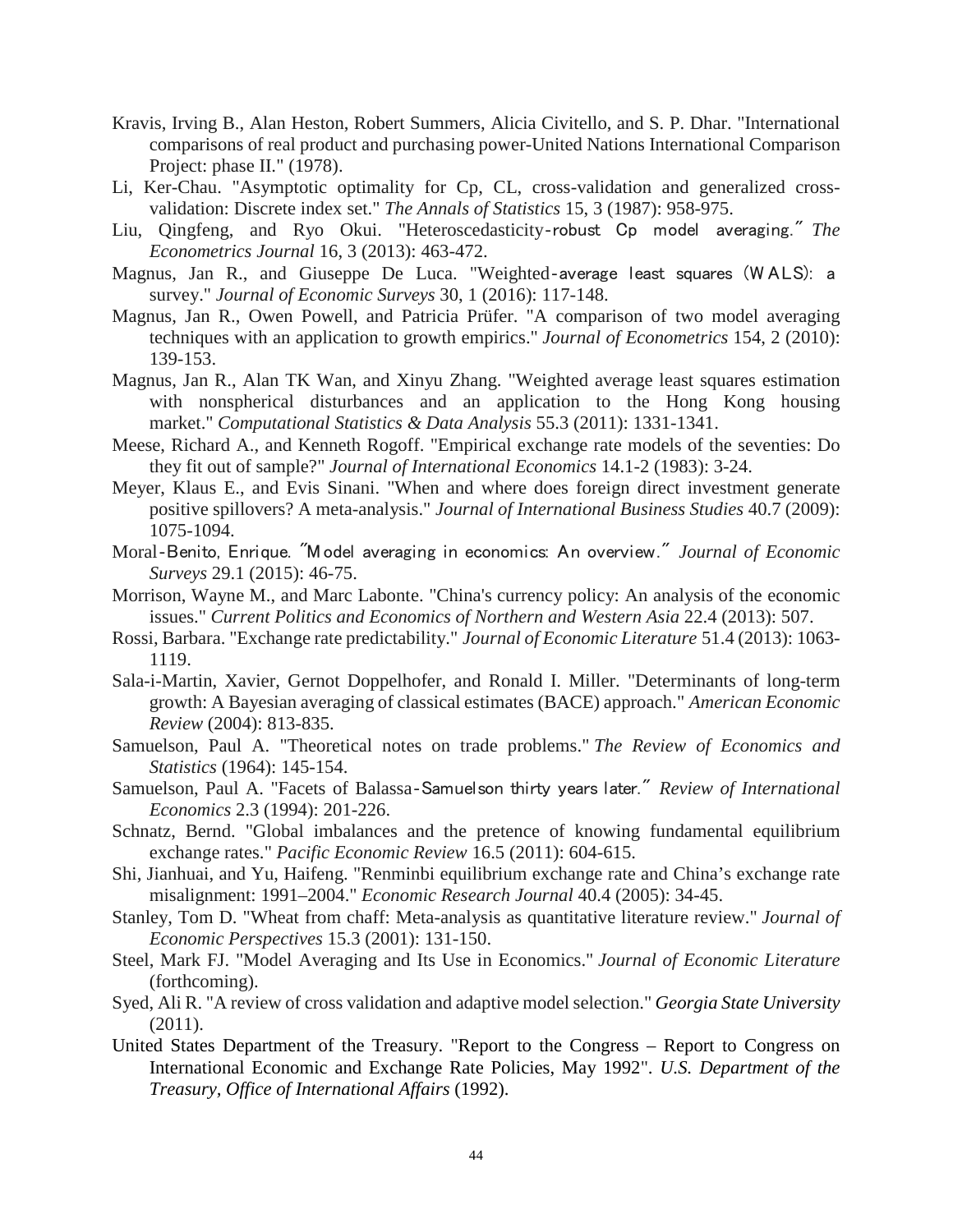- Kravis, Irving B., Alan Heston, Robert Summers, Alicia Civitello, and S. P. Dhar. "International comparisons of real product and purchasing power-United Nations International Comparison Project: phase II." (1978).
- Li, Ker-Chau. "Asymptotic optimality for Cp, CL, cross-validation and generalized crossvalidation: Discrete index set." *The Annals of Statistics* 15, 3 (1987): 958-975.
- Liu, Qingfeng, and Ryo Okui. "Heteroscedasticity‐robust Cp model averaging." *The Econometrics Journal* 16, 3 (2013): 463-472.
- Magnus, Jan R., and Giuseppe De Luca. "Weighted‐average least squares (W ALS): a survey." *Journal of Economic Surveys* 30, 1 (2016): 117-148.
- Magnus, Jan R., Owen Powell, and Patricia Prüfer. "A comparison of two model averaging techniques with an application to growth empirics." *Journal of Econometrics* 154, 2 (2010): 139-153.
- Magnus, Jan R., Alan TK Wan, and Xinyu Zhang. "Weighted average least squares estimation with nonspherical disturbances and an application to the Hong Kong housing market." *Computational Statistics & Data Analysis* 55.3 (2011): 1331-1341.
- Meese, Richard A., and Kenneth Rogoff. "Empirical exchange rate models of the seventies: Do they fit out of sample?" *Journal of International Economics* 14.1-2 (1983): 3-24.
- Meyer, Klaus E., and Evis Sinani. "When and where does foreign direct investment generate positive spillovers? A meta-analysis." *Journal of International Business Studies* 40.7 (2009): 1075-1094.
- Moral‐Benito, Enrique. "Model averaging in economics: An overview." *Journal of Economic Surveys* 29.1 (2015): 46-75.
- Morrison, Wayne M., and Marc Labonte. "China's currency policy: An analysis of the economic issues." *Current Politics and Economics of Northern and Western Asia* 22.4 (2013): 507.
- Rossi, Barbara. "Exchange rate predictability." *Journal of Economic Literature* 51.4 (2013): 1063- 1119.
- Sala-i-Martin, Xavier, Gernot Doppelhofer, and Ronald I. Miller. "Determinants of long-term growth: A Bayesian averaging of classical estimates (BACE) approach." *American Economic Review* (2004): 813-835.
- Samuelson, Paul A. "Theoretical notes on trade problems." *The Review of Economics and Statistics* (1964): 145-154.
- Samuelson, Paul A. "Facets of Balassa‐Samuelson thirty years later." *Review of International Economics* 2.3 (1994): 201-226.
- Schnatz, Bernd. "Global imbalances and the pretence of knowing fundamental equilibrium exchange rates." *Pacific Economic Review* 16.5 (2011): 604-615.
- Shi, Jianhuai, and Yu, Haifeng. "Renminbi equilibrium exchange rate and China's exchange rate misalignment: 1991–2004." *Economic Research Journal* 40.4 (2005): 34-45.
- Stanley, Tom D. "Wheat from chaff: Meta-analysis as quantitative literature review." *Journal of Economic Perspectives* 15.3 (2001): 131-150.
- Steel, Mark FJ. "Model Averaging and Its Use in Economics." *Journal of Economic Literature* (forthcoming).
- Syed, Ali R. "A review of cross validation and adaptive model selection." *Georgia State University* (2011).
- United States Department of the Treasury. "Report to the Congress Report to Congress on International Economic and Exchange Rate Policies, May 1992". *U.S. Department of the Treasury, Office of International Affairs* (1992).